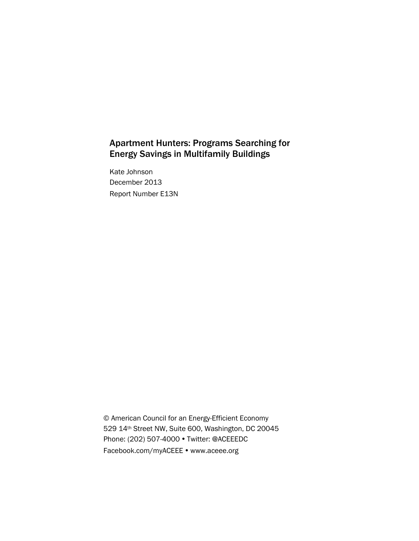## Apartment Hunters: Programs Searching for Energy Savings in Multifamily Buildings

Kate Johnson December 2013 Report Number E13N

© American Council for an Energy-Efficient Economy 529 14th Street NW, Suite 600, Washington, DC 20045 Phone: (202) 507-4000 • Twitter: @ACEEEDC Facebook.com/myACEEE • www.aceee.org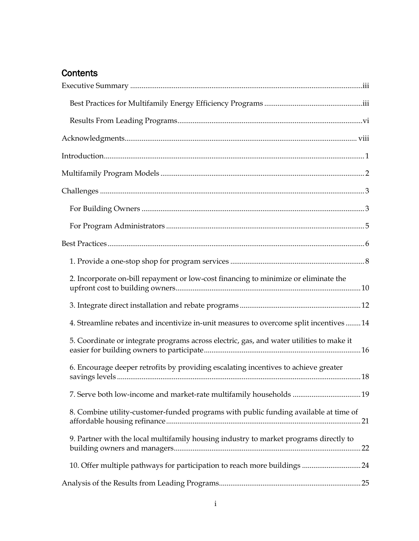# **Contents**

| 2. Incorporate on-bill repayment or low-cost financing to minimize or eliminate the      |  |
|------------------------------------------------------------------------------------------|--|
|                                                                                          |  |
| 4. Streamline rebates and incentivize in-unit measures to overcome split incentives  14  |  |
| 5. Coordinate or integrate programs across electric, gas, and water utilities to make it |  |
| 6. Encourage deeper retrofits by providing escalating incentives to achieve greater      |  |
| 7. Serve both low-income and market-rate multifamily households  19                      |  |
| 8. Combine utility-customer-funded programs with public funding available at time of     |  |
| 9. Partner with the local multifamily housing industry to market programs directly to    |  |
|                                                                                          |  |
|                                                                                          |  |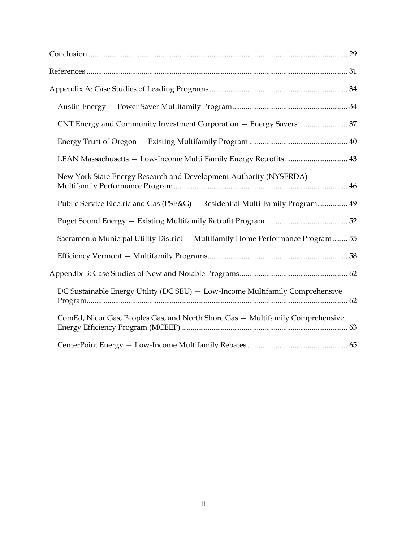| New York State Energy Research and Development Authority (NYSERDA) -            |
|---------------------------------------------------------------------------------|
| Public Service Electric and Gas (PSE&G) - Residential Multi-Family Program 49   |
|                                                                                 |
| Sacramento Municipal Utility District - Multifamily Home Performance Program 55 |
|                                                                                 |
|                                                                                 |
| DC Sustainable Energy Utility (DC SEU) - Low-Income Multifamily Comprehensive   |
| ComEd, Nicor Gas, Peoples Gas, and North Shore Gas - Multifamily Comprehensive  |
|                                                                                 |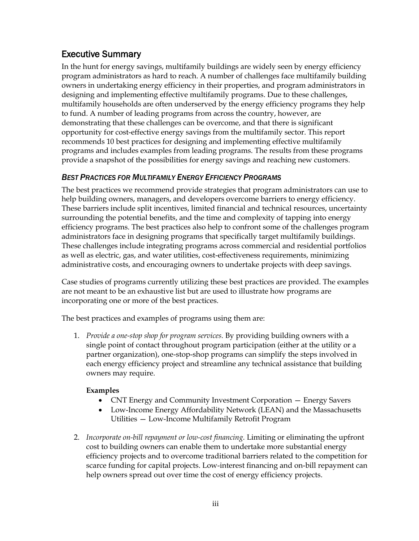## <span id="page-4-0"></span>Executive Summary

In the hunt for energy savings, multifamily buildings are widely seen by energy efficiency program administrators as hard to reach. A number of challenges face multifamily building owners in undertaking energy efficiency in their properties, and program administrators in designing and implementing effective multifamily programs. Due to these challenges, multifamily households are often underserved by the energy efficiency programs they help to fund. A number of leading programs from across the country, however, are demonstrating that these challenges can be overcome, and that there is significant opportunity for cost-effective energy savings from the multifamily sector. This report recommends 10 best practices for designing and implementing effective multifamily programs and includes examples from leading programs. The results from these programs provide a snapshot of the possibilities for energy savings and reaching new customers.

## <span id="page-4-1"></span>*BEST PRACTICES FOR MULTIFAMILY ENERGY EFFICIENCY PROGRAMS*

The best practices we recommend provide strategies that program administrators can use to help building owners, managers, and developers overcome barriers to energy efficiency. These barriers include split incentives, limited financial and technical resources, uncertainty surrounding the potential benefits, and the time and complexity of tapping into energy efficiency programs. The best practices also help to confront some of the challenges program administrators face in designing programs that specifically target multifamily buildings. These challenges include integrating programs across commercial and residential portfolios as well as electric, gas, and water utilities, cost-effectiveness requirements, minimizing administrative costs, and encouraging owners to undertake projects with deep savings.

Case studies of programs currently utilizing these best practices are provided. The examples are not meant to be an exhaustive list but are used to illustrate how programs are incorporating one or more of the best practices.

The best practices and examples of programs using them are:

1. *Provide a one-stop shop for program services.* By providing building owners with a single point of contact throughout program participation (either at the utility or a partner organization), one-stop-shop programs can simplify the steps involved in each energy efficiency project and streamline any technical assistance that building owners may require.

### **Examples**

- CNT Energy and Community Investment Corporation Energy Savers
- Low-Income Energy Affordability Network (LEAN) and the Massachusetts Utilities — Low-Income Multifamily Retrofit Program
- 2. *Incorporate on-bill repayment or low-cost financing.* Limiting or eliminating the upfront cost to building owners can enable them to undertake more substantial energy efficiency projects and to overcome traditional barriers related to the competition for scarce funding for capital projects. Low-interest financing and on-bill repayment can help owners spread out over time the cost of energy efficiency projects.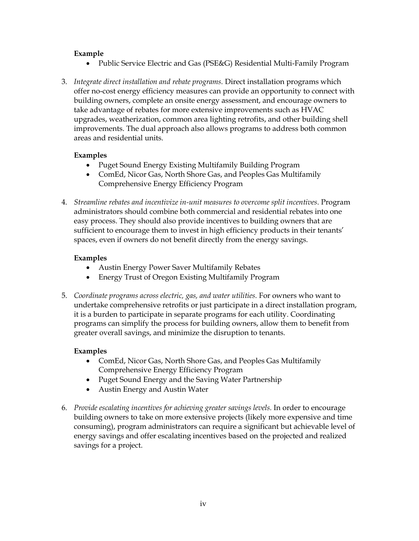#### **Example**

- Public Service Electric and Gas (PSE&G) Residential Multi-Family Program
- 3. *Integrate direct installation and rebate programs.* Direct installation programs which offer no-cost energy efficiency measures can provide an opportunity to connect with building owners, complete an onsite energy assessment, and encourage owners to take advantage of rebates for more extensive improvements such as HVAC upgrades, weatherization, common area lighting retrofits, and other building shell improvements. The dual approach also allows programs to address both common areas and residential units.

#### **Examples**

- Puget Sound Energy Existing Multifamily Building Program
- ComEd, Nicor Gas, North Shore Gas, and Peoples Gas Multifamily Comprehensive Energy Efficiency Program
- 4. *Streamline rebates and incentivize in-unit measures to overcome split incentives.* Program administrators should combine both commercial and residential rebates into one easy process. They should also provide incentives to building owners that are sufficient to encourage them to invest in high efficiency products in their tenants' spaces, even if owners do not benefit directly from the energy savings.

#### **Examples**

- Austin Energy Power Saver Multifamily Rebates
- Energy Trust of Oregon Existing Multifamily Program
- 5. *Coordinate programs across electric, gas, and water utilities.* For owners who want to undertake comprehensive retrofits or just participate in a direct installation program, it is a burden to participate in separate programs for each utility. Coordinating programs can simplify the process for building owners, allow them to benefit from greater overall savings, and minimize the disruption to tenants.

#### **Examples**

- ComEd, Nicor Gas, North Shore Gas, and Peoples Gas Multifamily Comprehensive Energy Efficiency Program
- Puget Sound Energy and the Saving Water Partnership
- Austin Energy and Austin Water
- 6. *Provide escalating incentives for achieving greater savings levels.* In order to encourage building owners to take on more extensive projects (likely more expensive and time consuming), program administrators can require a significant but achievable level of energy savings and offer escalating incentives based on the projected and realized savings for a project.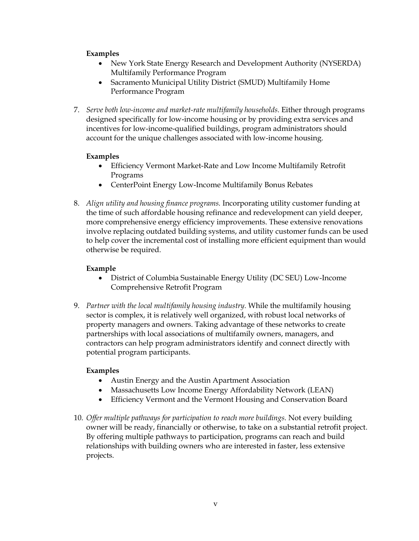### **Examples**

- New York State Energy Research and Development Authority (NYSERDA) Multifamily Performance Program
- Sacramento Municipal Utility District (SMUD) Multifamily Home Performance Program
- 7. *Serve both low-income and market-rate multifamily households.* Either through programs designed specifically for low-income housing or by providing extra services and incentives for low-income-qualified buildings, program administrators should account for the unique challenges associated with low-income housing.

#### **Examples**

- Efficiency Vermont Market-Rate and Low Income Multifamily Retrofit Programs
- CenterPoint Energy Low-Income Multifamily Bonus Rebates
- 8. *Align utility and housing finance programs.* Incorporating utility customer funding at the time of such affordable housing refinance and redevelopment can yield deeper, more comprehensive energy efficiency improvements. These extensive renovations involve replacing outdated building systems, and utility customer funds can be used to help cover the incremental cost of installing more efficient equipment than would otherwise be required.

#### **Example**

- District of Columbia Sustainable Energy Utility (DC SEU) Low-Income Comprehensive Retrofit Program
- 9. *Partner with the local multifamily housing industry.* While the multifamily housing sector is complex, it is relatively well organized, with robust local networks of property managers and owners. Taking advantage of these networks to create partnerships with local associations of multifamily owners, managers, and contractors can help program administrators identify and connect directly with potential program participants.

### **Examples**

- Austin Energy and the Austin Apartment Association
- Massachusetts Low Income Energy Affordability Network (LEAN)
- Efficiency Vermont and the Vermont Housing and Conservation Board
- 10. *Offer multiple pathways for participation to reach more buildings.* Not every building owner will be ready, financially or otherwise, to take on a substantial retrofit project. By offering multiple pathways to participation, programs can reach and build relationships with building owners who are interested in faster, less extensive projects.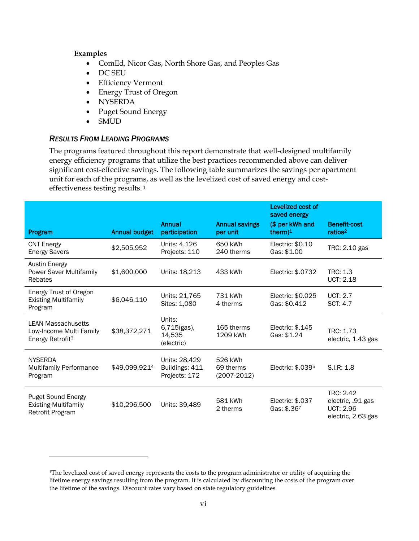#### **Examples**

 $\overline{a}$ 

- ComEd, Nicor Gas, North Shore Gas, and Peoples Gas
- DC SEU
- Efficiency Vermont
- Energy Trust of Oregon
- NYSERDA
- Puget Sound Energy
- SMUD

#### <span id="page-7-0"></span>*RESULTS FROM LEADING PROGRAMS*

The programs featured throughout this report demonstrate that well-designed multifamily energy efficiency programs that utilize the best practices recommended above can deliver significant cost-effective savings. The following table summarizes the savings per apartment unit for each of the programs, as well as the levelized cost of saved energy and costeffectiveness testing results. <sup>1</sup>

|                                                                                      |                      |                                                  |                                         | Levelized cost of<br>saved energy |                                                                          |
|--------------------------------------------------------------------------------------|----------------------|--------------------------------------------------|-----------------------------------------|-----------------------------------|--------------------------------------------------------------------------|
| Program                                                                              | <b>Annual budget</b> | Annual<br>participation                          | <b>Annual savings</b><br>per unit       | (\$ per kWh and<br>therm $)^1$    | <b>Benefit-cost</b><br>ratios <sup>2</sup>                               |
| <b>CNT Energy</b><br><b>Energy Savers</b>                                            | \$2,505,952          | Units: 4,126<br>Projects: 110                    | 650 kWh<br>240 therms                   | Electric: \$0.10<br>Gas: \$1.00   | TRC: 2.10 gas                                                            |
| <b>Austin Energy</b><br>Power Saver Multifamily<br>Rebates                           | \$1,600,000          | Units: 18,213                                    | 433 kWh                                 | Electric: \$.0732                 | TRC: 1.3<br><b>UCT: 2.18</b>                                             |
| Energy Trust of Oregon<br><b>Existing Multifamily</b><br>Program                     | \$6,046,110          | Units: 21,765<br>Sites: 1,080                    | 731 kWh<br>4 therms                     | Electric: \$0.025<br>Gas: \$0.412 | UCT: 2.7<br><b>SCT: 4.7</b>                                              |
| <b>LEAN Massachusetts</b><br>Low-Income Multi Family<br>Energy Retrofit <sup>3</sup> | \$38,372,271         | Units:<br>6,715(gas),<br>14,535<br>(electric)    | 165 therms<br>1209 kWh                  | Electric: \$.145<br>Gas: \$1.24   | TRC: 1.73<br>electric, 1.43 gas                                          |
| <b>NYSERDA</b><br><b>Multifamily Performance</b><br>Program                          | \$49,099,9214        | Units: 28,429<br>Buildings: 411<br>Projects: 172 | 526 kWh<br>69 therms<br>$(2007 - 2012)$ | Electric: \$.0395                 | S.I.R: 1.8                                                               |
| <b>Puget Sound Energy</b><br><b>Existing Multifamily</b><br>Retrofit Program         | \$10,296,500         | Units: 39,489                                    | 581 kWh<br>2 therms                     | Electric: \$.037<br>Gas: \$.367   | TRC: 2.42<br>electric, .91 gas<br><b>UCT: 2.96</b><br>electric, 2.63 gas |

<sup>&</sup>lt;sup>1</sup>The levelized cost of saved energy represents the costs to the program administrator or utility of acquiring the lifetime energy savings resulting from the program. It is calculated by discounting the costs of the program over the lifetime of the savings. Discount rates vary based on state regulatory guidelines.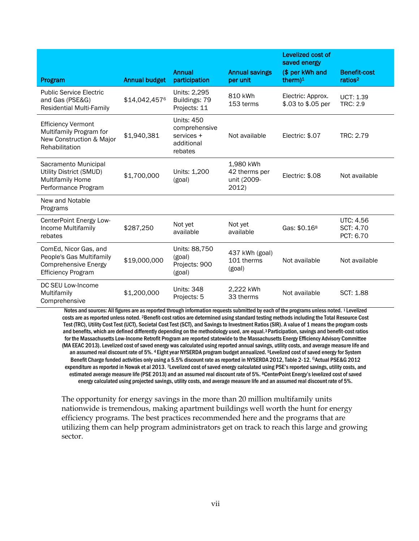|                                                                                                               |                      |                                                                           |                                                    | Levelized cost of<br>saved energy       |                                            |
|---------------------------------------------------------------------------------------------------------------|----------------------|---------------------------------------------------------------------------|----------------------------------------------------|-----------------------------------------|--------------------------------------------|
| Program                                                                                                       | <b>Annual budget</b> | <b>Annual</b><br>participation                                            | <b>Annual savings</b><br>per unit                  | (\$ per kWh and<br>therm $)^1$          | <b>Benefit-cost</b><br>ratios <sup>2</sup> |
| <b>Public Service Electric</b><br>and Gas (PSE&G)<br><b>Residential Multi-Family</b>                          | \$14,042,4576        | Units: 2,295<br>Buildings: 79<br>Projects: 11                             | 810 kWh<br>153 terms                               | Electric: Approx.<br>\$.03 to \$.05 per | <b>UCT: 1.39</b><br><b>TRC: 2.9</b>        |
| <b>Efficiency Vermont</b><br>Multifamily Program for<br>New Construction & Major<br>Rehabilitation            | \$1,940,381          | <b>Units: 450</b><br>comprehensive<br>services +<br>additional<br>rebates | Not available                                      | Electric: \$.07                         | TRC: 2.79                                  |
| Sacramento Municipal<br>Utility District (SMUD)<br><b>Multifamily Home</b><br>Performance Program             | \$1,700,000          | Units: 1,200<br>(goal)                                                    | 1,980 kWh<br>42 therms per<br>unit (2009-<br>2012) | Electric: \$.08                         | Not available                              |
| New and Notable<br>Programs                                                                                   |                      |                                                                           |                                                    |                                         |                                            |
| CenterPoint Energy Low-<br>Income Multifamily<br>rebates                                                      | \$287,250            | Not yet<br>available                                                      | Not yet<br>available                               | Gas: \$0.16 <sup>8</sup>                | UTC: 4.56<br>SCT: 4.70<br>PCT: 6.70        |
| ComEd, Nicor Gas, and<br>People's Gas Multifamily<br><b>Comprehensive Energy</b><br><b>Efficiency Program</b> | \$19,000,000         | Units: 88,750<br>(goal)<br>Projects: 900<br>(goal)                        | 437 kWh (goal)<br>101 therms<br>(goal)             | Not available                           | Not available                              |
| DC SEU Low-Income<br>Multifamily<br>Comprehensive                                                             | \$1,200,000          | <b>Units: 348</b><br>Projects: 5                                          | 2,222 kWh<br>33 therms                             | Not available                           | SCT: 1.88                                  |

Notes and sources: All figures are as reported through information requests submitted by each of the programs unless noted. <sup>1</sup>Levelized costs are as reported unless noted. 2Benefit-cost ratios are determined using standard testing methods including the Total Resource Cost Test (TRC), Utility Cost Test (UCT), Societal Cost Test (SCT), and Savings to Investment Ratios (SIR). A value of 1 means the program costs and benefits, which are defined differently depending on the methodology used, are equal.3 Participation, savings and benefit-cost ratios for the Massachusetts Low-Income Retrofit Program are reported statewide to the Massachusetts Energy Efficiency Advisory Committee (MA EEAC 2013). Levelized cost of saved energy was calculated using reported annual savings, utility costs, and average measure life and an assumed real discount rate of 5%. 4 Eight year NYSERDA program budget annualized. 5Levelized cost of saved energy for System Benefit Charge funded activities only using a 5.5% discount rate as reported in NYSERDA 2012, Table 2-12. <sup>6</sup>Actual PSE&G 2012 expenditure as reported in Nowak et al 2013. <sup>7</sup>Levelized cost of saved energy calculated using PSE's reported savings, utility costs, and estimated average measure life (PSE 2013) and an assumed real discount rate of 5%. 8CenterPoint Energy's levelized cost of saved energy calculated using projected savings, utility costs, and average measure life and an assumed real discount rate of 5%.

The opportunity for energy savings in the more than 20 million multifamily units nationwide is tremendous, making apartment buildings well worth the hunt for energy efficiency programs. The best practices recommended here and the programs that are utilizing them can help program administrators get on track to reach this large and growing sector.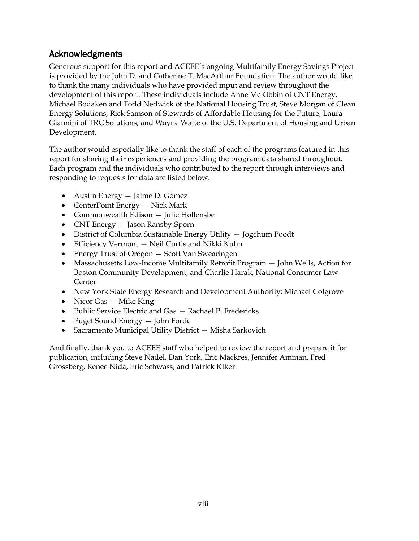## <span id="page-9-0"></span>Acknowledgments

Generous support for this report and ACEEE's ongoing Multifamily Energy Savings Project is provided by the John D. and Catherine T. MacArthur Foundation. The author would like to thank the many individuals who have provided input and review throughout the development of this report. These individuals include Anne McKibbin of CNT Energy, Michael Bodaken and Todd Nedwick of the National Housing Trust, Steve Morgan of Clean Energy Solutions, Rick Samson of Stewards of Affordable Housing for the Future, Laura Giannini of TRC Solutions, and Wayne Waite of the U.S. Department of Housing and Urban Development.

The author would especially like to thank the staff of each of the programs featured in this report for sharing their experiences and providing the program data shared throughout. Each program and the individuals who contributed to the report through interviews and responding to requests for data are listed below.

- Austin Energy Jaime D. Gómez
- CenterPoint Energy Nick Mark
- Commonwealth Edison Julie Hollensbe
- CNT Energy Jason Ransby-Sporn
- District of Columbia Sustainable Energy Utility Jogchum Poodt
- Efficiency Vermont Neil Curtis and Nikki Kuhn
- Energy Trust of Oregon Scott Van Swearingen
- Massachusetts Low-Income Multifamily Retrofit Program John Wells, Action for Boston Community Development, and Charlie Harak, National Consumer Law Center
- New York State Energy Research and Development Authority: Michael Colgrove
- Nicor Gas Mike King
- Public Service Electric and Gas Rachael P. Fredericks
- Puget Sound Energy John Forde
- Sacramento Municipal Utility District Misha Sarkovich

And finally, thank you to ACEEE staff who helped to review the report and prepare it for publication, including Steve Nadel, Dan York, Eric Mackres, Jennifer Amman, Fred Grossberg, Renee Nida, Eric Schwass, and Patrick Kiker.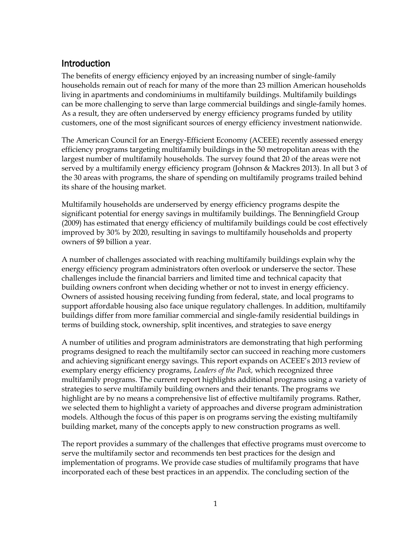## <span id="page-10-0"></span>Introduction

The benefits of energy efficiency enjoyed by an increasing number of single-family households remain out of reach for many of the more than 23 million American households living in apartments and condominiums in multifamily buildings. Multifamily buildings can be more challenging to serve than large commercial buildings and single-family homes. As a result, they are often underserved by energy efficiency programs funded by utility customers, one of the most significant sources of energy efficiency investment nationwide.

The American Council for an Energy-Efficient Economy (ACEEE) recently assessed energy efficiency programs targeting multifamily buildings in the 50 metropolitan areas with the largest number of multifamily households. The survey found that 20 of the areas were not served by a multifamily energy efficiency program (Johnson & Mackres 2013). In all but 3 of the 30 areas with programs, the share of spending on multifamily programs trailed behind its share of the housing market.

Multifamily households are underserved by energy efficiency programs despite the significant potential for energy savings in multifamily buildings. The Benningfield Group (2009) has estimated that energy efficiency of multifamily buildings could be cost effectively improved by 30% by 2020, resulting in savings to multifamily households and property owners of \$9 billion a year.

A number of challenges associated with reaching multifamily buildings explain why the energy efficiency program administrators often overlook or underserve the sector. These challenges include the financial barriers and limited time and technical capacity that building owners confront when deciding whether or not to invest in energy efficiency. Owners of assisted housing receiving funding from federal, state, and local programs to support affordable housing also face unique regulatory challenges. In addition, multifamily buildings differ from more familiar commercial and single-family residential buildings in terms of building stock, ownership, split incentives, and strategies to save energy

A number of utilities and program administrators are demonstrating that high performing programs designed to reach the multifamily sector can succeed in reaching more customers and achieving significant energy savings. This report expands on ACEEE's 2013 review of exemplary energy efficiency programs, *Leaders of the Pack,* which recognized three multifamily programs. The current report highlights additional programs using a variety of strategies to serve multifamily building owners and their tenants. The programs we highlight are by no means a comprehensive list of effective multifamily programs. Rather, we selected them to highlight a variety of approaches and diverse program administration models. Although the focus of this paper is on programs serving the existing multifamily building market, many of the concepts apply to new construction programs as well.

The report provides a summary of the challenges that effective programs must overcome to serve the multifamily sector and recommends ten best practices for the design and implementation of programs. We provide case studies of multifamily programs that have incorporated each of these best practices in an appendix. The concluding section of the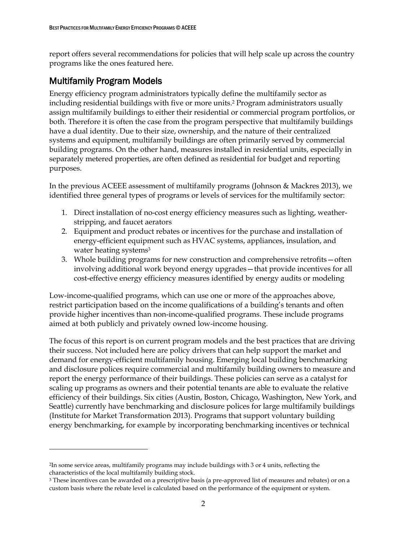report offers several recommendations for policies that will help scale up across the country programs like the ones featured here.

## <span id="page-11-0"></span>Multifamily Program Models

 $\overline{a}$ 

Energy efficiency program administrators typically define the multifamily sector as including residential buildings with five or more units.<sup>2</sup> Program administrators usually assign multifamily buildings to either their residential or commercial program portfolios, or both. Therefore it is often the case from the program perspective that multifamily buildings have a dual identity. Due to their size, ownership, and the nature of their centralized systems and equipment, multifamily buildings are often primarily served by commercial building programs. On the other hand, measures installed in residential units, especially in separately metered properties, are often defined as residential for budget and reporting purposes.

In the previous ACEEE assessment of multifamily programs (Johnson & Mackres 2013), we identified three general types of programs or levels of services for the multifamily sector:

- 1. Direct installation of no-cost energy efficiency measures such as lighting, weatherstripping, and faucet aerators
- 2. Equipment and product rebates or incentives for the purchase and installation of energy-efficient equipment such as HVAC systems, appliances, insulation, and water heating systems<sup>3</sup>
- 3. Whole building programs for new construction and comprehensive retrofits—often involving additional work beyond energy upgrades—that provide incentives for all cost-effective energy efficiency measures identified by energy audits or modeling

Low-income-qualified programs, which can use one or more of the approaches above, restrict participation based on the income qualifications of a building's tenants and often provide higher incentives than non-income-qualified programs. These include programs aimed at both publicly and privately owned low-income housing.

The focus of this report is on current program models and the best practices that are driving their success. Not included here are policy drivers that can help support the market and demand for energy-efficient multifamily housing. Emerging local building benchmarking and disclosure polices require commercial and multifamily building owners to measure and report the energy performance of their buildings. These policies can serve as a catalyst for scaling up programs as owners and their potential tenants are able to evaluate the relative efficiency of their buildings. Six cities (Austin, Boston, Chicago, Washington, New York, and Seattle) currently have benchmarking and disclosure polices for large multifamily buildings (Institute for Market Transformation 2013). Programs that support voluntary building energy benchmarking, for example by incorporating benchmarking incentives or technical

<sup>2</sup>In some service areas, multifamily programs may include buildings with 3 or 4 units, reflecting the characteristics of the local multifamily building stock.

<sup>&</sup>lt;sup>3</sup> These incentives can be awarded on a prescriptive basis (a pre-approved list of measures and rebates) or on a custom basis where the rebate level is calculated based on the performance of the equipment or system.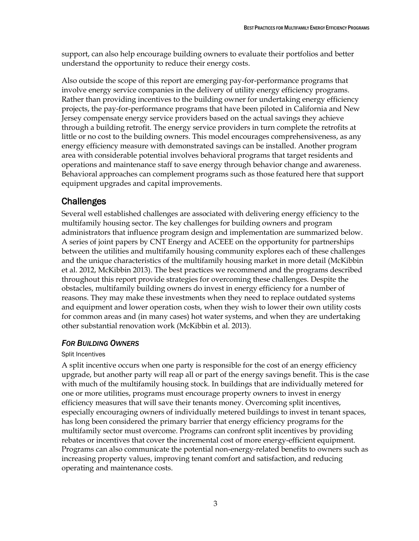support, can also help encourage building owners to evaluate their portfolios and better understand the opportunity to reduce their energy costs.

Also outside the scope of this report are emerging pay-for-performance programs that involve energy service companies in the delivery of utility energy efficiency programs. Rather than providing incentives to the building owner for undertaking energy efficiency projects, the pay-for-performance programs that have been piloted in California and New Jersey compensate energy service providers based on the actual savings they achieve through a building retrofit. The energy service providers in turn complete the retrofits at little or no cost to the building owners. This model encourages comprehensiveness, as any energy efficiency measure with demonstrated savings can be installed. Another program area with considerable potential involves behavioral programs that target residents and operations and maintenance staff to save energy through behavior change and awareness. Behavioral approaches can complement programs such as those featured here that support equipment upgrades and capital improvements.

## <span id="page-12-0"></span>Challenges

Several well established challenges are associated with delivering energy efficiency to the multifamily housing sector. The key challenges for building owners and program administrators that influence program design and implementation are summarized below. A series of joint papers by CNT Energy and ACEEE on the opportunity for partnerships between the utilities and multifamily housing community explores each of these challenges and the unique characteristics of the multifamily housing market in more detail (McKibbin et al. 2012, McKibbin 2013). The best practices we recommend and the programs described throughout this report provide strategies for overcoming these challenges. Despite the obstacles, multifamily building owners do invest in energy efficiency for a number of reasons. They may make these investments when they need to replace outdated systems and equipment and lower operation costs, when they wish to lower their own utility costs for common areas and (in many cases) hot water systems, and when they are undertaking other substantial renovation work (McKibbin et al. 2013).

### <span id="page-12-1"></span>*FOR BUILDING OWNERS*

#### Split Incentives

A split incentive occurs when one party is responsible for the cost of an energy efficiency upgrade, but another party will reap all or part of the energy savings benefit. This is the case with much of the multifamily housing stock. In buildings that are individually metered for one or more utilities, programs must encourage property owners to invest in energy efficiency measures that will save their tenants money. Overcoming split incentives, especially encouraging owners of individually metered buildings to invest in tenant spaces, has long been considered the primary barrier that energy efficiency programs for the multifamily sector must overcome. Programs can confront split incentives by providing rebates or incentives that cover the incremental cost of more energy-efficient equipment. Programs can also communicate the potential non-energy-related benefits to owners such as increasing property values, improving tenant comfort and satisfaction, and reducing operating and maintenance costs.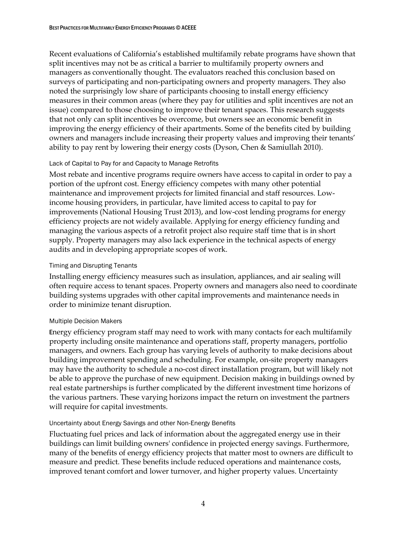Recent evaluations of California's established multifamily rebate programs have shown that split incentives may not be as critical a barrier to multifamily property owners and managers as conventionally thought. The evaluators reached this conclusion based on surveys of participating and non-participating owners and property managers. They also noted the surprisingly low share of participants choosing to install energy efficiency measures in their common areas (where they pay for utilities and split incentives are not an issue) compared to those choosing to improve their tenant spaces. This research suggests that not only can split incentives be overcome, but owners see an economic benefit in improving the energy efficiency of their apartments. Some of the benefits cited by building owners and managers include increasing their property values and improving their tenants' ability to pay rent by lowering their energy costs (Dyson, Chen & Samiullah 2010).

#### Lack of Capital to Pay for and Capacity to Manage Retrofits

Most rebate and incentive programs require owners have access to capital in order to pay a portion of the upfront cost. Energy efficiency competes with many other potential maintenance and improvement projects for limited financial and staff resources. Lowincome housing providers, in particular, have limited access to capital to pay for improvements (National Housing Trust 2013), and low-cost lending programs for energy efficiency projects are not widely available. Applying for energy efficiency funding and managing the various aspects of a retrofit project also require staff time that is in short supply. Property managers may also lack experience in the technical aspects of energy audits and in developing appropriate scopes of work.

#### Timing and Disrupting Tenants

Installing energy efficiency measures such as insulation, appliances, and air sealing will often require access to tenant spaces. Property owners and managers also need to coordinate building systems upgrades with other capital improvements and maintenance needs in order to minimize tenant disruption.

#### Multiple Decision Makers

Energy efficiency program staff may need to work with many contacts for each multifamily property including onsite maintenance and operations staff, property managers, portfolio managers, and owners. Each group has varying levels of authority to make decisions about building improvement spending and scheduling. For example, on-site property managers may have the authority to schedule a no-cost direct installation program, but will likely not be able to approve the purchase of new equipment. Decision making in buildings owned by real estate partnerships is further complicated by the different investment time horizons of the various partners. These varying horizons impact the return on investment the partners will require for capital investments.

#### Uncertainty about Energy Savings and other Non-Energy Benefits

Fluctuating fuel prices and lack of information about the aggregated energy use in their buildings can limit building owners' confidence in projected energy savings. Furthermore, many of the benefits of energy efficiency projects that matter most to owners are difficult to measure and predict. These benefits include reduced operations and maintenance costs, improved tenant comfort and lower turnover, and higher property values. Uncertainty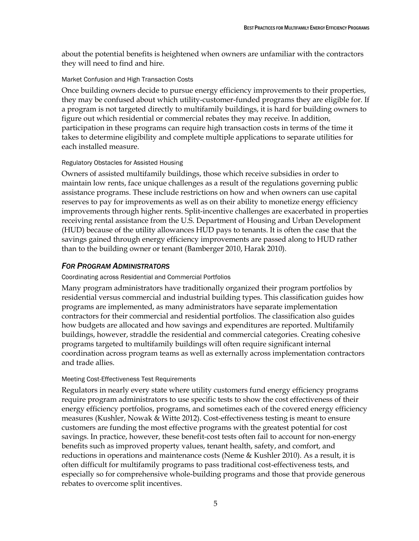about the potential benefits is heightened when owners are unfamiliar with the contractors they will need to find and hire.

#### Market Confusion and High Transaction Costs

Once building owners decide to pursue energy efficiency improvements to their properties, they may be confused about which utility-customer-funded programs they are eligible for. If a program is not targeted directly to multifamily buildings, it is hard for building owners to figure out which residential or commercial rebates they may receive. In addition, participation in these programs can require high transaction costs in terms of the time it takes to determine eligibility and complete multiple applications to separate utilities for each installed measure.

#### Regulatory Obstacles for Assisted Housing

Owners of assisted multifamily buildings, those which receive subsidies in order to maintain low rents, face unique challenges as a result of the regulations governing public assistance programs. These include restrictions on how and when owners can use capital reserves to pay for improvements as well as on their ability to monetize energy efficiency improvements through higher rents. Split-incentive challenges are exacerbated in properties receiving rental assistance from the U.S. Department of Housing and Urban Development (HUD) because of the utility allowances HUD pays to tenants. It is often the case that the savings gained through energy efficiency improvements are passed along to HUD rather than to the building owner or tenant (Bamberger 2010, Harak 2010).

### <span id="page-14-0"></span>*FOR PROGRAM ADMINISTRATORS*

#### Coordinating across Residential and Commercial Portfolios

Many program administrators have traditionally organized their program portfolios by residential versus commercial and industrial building types. This classification guides how programs are implemented, as many administrators have separate implementation contractors for their commercial and residential portfolios. The classification also guides how budgets are allocated and how savings and expenditures are reported. Multifamily buildings, however, straddle the residential and commercial categories. Creating cohesive programs targeted to multifamily buildings will often require significant internal coordination across program teams as well as externally across implementation contractors and trade allies.

#### Meeting Cost-Effectiveness Test Requirements

Regulators in nearly every state where utility customers fund energy efficiency programs require program administrators to use specific tests to show the cost effectiveness of their energy efficiency portfolios, programs, and sometimes each of the covered energy efficiency measures (Kushler, Nowak & Witte 2012). Cost-effectiveness testing is meant to ensure customers are funding the most effective programs with the greatest potential for cost savings. In practice, however, these benefit-cost tests often fail to account for non-energy benefits such as improved property values, tenant health, safety, and comfort, and reductions in operations and maintenance costs (Neme & Kushler 2010). As a result, it is often difficult for multifamily programs to pass traditional cost-effectiveness tests, and especially so for comprehensive whole-building programs and those that provide generous rebates to overcome split incentives.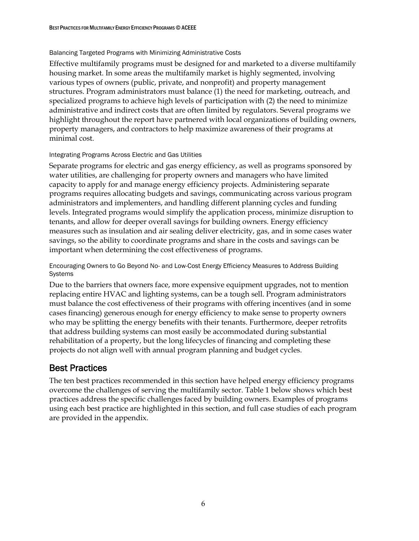#### Balancing Targeted Programs with Minimizing Administrative Costs

Effective multifamily programs must be designed for and marketed to a diverse multifamily housing market. In some areas the multifamily market is highly segmented, involving various types of owners (public, private, and nonprofit) and property management structures. Program administrators must balance (1) the need for marketing, outreach, and specialized programs to achieve high levels of participation with (2) the need to minimize administrative and indirect costs that are often limited by regulators. Several programs we highlight throughout the report have partnered with local organizations of building owners, property managers, and contractors to help maximize awareness of their programs at minimal cost.

#### Integrating Programs Across Electric and Gas Utilities

Separate programs for electric and gas energy efficiency, as well as programs sponsored by water utilities, are challenging for property owners and managers who have limited capacity to apply for and manage energy efficiency projects. Administering separate programs requires allocating budgets and savings, communicating across various program administrators and implementers, and handling different planning cycles and funding levels. Integrated programs would simplify the application process, minimize disruption to tenants, and allow for deeper overall savings for building owners. Energy efficiency measures such as insulation and air sealing deliver electricity, gas, and in some cases water savings, so the ability to coordinate programs and share in the costs and savings can be important when determining the cost effectiveness of programs.

Encouraging Owners to Go Beyond No- and Low-Cost Energy Efficiency Measures to Address Building Systems

Due to the barriers that owners face, more expensive equipment upgrades, not to mention replacing entire HVAC and lighting systems, can be a tough sell. Program administrators must balance the cost effectiveness of their programs with offering incentives (and in some cases financing) generous enough for energy efficiency to make sense to property owners who may be splitting the energy benefits with their tenants. Furthermore, deeper retrofits that address building systems can most easily be accommodated during substantial rehabilitation of a property, but the long lifecycles of financing and completing these projects do not align well with annual program planning and budget cycles.

## <span id="page-15-0"></span>Best Practices

The ten best practices recommended in this section have helped energy efficiency programs overcome the challenges of serving the multifamily sector. Table 1 below shows which best practices address the specific challenges faced by building owners. Examples of programs using each best practice are highlighted in this section, and full case studies of each program are provided in the appendix.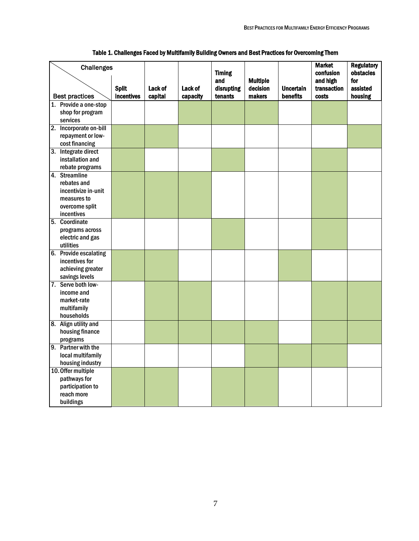| <b>Challenges</b>                  | <b>Split</b>      | Lack of | Lack of  | <b>Timing</b><br>and<br>disrupting | <b>Multiple</b><br>decision | <b>Uncertain</b> | <b>Market</b><br>confusion<br>and high<br>transaction | <b>Regulatory</b><br>obstacles<br>for<br>assisted |
|------------------------------------|-------------------|---------|----------|------------------------------------|-----------------------------|------------------|-------------------------------------------------------|---------------------------------------------------|
| <b>Best practices</b>              | <b>incentives</b> | capital | capacity | tenants                            | makers                      | benefits         | costs                                                 | housing                                           |
| 1. Provide a one-stop              |                   |         |          |                                    |                             |                  |                                                       |                                                   |
| shop for program                   |                   |         |          |                                    |                             |                  |                                                       |                                                   |
| services                           |                   |         |          |                                    |                             |                  |                                                       |                                                   |
| 2. Incorporate on-bill             |                   |         |          |                                    |                             |                  |                                                       |                                                   |
| repayment or low-                  |                   |         |          |                                    |                             |                  |                                                       |                                                   |
| cost financing                     |                   |         |          |                                    |                             |                  |                                                       |                                                   |
| 3. Integrate direct                |                   |         |          |                                    |                             |                  |                                                       |                                                   |
| installation and                   |                   |         |          |                                    |                             |                  |                                                       |                                                   |
| rebate programs                    |                   |         |          |                                    |                             |                  |                                                       |                                                   |
| 4. Streamline                      |                   |         |          |                                    |                             |                  |                                                       |                                                   |
| rebates and<br>incentivize in-unit |                   |         |          |                                    |                             |                  |                                                       |                                                   |
| measures to                        |                   |         |          |                                    |                             |                  |                                                       |                                                   |
| overcome split                     |                   |         |          |                                    |                             |                  |                                                       |                                                   |
| incentives                         |                   |         |          |                                    |                             |                  |                                                       |                                                   |
| 5. Coordinate                      |                   |         |          |                                    |                             |                  |                                                       |                                                   |
| programs across                    |                   |         |          |                                    |                             |                  |                                                       |                                                   |
| electric and gas                   |                   |         |          |                                    |                             |                  |                                                       |                                                   |
| utilities                          |                   |         |          |                                    |                             |                  |                                                       |                                                   |
| 6. Provide escalating              |                   |         |          |                                    |                             |                  |                                                       |                                                   |
| incentives for                     |                   |         |          |                                    |                             |                  |                                                       |                                                   |
| achieving greater                  |                   |         |          |                                    |                             |                  |                                                       |                                                   |
| savings levels                     |                   |         |          |                                    |                             |                  |                                                       |                                                   |
| 7. Serve both low-                 |                   |         |          |                                    |                             |                  |                                                       |                                                   |
| income and                         |                   |         |          |                                    |                             |                  |                                                       |                                                   |
| market-rate                        |                   |         |          |                                    |                             |                  |                                                       |                                                   |
| multifamily                        |                   |         |          |                                    |                             |                  |                                                       |                                                   |
| households                         |                   |         |          |                                    |                             |                  |                                                       |                                                   |
| 8. Align utility and               |                   |         |          |                                    |                             |                  |                                                       |                                                   |
| housing finance                    |                   |         |          |                                    |                             |                  |                                                       |                                                   |
| programs                           |                   |         |          |                                    |                             |                  |                                                       |                                                   |
| 9. Partner with the                |                   |         |          |                                    |                             |                  |                                                       |                                                   |
| local multifamily                  |                   |         |          |                                    |                             |                  |                                                       |                                                   |
| housing industry                   |                   |         |          |                                    |                             |                  |                                                       |                                                   |
| 10. Offer multiple                 |                   |         |          |                                    |                             |                  |                                                       |                                                   |
| pathways for<br>participation to   |                   |         |          |                                    |                             |                  |                                                       |                                                   |
| reach more                         |                   |         |          |                                    |                             |                  |                                                       |                                                   |
| buildings                          |                   |         |          |                                    |                             |                  |                                                       |                                                   |
|                                    |                   |         |          |                                    |                             |                  |                                                       |                                                   |

### Table 1. Challenges Faced by Multifamily Building Owners and Best Practices for Overcoming Them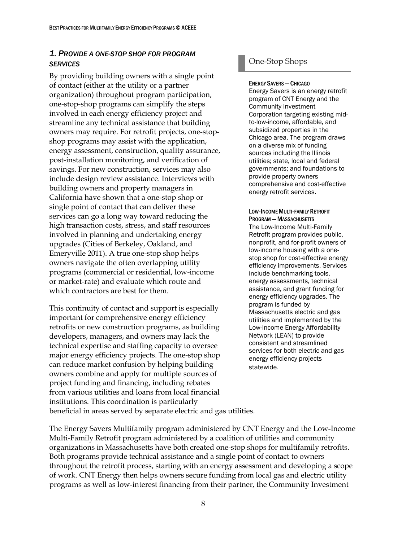### <span id="page-17-0"></span>*1. PROVIDE A ONE-STOP SHOP FOR PROGRAM SERVICES*

By providing building owners with a single point of contact (either at the utility or a partner organization) throughout program participation, one-stop-shop programs can simplify the steps involved in each energy efficiency project and streamline any technical assistance that building owners may require. For retrofit projects, one-stopshop programs may assist with the application, energy assessment, construction, quality assurance, post-installation monitoring, and verification of savings. For new construction, services may also include design review assistance. Interviews with building owners and property managers in California have shown that a one-stop shop or single point of contact that can deliver these services can go a long way toward reducing the high transaction costs, stress, and staff resources involved in planning and undertaking energy upgrades (Cities of Berkeley, Oakland, and Emeryville 2011). A true one-stop shop helps owners navigate the often overlapping utility programs (commercial or residential, low-income or market-rate) and evaluate which route and which contractors are best for them.

This continuity of contact and support is especially important for comprehensive energy efficiency retrofits or new construction programs, as building developers, managers, and owners may lack the technical expertise and staffing capacity to oversee major energy efficiency projects. The one-stop shop can reduce market confusion by helping building owners combine and apply for multiple sources of project funding and financing, including rebates from various utilities and loans from local financial institutions. This coordination is particularly

### One-Stop Shops

ENERGY SAVERS—CHICAGO

Energy Savers is an energy retrofit program of CNT Energy and the Community Investment Corporation targeting existing midto-low-income, affordable, and subsidized properties in the Chicago area. The program draws on a diverse mix of funding sources including the Illinois utilities; state, local and federal governments; and foundations to provide property owners comprehensive and cost-effective energy retrofit services.

LOW-INCOME MULTI-FAMILY RETROFIT PROGRAM — MASSACHUSETTS The Low-Income Multi-Family Retrofit program provides public, nonprofit, and for-profit owners of low-income housing with a onestop shop for cost-effective energy efficiency improvements. Services include benchmarking tools, energy assessments, technical assistance, and grant funding for energy efficiency upgrades. The program is funded by Massachusetts electric and gas utilities and implemented by the Low-Income Energy Affordability Network (LEAN) to provide consistent and streamlined services for both electric and gas energy efficiency projects statewide.

beneficial in areas served by separate electric and gas utilities.

The Energy Savers Multifamily program administered by CNT Energy and the Low-Income Multi-Family Retrofit program administered by a coalition of utilities and community organizations in Massachusetts have both created one-stop shops for multifamily retrofits. Both programs provide technical assistance and a single point of contact to owners throughout the retrofit process, starting with an energy assessment and developing a scope of work. CNT Energy then helps owners secure funding from local gas and electric utility programs as well as low-interest financing from their partner, the Community Investment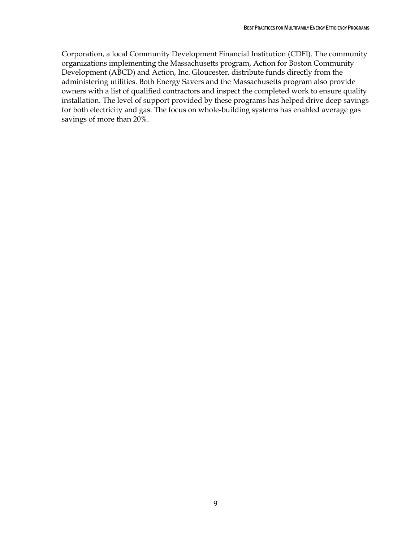Corporation, a local Community Development Financial Institution (CDFI). The community organizations implementing the Massachusetts program, Action for Boston Community Development (ABCD) and Action, Inc. Gloucester, distribute funds directly from the administering utilities. Both Energy Savers and the Massachusetts program also provide owners with a list of qualified contractors and inspect the completed work to ensure quality installation. The level of support provided by these programs has helped drive deep savings for both electricity and gas. The focus on whole-building systems has enabled average gas savings of more than 20%.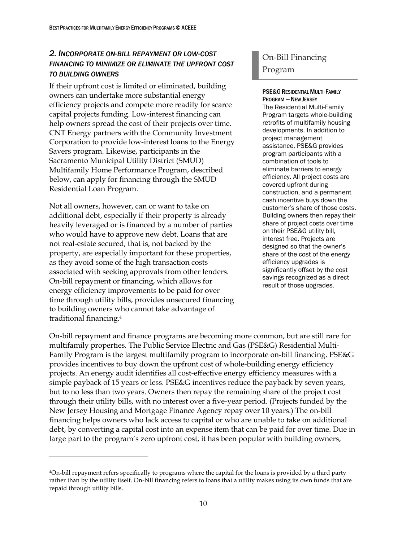### <span id="page-19-0"></span>*2. INCORPORATE ON-BILL REPAYMENT OR LOW-COST FINANCING TO MINIMIZE OR ELIMINATE THE UPFRONT COST TO BUILDING OWNERS*

If their upfront cost is limited or eliminated, building owners can undertake more substantial energy efficiency projects and compete more readily for scarce capital projects funding. Low-interest financing can help owners spread the cost of their projects over time. CNT Energy partners with the Community Investment Corporation to provide low-interest loans to the Energy Savers program. Likewise, participants in the Sacramento Municipal Utility District (SMUD) Multifamily Home Performance Program, described below, can apply for financing through the SMUD Residential Loan Program.

Not all owners, however, can or want to take on additional debt, especially if their property is already heavily leveraged or is financed by a number of parties who would have to approve new debt. Loans that are not real-estate secured, that is, not backed by the property, are especially important for these properties, as they avoid some of the high transaction costs associated with seeking approvals from other lenders. On-bill repayment or financing, which allows for energy efficiency improvements to be paid for over time through utility bills, provides unsecured financing to building owners who cannot take advantage of traditional financing.<sup>4</sup>

 $\overline{a}$ 

# On-Bill Financing Program

#### PSE&G RESIDENTIAL MULTI-FAMILY PROGRAM - NEW JERSEY

The Residential Multi-Family Program targets whole-building retrofits of multifamily housing developments. In addition to project management assistance, PSE&G provides program participants with a combination of tools to eliminate barriers to energy efficiency. All project costs are covered upfront during construction, and a permanent cash incentive buys down the customer's share of those costs. Building owners then repay their share of project costs over time on their PSE&G utility bill, interest free. Projects are designed so that the owner's share of the cost of the energy efficiency upgrades is significantly offset by the cost savings recognized as a direct result of those upgrades.

On-bill repayment and finance programs are becoming more common, but are still rare for multifamily properties. The Public Service Electric and Gas (PSE&G) Residential Multi-Family Program is the largest multifamily program to incorporate on-bill financing. PSE&G provides incentives to buy down the upfront cost of whole-building energy efficiency projects. An energy audit identifies all cost-effective energy efficiency measures with a simple payback of 15 years or less. PSE&G incentives reduce the payback by seven years, but to no less than two years. Owners then repay the remaining share of the project cost through their utility bills, with no interest over a five-year period. (Projects funded by the New Jersey Housing and Mortgage Finance Agency repay over 10 years.) The on-bill financing helps owners who lack access to capital or who are unable to take on additional debt, by converting a capital cost into an expense item that can be paid for over time. Due in large part to the program's zero upfront cost, it has been popular with building owners,

<sup>4</sup>On-bill repayment refers specifically to programs where the capital for the loans is provided by a third party rather than by the utility itself. On-bill financing refers to loans that a utility makes using its own funds that are repaid through utility bills.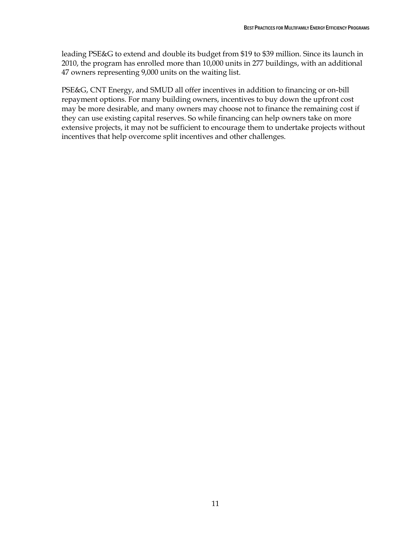leading PSE&G to extend and double its budget from \$19 to \$39 million. Since its launch in 2010, the program has enrolled more than 10,000 units in 277 buildings, with an additional 47 owners representing 9,000 units on the waiting list.

PSE&G, CNT Energy, and SMUD all offer incentives in addition to financing or on-bill repayment options. For many building owners, incentives to buy down the upfront cost may be more desirable, and many owners may choose not to finance the remaining cost if they can use existing capital reserves. So while financing can help owners take on more extensive projects, it may not be sufficient to encourage them to undertake projects without incentives that help overcome split incentives and other challenges.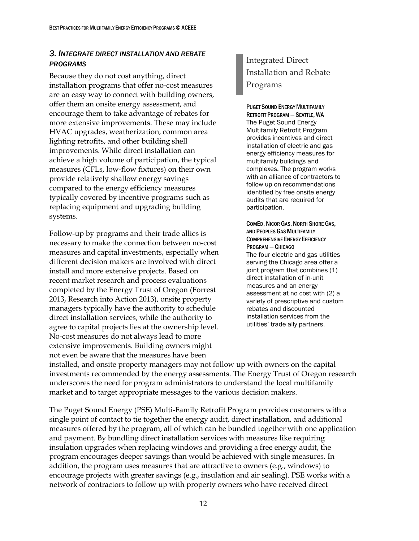### <span id="page-21-0"></span>*3. INTEGRATE DIRECT INSTALLATION AND REBATE PROGRAMS*

Because they do not cost anything, direct installation programs that offer no-cost measures are an easy way to connect with building owners, offer them an onsite energy assessment, and encourage them to take advantage of rebates for more extensive improvements. These may include HVAC upgrades, weatherization, common area lighting retrofits, and other building shell improvements. While direct installation can achieve a high volume of participation, the typical measures (CFLs, low-flow fixtures) on their own provide relatively shallow energy savings compared to the energy efficiency measures typically covered by incentive programs such as replacing equipment and upgrading building systems.

Follow-up by programs and their trade allies is necessary to make the connection between no-cost measures and capital investments, especially when different decision makers are involved with direct install and more extensive projects. Based on recent market research and process evaluations completed by the Energy Trust of Oregon (Forrest 2013, Research into Action 2013), onsite property managers typically have the authority to schedule direct installation services, while the authority to agree to capital projects lies at the ownership level. No-cost measures do not always lead to more extensive improvements. Building owners might not even be aware that the measures have been

# Integrated Direct Installation and Rebate Programs

PUGET SOUND ENERGY MULTIFAMILY RETROFIT PROGRAM - SEATTLE, WA The Puget Sound Energy Multifamily Retrofit Program provides incentives and direct installation of electric and gas energy efficiency measures for multifamily buildings and complexes. The program works with an alliance of contractors to follow up on recommendations identified by free onsite energy audits that are required for participation.

COMED, NICOR GAS, NORTH SHORE GAS, AND PEOPLES GAS MULTIFAMILY COMPREHENSIVE ENERGY EFFICIENCY PROGRAM —CHICAGO The four electric and gas utilities serving the Chicago area offer a joint program that combines (1) direct installation of in-unit measures and an energy assessment at no cost with (2) a variety of prescriptive and custom rebates and discounted installation services from the utilities' trade ally partners.

installed, and onsite property managers may not follow up with owners on the capital investments recommended by the energy assessments. The Energy Trust of Oregon research underscores the need for program administrators to understand the local multifamily market and to target appropriate messages to the various decision makers.

The Puget Sound Energy (PSE) Multi-Family Retrofit Program provides customers with a single point of contact to tie together the energy audit, direct installation, and additional measures offered by the program, all of which can be bundled together with one application and payment. By bundling direct installation services with measures like requiring insulation upgrades when replacing windows and providing a free energy audit, the program encourages deeper savings than would be achieved with single measures. In addition, the program uses measures that are attractive to owners (e.g., windows) to encourage projects with greater savings (e.g., insulation and air sealing). PSE works with a network of contractors to follow up with property owners who have received direct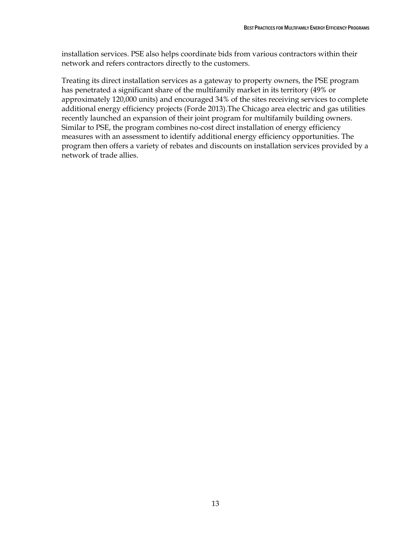installation services. PSE also helps coordinate bids from various contractors within their network and refers contractors directly to the customers.

Treating its direct installation services as a gateway to property owners, the PSE program has penetrated a significant share of the multifamily market in its territory (49% or approximately 120,000 units) and encouraged 34% of the sites receiving services to complete additional energy efficiency projects (Forde 2013).The Chicago area electric and gas utilities recently launched an expansion of their joint program for multifamily building owners. Similar to PSE, the program combines no-cost direct installation of energy efficiency measures with an assessment to identify additional energy efficiency opportunities. The program then offers a variety of rebates and discounts on installation services provided by a network of trade allies.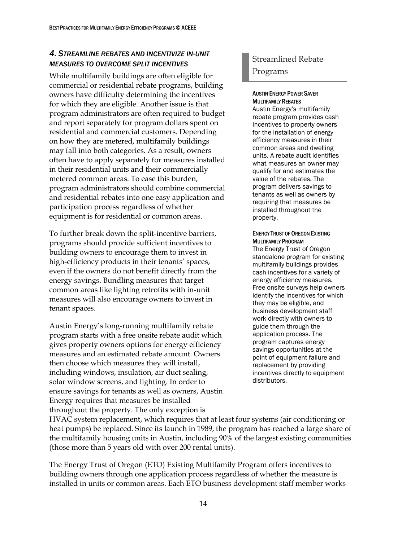### <span id="page-23-0"></span>*4. STREAMLINE REBATES AND INCENTIVIZE IN-UNIT MEASURES TO OVERCOME SPLIT INCENTIVES*

While multifamily buildings are often eligible for commercial or residential rebate programs, building owners have difficulty determining the incentives for which they are eligible. Another issue is that program administrators are often required to budget and report separately for program dollars spent on residential and commercial customers. Depending on how they are metered, multifamily buildings may fall into both categories. As a result, owners often have to apply separately for measures installed in their residential units and their commercially metered common areas. To ease this burden, program administrators should combine commercial and residential rebates into one easy application and participation process regardless of whether equipment is for residential or common areas.

To further break down the split-incentive barriers, programs should provide sufficient incentives to building owners to encourage them to invest in high-efficiency products in their tenants' spaces, even if the owners do not benefit directly from the energy savings. Bundling measures that target common areas like lighting retrofits with in-unit measures will also encourage owners to invest in tenant spaces.

Austin Energy's long-running multifamily rebate program starts with a free onsite rebate audit which gives property owners options for energy efficiency measures and an estimated rebate amount. Owners then choose which measures they will install, including windows, insulation, air duct sealing, solar window screens, and lighting. In order to ensure savings for tenants as well as owners, Austin Energy requires that measures be installed throughout the property. The only exception is

## Streamlined Rebate Programs

#### AUSTIN ENERGY POWER SAVER MULTIFAMILY REBATES

Austin Energy's multifamily rebate program provides cash incentives to property owners for the installation of energy efficiency measures in their common areas and dwelling units. A rebate audit identifies what measures an owner may qualify for and estimates the value of the rebates. The program delivers savings to tenants as well as owners by requiring that measures be installed throughout the property.

ENERGY TRUST OF OREGON EXISTING MULTIFAMILY PROGRAM The Energy Trust of Oregon standalone program for existing multifamily buildings provides cash incentives for a variety of energy efficiency measures. Free onsite surveys help owners identify the incentives for which they may be eligible, and business development staff work directly with owners to guide them through the application process. The program captures energy savings opportunities at the point of equipment failure and replacement by providing incentives directly to equipment distributors.

HVAC system replacement, which requires that at least four systems (air conditioning or heat pumps) be replaced. Since its launch in 1989, the program has reached a large share of the multifamily housing units in Austin, including 90% of the largest existing communities (those more than 5 years old with over 200 rental units).

The Energy Trust of Oregon (ETO) Existing Multifamily Program offers incentives to building owners through one application process regardless of whether the measure is installed in units or common areas. Each ETO business development staff member works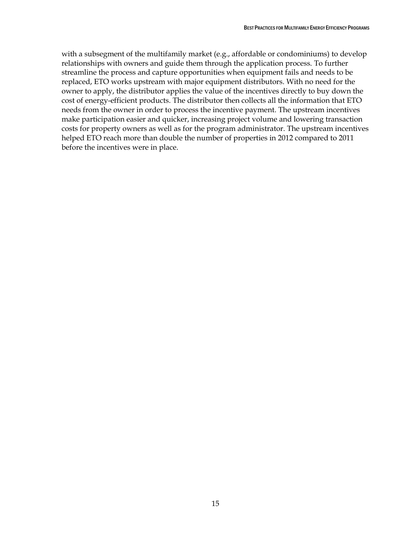with a subsegment of the multifamily market (e.g., affordable or condominiums) to develop relationships with owners and guide them through the application process. To further streamline the process and capture opportunities when equipment fails and needs to be replaced, ETO works upstream with major equipment distributors. With no need for the owner to apply, the distributor applies the value of the incentives directly to buy down the cost of energy-efficient products. The distributor then collects all the information that ETO needs from the owner in order to process the incentive payment. The upstream incentives make participation easier and quicker, increasing project volume and lowering transaction costs for property owners as well as for the program administrator. The upstream incentives helped ETO reach more than double the number of properties in 2012 compared to 2011 before the incentives were in place.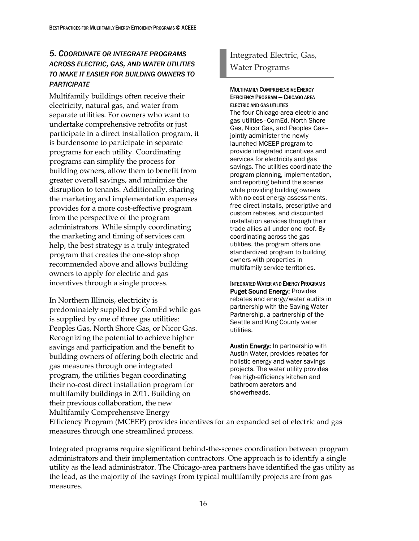### <span id="page-25-0"></span>*5. COORDINATE OR INTEGRATE PROGRAMS ACROSS ELECTRIC, GAS, AND WATER UTILITIES TO MAKE IT EASIER FOR BUILDING OWNERS TO PARTICIPATE*

Multifamily buildings often receive their electricity, natural gas, and water from separate utilities. For owners who want to undertake comprehensive retrofits or just participate in a direct installation program, it is burdensome to participate in separate programs for each utility. Coordinating programs can simplify the process for building owners, allow them to benefit from greater overall savings, and minimize the disruption to tenants. Additionally, sharing the marketing and implementation expenses provides for a more cost-effective program from the perspective of the program administrators. While simply coordinating the marketing and timing of services can help, the best strategy is a truly integrated program that creates the one-stop shop recommended above and allows building owners to apply for electric and gas incentives through a single process.

In Northern Illinois, electricity is predominately supplied by ComEd while gas is supplied by one of three gas utilities: Peoples Gas, North Shore Gas, or Nicor Gas. Recognizing the potential to achieve higher savings and participation and the benefit to building owners of offering both electric and gas measures through one integrated program, the utilities began coordinating their no-cost direct installation program for multifamily buildings in 2011. Building on their previous collaboration, the new Multifamily Comprehensive Energy

## Integrated Electric, Gas, Water Programs

#### MULTIFAMILY COMPREHENSIVE ENERGY EFFICIENCY PROGRAM —CHICAGO AREA ELECTRIC AND GAS UTILITIES

The four Chicago-area electric and gas utilities–ComEd, North Shore Gas, Nicor Gas, and Peoples Gas– jointly administer the newly launched MCEEP program to provide integrated incentives and services for electricity and gas savings. The utilities coordinate the program planning, implementation, and reporting behind the scenes while providing building owners with no-cost energy assessments, free direct installs, prescriptive and custom rebates, and discounted installation services through their trade allies all under one roof. By coordinating across the gas utilities, the program offers one standardized program to building owners with properties in multifamily service territories.

INTEGRATED WATER AND ENERGY PROGRAMS Puget Sound Energy: Provides rebates and energy/water audits in partnership with the Saving Water Partnership, a partnership of the Seattle and King County water utilities.

Austin Energy: In partnership with Austin Water, provides rebates for holistic energy and water savings projects. The water utility provides free high-efficiency kitchen and bathroom aerators and showerheads.

Efficiency Program (MCEEP) provides incentives for an expanded set of electric and gas measures through one streamlined process.

Integrated programs require significant behind-the-scenes coordination between program administrators and their implementation contractors. One approach is to identify a single utility as the lead administrator. The Chicago-area partners have identified the gas utility as the lead, as the majority of the savings from typical multifamily projects are from gas measures.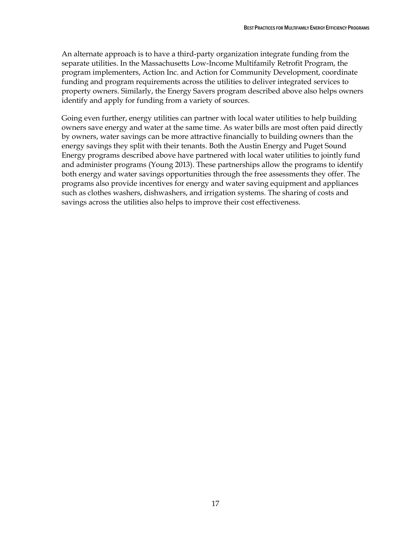An alternate approach is to have a third-party organization integrate funding from the separate utilities. In the Massachusetts Low-Income Multifamily Retrofit Program, the program implementers, Action Inc. and Action for Community Development, coordinate funding and program requirements across the utilities to deliver integrated services to property owners. Similarly, the Energy Savers program described above also helps owners identify and apply for funding from a variety of sources.

Going even further, energy utilities can partner with local water utilities to help building owners save energy and water at the same time. As water bills are most often paid directly by owners, water savings can be more attractive financially to building owners than the energy savings they split with their tenants. Both the Austin Energy and Puget Sound Energy programs described above have partnered with local water utilities to jointly fund and administer programs (Young 2013). These partnerships allow the programs to identify both energy and water savings opportunities through the free assessments they offer. The programs also provide incentives for energy and water saving equipment and appliances such as clothes washers, dishwashers, and irrigation systems. The sharing of costs and savings across the utilities also helps to improve their cost effectiveness.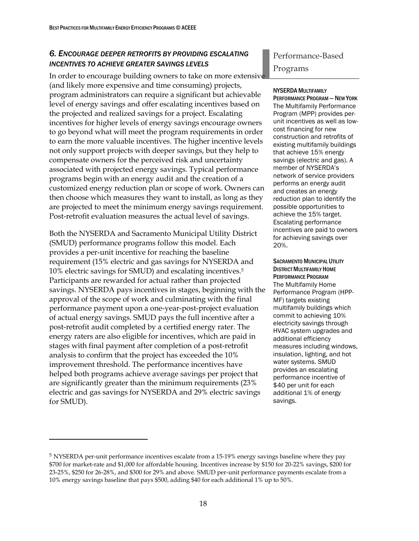### <span id="page-27-0"></span>*6. ENCOURAGE DEEPER RETROFITS BY PROVIDING ESCALATING INCENTIVES TO ACHIEVE GREATER SAVINGS LEVELS*

In order to encourage building owners to take on more extensive (and likely more expensive and time consuming) projects, program administrators can require a significant but achievable level of energy savings and offer escalating incentives based on the projected and realized savings for a project. Escalating incentives for higher levels of energy savings encourage owners to go beyond what will meet the program requirements in order to earn the more valuable incentives. The higher incentive levels not only support projects with deeper savings, but they help to compensate owners for the perceived risk and uncertainty associated with projected energy savings. Typical performance programs begin with an energy audit and the creation of a customized energy reduction plan or scope of work. Owners can then choose which measures they want to install, as long as they are projected to meet the minimum energy savings requirement. Post-retrofit evaluation measures the actual level of savings.

Both the NYSERDA and Sacramento Municipal Utility District (SMUD) performance programs follow this model. Each provides a per-unit incentive for reaching the baseline requirement (15% electric and gas savings for NYSERDA and 10% electric savings for SMUD) and escalating incentives.<sup>5</sup> Participants are rewarded for actual rather than projected savings. NYSERDA pays incentives in stages, beginning with the approval of the scope of work and culminating with the final performance payment upon a one-year-post-project evaluation of actual energy savings. SMUD pays the full incentive after a post-retrofit audit completed by a certified energy rater. The energy raters are also eligible for incentives, which are paid in stages with final payment after completion of a post-retrofit analysis to confirm that the project has exceeded the 10% improvement threshold. The performance incentives have helped both programs achieve average savings per project that are significantly greater than the minimum requirements (23% electric and gas savings for NYSERDA and 29% electric savings for SMUD).

 $\overline{a}$ 

# Performance-Based Programs

#### NYSERDA MULTIFAMILY

PERFORMANCE PROGRAM - NEW YORK The Multifamily Performance Program (MPP) provides perunit incentives as well as lowcost financing for new construction and retrofits of existing multifamily buildings that achieve 15% energy savings (electric and gas). A member of NYSERDA's network of service providers performs an energy audit and creates an energy reduction plan to identify the possible opportunities to achieve the 15% target. Escalating performance incentives are paid to owners for achieving savings over 20%.

#### SACRAMENTO MUNICIPAL UTILITY DISTRICT MULTIFAMILY HOME PERFORMANCE PROGRAM The Multifamily Home Performance Program (HPP-MF) targets existing multifamily buildings which commit to achieving 10% electricity savings through HVAC system upgrades and additional efficiency measures including windows, insulation, lighting, and hot water systems. SMUD provides an escalating performance incentive of \$40 per unit for each additional 1% of energy savings.

<sup>5</sup> NYSERDA per-unit performance incentives escalate from a 15-19% energy savings baseline where they pay \$700 for market-rate and \$1,000 for affordable housing. Incentives increase by \$150 for 20-22% savings, \$200 for 23-25%, \$250 for 26-28%, and \$300 for 29% and above. SMUD per-unit performance payments escalate from a 10% energy savings baseline that pays \$500, adding \$40 for each additional 1% up to 50%.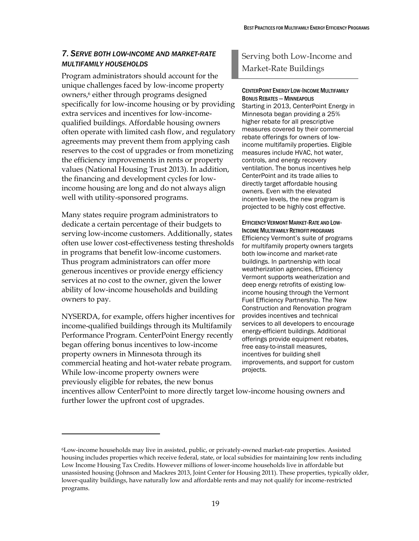### <span id="page-28-0"></span>*7. SERVE BOTH LOW-INCOME AND MARKET-RATE MULTIFAMILY HOUSEHOLDS*

Program administrators should account for the unique challenges faced by low-income property owners,<sup>6</sup> either through programs designed specifically for low-income housing or by providing extra services and incentives for low-incomequalified buildings. Affordable housing owners often operate with limited cash flow, and regulatory agreements may prevent them from applying cash reserves to the cost of upgrades or from monetizing the efficiency improvements in rents or property values (National Housing Trust 2013). In addition, the financing and development cycles for lowincome housing are long and do not always align well with utility-sponsored programs.

Many states require program administrators to dedicate a certain percentage of their budgets to serving low-income customers. Additionally, states often use lower cost-effectiveness testing thresholds in programs that benefit low-income customers. Thus program administrators can offer more generous incentives or provide energy efficiency services at no cost to the owner, given the lower ability of low-income households and building owners to pay.

NYSERDA, for example, offers higher incentives for income-qualified buildings through its Multifamily Performance Program. CenterPoint Energy recently began offering bonus incentives to low-income property owners in Minnesota through its commercial heating and hot-water rebate program. While low-income property owners were previously eligible for rebates, the new bonus

 $\overline{a}$ 

## Serving both Low-Income and Market-Rate Buildings

#### CENTERPOINT ENERGY LOW-INCOME MULTIFAMILY BONUS REBATES— MINNEAPOLIS

Starting in 2013, CenterPoint Energy in Minnesota began providing a 25% higher rebate for all prescriptive measures covered by their commercial rebate offerings for owners of lowincome multifamily properties. Eligible measures include HVAC, hot water, controls, and energy recovery ventilation. The bonus incentives help CenterPoint and its trade allies to directly target affordable housing owners. Even with the elevated incentive levels, the new program is projected to be highly cost effective.

EFFICIENCY VERMONT MARKET-RATE AND LOW-INCOME MULTIFAMILY RETROFIT PROGRAMS Efficiency Vermont's suite of programs for multifamily property owners targets both low-income and market-rate buildings. In partnership with local weatherization agencies, Efficiency Vermont supports weatherization and deep energy retrofits of existing lowincome housing through the Vermont Fuel Efficiency Partnership. The New Construction and Renovation program provides incentives and technical services to all developers to encourage energy-efficient buildings. Additional offerings provide equipment rebates, free easy-to-install measures, incentives for building shell improvements, and support for custom projects.

incentives allow CenterPoint to more directly target low-income housing owners and further lower the upfront cost of upgrades.

<sup>6</sup>Low-income households may live in assisted, public, or privately-owned market-rate properties. Assisted housing includes properties which receive federal, state, or local subsidies for maintaining low rents including Low Income Housing Tax Credits. However millions of lower-income households live in affordable but unassisted housing (Johnson and Mackres 2013, Joint Center for Housing 2011). These properties, typically older, lower-quality buildings, have naturally low and affordable rents and may not qualify for income-restricted programs.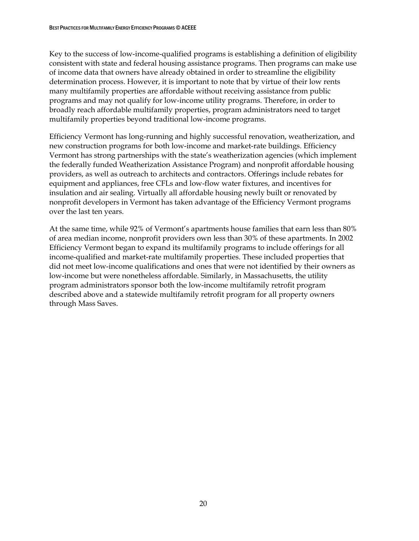Key to the success of low-income-qualified programs is establishing a definition of eligibility consistent with state and federal housing assistance programs. Then programs can make use of income data that owners have already obtained in order to streamline the eligibility determination process. However, it is important to note that by virtue of their low rents many multifamily properties are affordable without receiving assistance from public programs and may not qualify for low-income utility programs. Therefore, in order to broadly reach affordable multifamily properties, program administrators need to target multifamily properties beyond traditional low-income programs.

Efficiency Vermont has long-running and highly successful renovation, weatherization, and new construction programs for both low-income and market-rate buildings. Efficiency Vermont has strong partnerships with the state's weatherization agencies (which implement the federally funded Weatherization Assistance Program) and nonprofit affordable housing providers, as well as outreach to architects and contractors. Offerings include rebates for equipment and appliances, free CFLs and low-flow water fixtures, and incentives for insulation and air sealing. Virtually all affordable housing newly built or renovated by nonprofit developers in Vermont has taken advantage of the Efficiency Vermont programs over the last ten years.

At the same time, while 92% of Vermont's apartments house families that earn less than 80% of area median income, nonprofit providers own less than 30% of these apartments. In 2002 Efficiency Vermont began to expand its multifamily programs to include offerings for all income-qualified and market-rate multifamily properties. These included properties that did not meet low-income qualifications and ones that were not identified by their owners as low-income but were nonetheless affordable. Similarly, in Massachusetts, the utility program administrators sponsor both the low-income multifamily retrofit program described above and a statewide multifamily retrofit program for all property owners through Mass Saves.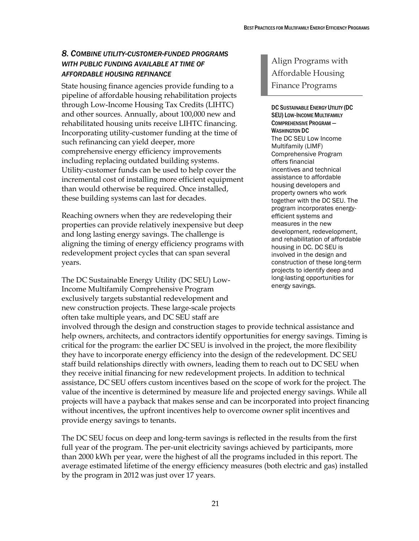### <span id="page-30-0"></span>*8. COMBINE UTILITY-CUSTOMER-FUNDED PROGRAMS WITH PUBLIC FUNDING AVAILABLE AT TIME OF AFFORDABLE HOUSING REFINANCE*

State housing finance agencies provide funding to a pipeline of affordable housing rehabilitation projects through Low-Income Housing Tax Credits (LIHTC) and other sources. Annually, about 100,000 new and rehabilitated housing units receive LIHTC financing. Incorporating utility-customer funding at the time of such refinancing can yield deeper, more comprehensive energy efficiency improvements including replacing outdated building systems. Utility-customer funds can be used to help cover the incremental cost of installing more efficient equipment than would otherwise be required. Once installed, these building systems can last for decades.

Reaching owners when they are redeveloping their properties can provide relatively inexpensive but deep and long lasting energy savings. The challenge is aligning the timing of energy efficiency programs with redevelopment project cycles that can span several years.

The DC Sustainable Energy Utility (DC SEU) Low-Income Multifamily Comprehensive Program exclusively targets substantial redevelopment and new construction projects. These large-scale projects often take multiple years, and DC SEU staff are

Align Programs with Affordable Housing Finance Programs

DC SUSTAINABLE ENERGY UTILITY (DC SEU) LOW-INCOME MULTIFAMILY COMPREHENSIVE PROGRAM — WASHINGTON DC The DC SEU Low Income Multifamily (LIMF) Comprehensive Program offers financial incentives and technical assistance to affordable housing developers and property owners who work together with the DC SEU. The program incorporates energyefficient systems and measures in the new development, redevelopment, and rehabilitation of affordable housing in DC. DC SEU is involved in the design and construction of these long-term projects to identify deep and long-lasting opportunities for energy savings.

involved through the design and construction stages to provide technical assistance and help owners, architects, and contractors identify opportunities for energy savings. Timing is critical for the program: the earlier DC SEU is involved in the project, the more flexibility they have to incorporate energy efficiency into the design of the redevelopment. DC SEU staff build relationships directly with owners, leading them to reach out to DC SEU when they receive initial financing for new redevelopment projects. In addition to technical assistance, DC SEU offers custom incentives based on the scope of work for the project. The value of the incentive is determined by measure life and projected energy savings. While all projects will have a payback that makes sense and can be incorporated into project financing without incentives, the upfront incentives help to overcome owner split incentives and provide energy savings to tenants.

The DC SEU focus on deep and long-term savings is reflected in the results from the first full year of the program. The per-unit electricity savings achieved by participants, more than 2000 kWh per year, were the highest of all the programs included in this report. The average estimated lifetime of the energy efficiency measures (both electric and gas) installed by the program in 2012 was just over 17 years.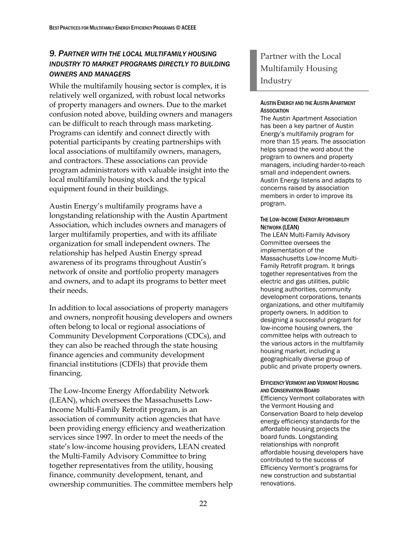### <span id="page-31-0"></span>*9. PARTNER WITH THE LOCAL MULTIFAMILY HOUSING INDUSTRY TO MARKET PROGRAMS DIRECTLY TO BUILDING OWNERS AND MANAGERS*

While the multifamily housing sector is complex, it is relatively well organized, with robust local networks of property managers and owners. Due to the market confusion noted above, building owners and managers can be difficult to reach through mass marketing. Programs can identify and connect directly with potential participants by creating partnerships with local associations of multifamily owners, managers, and contractors. These associations can provide program administrators with valuable insight into the local multifamily housing stock and the typical equipment found in their buildings.

Austin Energy's multifamily programs have a longstanding relationship with the Austin Apartment Association, which includes owners and managers of larger multifamily properties, and with its affiliate organization for small independent owners. The relationship has helped Austin Energy spread awareness of its programs throughout Austin's network of onsite and portfolio property managers and owners, and to adapt its programs to better meet their needs.

In addition to local associations of property managers and owners, nonprofit housing developers and owners often belong to local or regional associations of Community Development Corporations (CDCs), and they can also be reached through the state housing finance agencies and community development financial institutions (CDFIs) that provide them financing.

The Low-Income Energy Affordability Network (LEAN), which oversees the Massachusetts Low-Income Multi-Family Retrofit program, is an association of community action agencies that have been providing energy efficiency and weatherization services since 1997. In order to meet the needs of the state's low-income housing providers, LEAN created the Multi-Family Advisory Committee to bring together representatives from the utility, housing finance, community development, tenant, and ownership communities. The committee members help

## Partner with the Local Multifamily Housing Industry

#### AUSTIN ENERGY AND THE AUSTIN APARTMENT **ASSOCIATION**

The Austin Apartment Association has been a key partner of Austin Energy's multifamily program for more than 15 years. The association helps spread the word about the program to owners and property managers, including harder-to-reach small and independent owners. Austin Energy listens and adapts to concerns raised by association members in order to improve its program.

#### THE LOW-INCOME ENERGY AFFORDABILITY NETWORK (LEAN)

The LEAN Multi-Family Advisory Committee oversees the implementation of the Massachusetts Low-Income Multi-Family Retrofit program. It brings together representatives from the electric and gas utilities, public housing authorities, community development corporations, tenants organizations, and other multifamily property owners. In addition to designing a successful program for low-income housing owners, the committee helps with outreach to the various actors in the multifamily housing market, including a geographically diverse group of public and private property owners.

#### EFFICIENCY VERMONT AND VERMONT HOUSING AND CONSERVATION BOARD

Efficiency Vermont collaborates with the Vermont Housing and Conservation Board to help develop energy efficiency standards for the affordable housing projects the board funds. Longstanding relationships with nonprofit affordable housing developers have contributed to the success of Efficiency Vermont's programs for new construction and substantial renovations.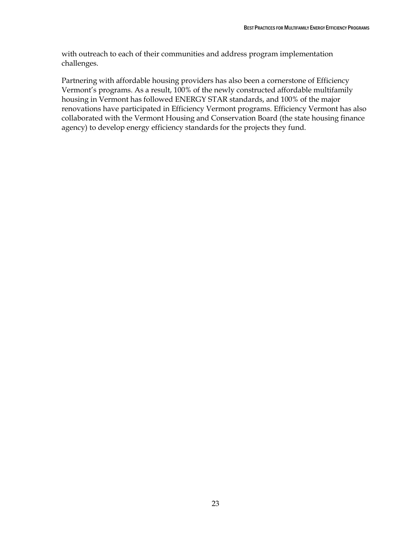with outreach to each of their communities and address program implementation challenges.

Partnering with affordable housing providers has also been a cornerstone of Efficiency Vermont's programs. As a result, 100% of the newly constructed affordable multifamily housing in Vermont has followed ENERGY STAR standards, and 100% of the major renovations have participated in Efficiency Vermont programs. Efficiency Vermont has also collaborated with the Vermont Housing and Conservation Board (the state housing finance agency) to develop energy efficiency standards for the projects they fund.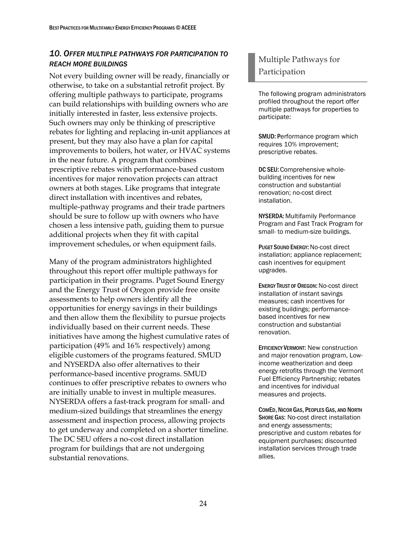### <span id="page-33-0"></span>*10. OFFER MULTIPLE PATHWAYS FOR PARTICIPATION TO REACH MORE BUILDINGS*

Not every building owner will be ready, financially or otherwise, to take on a substantial retrofit project. By offering multiple pathways to participate, programs can build relationships with building owners who are initially interested in faster, less extensive projects. Such owners may only be thinking of prescriptive rebates for lighting and replacing in-unit appliances at present, but they may also have a plan for capital improvements to boilers, hot water, or HVAC systems in the near future. A program that combines prescriptive rebates with performance-based custom incentives for major renovation projects can attract owners at both stages. Like programs that integrate direct installation with incentives and rebates, multiple-pathway programs and their trade partners should be sure to follow up with owners who have chosen a less intensive path, guiding them to pursue additional projects when they fit with capital improvement schedules, or when equipment fails.

Many of the program administrators highlighted throughout this report offer multiple pathways for participation in their programs. Puget Sound Energy and the Energy Trust of Oregon provide free onsite assessments to help owners identify all the opportunities for energy savings in their buildings and then allow them the flexibility to pursue projects individually based on their current needs. These initiatives have among the highest cumulative rates of participation (49% and 16% respectively) among eligible customers of the programs featured. SMUD and NYSERDA also offer alternatives to their performance-based incentive programs. SMUD continues to offer prescriptive rebates to owners who are initially unable to invest in multiple measures. NYSERDA offers a fast-track program for small- and medium-sized buildings that streamlines the energy assessment and inspection process, allowing projects to get underway and completed on a shorter timeline. The DC SEU offers a no-cost direct installation program for buildings that are not undergoing substantial renovations.

# Multiple Pathways for Participation

The following program administrators profiled throughout the report offer multiple pathways for properties to participate:

SMUD: Performance program which requires 10% improvement; prescriptive rebates.

DC SEU: Comprehensive wholebuilding incentives for new construction and substantial renovation; no-cost direct installation.

NYSERDA: Multifamily Performance Program and Fast Track Program for small- to medium-size buildings.

PUGET SOUND ENERGY: No-cost direct installation; appliance replacement; cash incentives for equipment upgrades.

ENERGY TRUST OF OREGON: No-cost direct installation of instant savings measures; cash incentives for existing buildings; performancebased incentives for new construction and substantial renovation.

EFFICIENCY VERMONT: New construction and major renovation program, Lowincome weatherization and deep energy retrofits through the Vermont Fuel Efficiency Partnership; rebates and incentives for individual measures and projects.

COMED, NICOR GAS, PEOPLES GAS, AND NORTH SHORE GAS: No-cost direct installation and energy assessments; prescriptive and custom rebates for equipment purchases; discounted installation services through trade allies.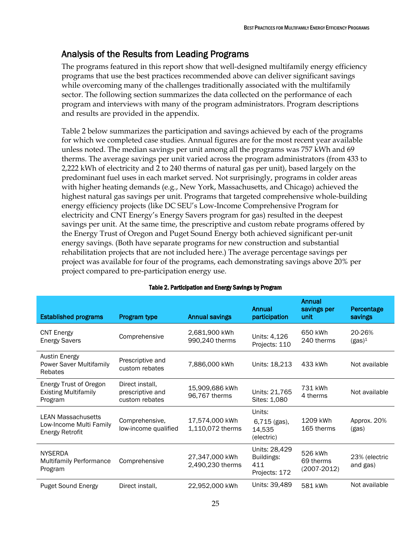# <span id="page-34-0"></span>Analysis of the Results from Leading Programs

The programs featured in this report show that well-designed multifamily energy efficiency programs that use the best practices recommended above can deliver significant savings while overcoming many of the challenges traditionally associated with the multifamily sector. The following section summarizes the data collected on the performance of each program and interviews with many of the program administrators. Program descriptions and results are provided in the appendix.

Table 2 below summarizes the participation and savings achieved by each of the programs for which we completed case studies. Annual figures are for the most recent year available unless noted. The median savings per unit among all the programs was 757 kWh and 69 therms. The average savings per unit varied across the program administrators (from 433 to 2,222 kWh of electricity and 2 to 240 therms of natural gas per unit), based largely on the predominant fuel uses in each market served. Not surprisingly, programs in colder areas with higher heating demands (e.g., New York, Massachusetts, and Chicago) achieved the highest natural gas savings per unit. Programs that targeted comprehensive whole-building energy efficiency projects (like DC SEU's Low-Income Comprehensive Program for electricity and CNT Energy's Energy Savers program for gas) resulted in the deepest savings per unit. At the same time, the prescriptive and custom rebate programs offered by the Energy Trust of Oregon and Puget Sound Energy both achieved significant per-unit energy savings. (Both have separate programs for new construction and substantial rehabilitation projects that are not included here.) The average percentage savings per project was available for four of the programs, each demonstrating savings above 20% per project compared to pre-participation energy use.

| <b>Established programs</b>                                                    | Program type                                          | <b>Annual savings</b>              | Annual<br>participation                             | Annual<br>savings per<br>unit           | Percentage<br>savings     |
|--------------------------------------------------------------------------------|-------------------------------------------------------|------------------------------------|-----------------------------------------------------|-----------------------------------------|---------------------------|
| <b>CNT Energy</b><br><b>Energy Savers</b>                                      | Comprehensive                                         | 2,681,900 kWh<br>990,240 therms    | Units: 4,126<br>Projects: 110                       | 650 kWh<br>240 therms                   | 20-26%<br>$(gas)^1$       |
| <b>Austin Energy</b><br><b>Power Saver Multifamily</b><br>Rebates              | Prescriptive and<br>custom rebates                    | 7,886,000 kWh                      | Units: 18,213                                       | 433 kWh                                 | Not available             |
| Energy Trust of Oregon<br><b>Existing Multifamily</b><br>Program               | Direct install,<br>prescriptive and<br>custom rebates | 15,909,686 kWh<br>96,767 therms    | Units: 21,765<br>Sites: 1,080                       | 731 kWh<br>4 therms                     | Not available             |
| <b>LEAN Massachusetts</b><br>Low-Income Multi Family<br><b>Energy Retrofit</b> | Comprehensive,<br>low-income qualified                | 17,574,000 kWh<br>1,110,072 therms | Units:<br>6,715 (gas),<br>14,535<br>(electric)      | 1209 kWh<br>165 therms                  | Approx. 20%<br>(gas)      |
| <b>NYSERDA</b><br><b>Multifamily Performance</b><br>Program                    | Comprehensive                                         | 27,347,000 kWh<br>2,490,230 therms | Units: 28,429<br>Buildings:<br>411<br>Projects: 172 | 526 kWh<br>69 therms<br>$(2007 - 2012)$ | 23% (electric<br>and gas) |
| Puget Sound Energy                                                             | Direct install,                                       | 22,952,000 kWh                     | Units: 39,489                                       | 581 kWh                                 | Not available             |

### Table 2. Participation and Energy Savings by Program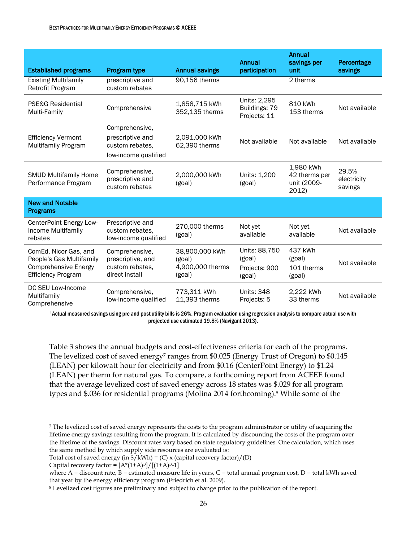| <b>Established programs</b>                                                                                   | Program type                                                             | <b>Annual savings</b>                                  | Annual<br>participation                            | Annual<br>savings per<br>unit                      | Percentage<br>savings           |
|---------------------------------------------------------------------------------------------------------------|--------------------------------------------------------------------------|--------------------------------------------------------|----------------------------------------------------|----------------------------------------------------|---------------------------------|
| <b>Existing Multifamily</b><br>Retrofit Program                                                               | prescriptive and<br>custom rebates                                       | 90,156 therms                                          |                                                    | 2 therms                                           |                                 |
| PSE&G Residential<br>Multi-Family                                                                             | Comprehensive                                                            | 1,858,715 kWh<br>352,135 therms                        | Units: 2,295<br>Buildings: 79<br>Projects: 11      | 810 kWh<br>153 therms                              | Not available                   |
|                                                                                                               | Comprehensive,                                                           |                                                        |                                                    |                                                    |                                 |
| <b>Efficiency Vermont</b><br><b>Multifamily Program</b>                                                       | prescriptive and<br>custom rebates.<br>low-income qualified              | 2,091,000 kWh<br>62,390 therms                         | Not available                                      | Not available                                      | Not available                   |
| <b>SMUD Multifamily Home</b><br>Performance Program                                                           | Comprehensive,<br>prescriptive and<br>custom rebates                     | 2,000,000 kWh<br>(goal)                                | Units: 1,200<br>(goal)                             | 1,980 kWh<br>42 therms per<br>unit (2009-<br>2012) | 29.5%<br>electricity<br>savings |
| <b>New and Notable</b><br><b>Programs</b>                                                                     |                                                                          |                                                        |                                                    |                                                    |                                 |
| CenterPoint Energy Low-<br>Income Multifamily<br>rebates                                                      | Prescriptive and<br>custom rebates,<br>low-income qualified              | 270,000 therms<br>(goal)                               | Not yet<br>available                               | Not yet<br>available                               | Not available                   |
| ComEd, Nicor Gas, and<br>People's Gas Multifamily<br><b>Comprehensive Energy</b><br><b>Efficiency Program</b> | Comprehensive,<br>prescriptive, and<br>custom rebates,<br>direct install | 38,800,000 kWh<br>(goal)<br>4,900,000 therms<br>(goal) | Units: 88,750<br>(goal)<br>Projects: 900<br>(goal) | 437 kWh<br>(goal)<br>101 therms<br>(goal)          | Not available                   |
| DC SEU Low-Income<br>Multifamily<br>Comprehensive                                                             | Comprehensive,<br>low-income qualified                                   | 773,311 kWh<br>11,393 therms                           | <b>Units: 348</b><br>Projects: 5                   | 2,222 kWh<br>33 therms                             | Not available                   |

<sup>1</sup>Actual measured savings using pre and post utility billsis 26%. Program evaluation using regression analysis to compare actual use with projected use estimated 19.8% (Navigant 2013).

Table 3 shows the annual budgets and cost-effectiveness criteria for each of the programs. The levelized cost of saved energy<sup>7</sup> ranges from \$0.025 (Energy Trust of Oregon) to \$0.145 (LEAN) per kilowatt hour for electricity and from \$0.16 (CenterPoint Energy) to \$1.24 (LEAN) per therm for natural gas. To compare, a forthcoming report from ACEEE found that the average levelized cost of saved energy across 18 states was \$.029 for all program types and \$.036 for residential programs (Molina 2014 forthcoming).<sup>8</sup> While some of the

 $\overline{a}$ 

<sup>7</sup> The levelized cost of saved energy represents the costs to the program administrator or utility of acquiring the lifetime energy savings resulting from the program. It is calculated by discounting the costs of the program over the lifetime of the savings. Discount rates vary based on state regulatory guidelines. One calculation, which uses the same method by which supply side resources are evaluated is:

Total cost of saved energy (in  $\frac{f}{k}$ Wh) = (C) x (capital recovery factor)/(D)

Capital recovery factor =  $[A*(1+A)^B]/[(1+A)^B-1]$ 

where A = discount rate, B = estimated measure life in years, C = total annual program cost, D = total kWh saved that year by the energy efficiency program (Friedrich et al. 2009).

<sup>8</sup> Levelized cost figures are preliminary and subject to change prior to the publication of the report.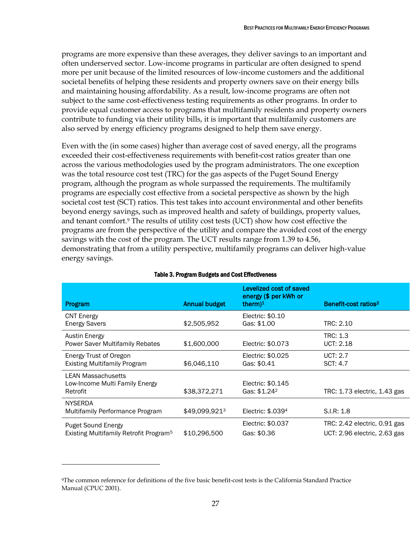programs are more expensive than these averages, they deliver savings to an important and often underserved sector. Low-income programs in particular are often designed to spend more per unit because of the limited resources of low-income customers and the additional societal benefits of helping these residents and property owners save on their energy bills and maintaining housing affordability. As a result, low-income programs are often not subject to the same cost-effectiveness testing requirements as other programs. In order to provide equal customer access to programs that multifamily residents and property owners contribute to funding via their utility bills, it is important that multifamily customers are also served by energy efficiency programs designed to help them save energy.

Even with the (in some cases) higher than average cost of saved energy, all the programs exceeded their cost-effectiveness requirements with benefit-cost ratios greater than one across the various methodologies used by the program administrators. The one exception was the total resource cost test (TRC) for the gas aspects of the Puget Sound Energy program, although the program as whole surpassed the requirements. The multifamily programs are especially cost effective from a societal perspective as shown by the high societal cost test (SCT) ratios. This test takes into account environmental and other benefits beyond energy savings, such as improved health and safety of buildings, property values, and tenant comfort. <sup>9</sup> The results of utility cost tests (UCT) show how cost effective the programs are from the perspective of the utility and compare the avoided cost of the energy savings with the cost of the program. The UCT results range from 1.39 to 4.56, demonstrating that from a utility perspective, multifamily programs can deliver high-value energy savings.

| Program                                                                         | <b>Annual budget</b> | Levelized cost of saved<br>energy (\$ per kWh or<br>therm $)^1$ | Benefit-cost ratios <sup>2</sup>                             |
|---------------------------------------------------------------------------------|----------------------|-----------------------------------------------------------------|--------------------------------------------------------------|
| <b>CNT Energy</b><br><b>Energy Savers</b>                                       | \$2,505,952          | Electric: \$0.10<br>Gas: \$1.00                                 | TRC: 2.10                                                    |
| <b>Austin Energy</b><br><b>Power Saver Multifamily Rebates</b>                  | \$1,600,000          | Electric: \$0.073                                               | TRC: 1.3<br><b>UCT: 2.18</b>                                 |
| <b>Energy Trust of Oregon</b><br><b>Existing Multifamily Program</b>            | \$6,046,110          | Electric: \$0.025<br>Gas: \$0.41                                | UCT: 2.7<br>SCT: 4.7                                         |
| <b>LEAN Massachusetts</b><br>Low-Income Multi Family Energy<br>Retrofit         | \$38,372,271         | Electric: \$0.145<br>Gas: \$1.24 <sup>2</sup>                   | TRC: 1.73 electric, 1.43 gas                                 |
| <b>NYSERDA</b><br>Multifamily Performance Program                               | \$49,099,9213        | Electric: \$.0394                                               | S.I.R: 1.8                                                   |
| <b>Puget Sound Energy</b><br>Existing Multifamily Retrofit Program <sup>5</sup> | \$10,296,500         | Electric: \$0.037<br>Gas: \$0.36                                | TRC: 2.42 electric, 0.91 gas<br>UCT: 2.96 electric, 2.63 gas |

#### Table 3. Program Budgets and Cost Effectiveness

 $\overline{a}$ 

<sup>9</sup>The common reference for definitions of the five basic benefit-cost tests is the California Standard Practice Manual (CPUC 2001).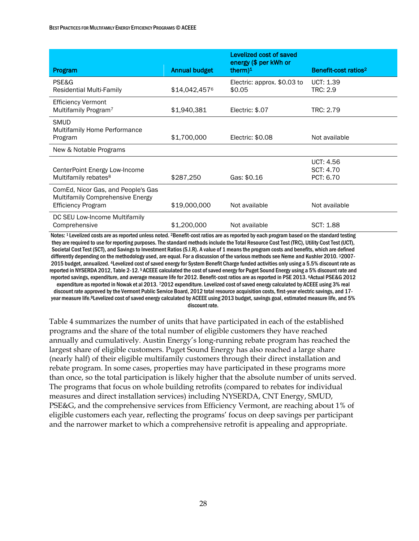|                                                                                                     |               | Levelized cost of saved<br>energy (\$ per kWh or |                                            |
|-----------------------------------------------------------------------------------------------------|---------------|--------------------------------------------------|--------------------------------------------|
| Program                                                                                             | Annual budget | therm $)^1$                                      | Benefit-cost ratios <sup>2</sup>           |
| PSE&G<br>Residential Multi-Family                                                                   | \$14,042,4576 | Electric: approx. \$0.03 to<br>\$0.05            | UCT: 1.39<br>TRC: 2.9                      |
| <b>Efficiency Vermont</b><br>Multifamily Program <sup>7</sup>                                       | \$1,940,381   | Electric: \$.07                                  | TRC: 2.79                                  |
| <b>SMUD</b><br><b>Multifamily Home Performance</b><br>Program                                       | \$1,700,000   | Electric: \$0.08                                 | Not available                              |
| New & Notable Programs                                                                              |               |                                                  |                                            |
| CenterPoint Energy Low-Income<br>Multifamily rebates <sup>8</sup>                                   | \$287,250     | Gas: \$0.16                                      | <b>UCT: 4.56</b><br>SCT: 4.70<br>PCT: 6.70 |
| ComEd, Nicor Gas, and People's Gas<br>Multifamily Comprehensive Energy<br><b>Efficiency Program</b> | \$19,000,000  | Not available                                    | Not available                              |
| DC SEU Low-Income Multifamily<br>Comprehensive                                                      | \$1,200,000   | Not available                                    | SCT: 1.88                                  |

Notes: 1 Levelized costs are as reported unless noted. 2Benefit-cost ratios are as reported by each program based on the standard testing they are required to use for reporting purposes. The standard methods include the Total Resource Cost Test (TRC), Utility Cost Test (UCT), Societal Cost Test (SCT), and Savingsto Investment Ratios (S.I.R). A value of 1 means the program costs and benefits, which are defined differently depending on the methodology used, are equal. For a discussion of the various methods see Neme and Kushler 2010. 32007- 2015 budget, annualized. 4Levelized cost of saved energy for System Benefit Charge funded activities only using a 5.5% discount rate as reported in NYSERDA 2012, Table 2-12.<sup>5</sup> ACEEE calculated the cost of saved energy for Puget Sound Energy using a 5% discount rate and reported savings, expenditure, and average measure life for 2012. Benefit-cost ratios are as reported in PSE 2013. 6Actual PSE&G 2012 expenditure as reported in Nowak et al 2013. 72012 expenditure. Levelized cost of saved energy calculated by ACEEE using 3% real discount rate approved by the Vermont Public Service Board, 2012 total resource acquisition costs, first-year electric savings, and 17 year measure life.8Levelized cost of saved energy calculated by ACEEE using 2013 budget, savings goal, estimated measure life, and 5% discount rate.

Table 4 summarizes the number of units that have participated in each of the established programs and the share of the total number of eligible customers they have reached annually and cumulatively. Austin Energy's long-running rebate program has reached the largest share of eligible customers. Puget Sound Energy has also reached a large share (nearly half) of their eligible multifamily customers through their direct installation and rebate program. In some cases, properties may have participated in these programs more than once, so the total participation is likely higher that the absolute number of units served. The programs that focus on whole building retrofits (compared to rebates for individual measures and direct installation services) including NYSERDA, CNT Energy, SMUD, PSE&G, and the comprehensive services from Efficiency Vermont, are reaching about 1% of eligible customers each year, reflecting the programs' focus on deep savings per participant and the narrower market to which a comprehensive retrofit is appealing and appropriate.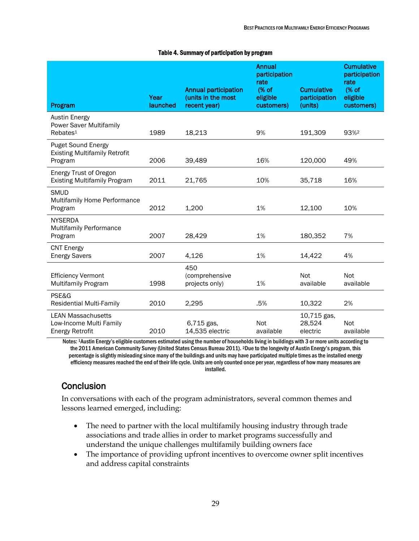#### Table 4. Summary of participation by program

|                                                                                | Year     | <b>Annual participation</b><br>(units in the most | <b>Annual</b><br>participation<br>rate<br>(% of<br>eligible | <b>Cumulative</b><br>participation | <b>Cumulative</b><br>participation<br>rate<br>(% of<br>eligible |
|--------------------------------------------------------------------------------|----------|---------------------------------------------------|-------------------------------------------------------------|------------------------------------|-----------------------------------------------------------------|
| Program                                                                        | launched | recent year)                                      | customers)                                                  | (units)                            | customers)                                                      |
| <b>Austin Energy</b><br><b>Power Saver Multifamily</b><br>Rebates <sup>1</sup> | 1989     | 18,213                                            | 9%                                                          | 191,309                            | 93% <sup>2</sup>                                                |
| <b>Puget Sound Energy</b><br><b>Existing Multifamily Retrofit</b><br>Program   | 2006     | 39,489                                            | 16%                                                         | 120,000                            | 49%                                                             |
| <b>Energy Trust of Oregon</b><br><b>Existing Multifamily Program</b>           | 2011     | 21,765                                            | 10%                                                         | 35,718                             | 16%                                                             |
| <b>SMUD</b><br>Multifamily Home Performance<br>Program                         | 2012     | 1,200                                             | 1%                                                          | 12,100                             | 10%                                                             |
| <b>NYSERDA</b><br><b>Multifamily Performance</b><br>Program                    | 2007     | 28,429                                            | 1%                                                          | 180,352                            | 7%                                                              |
| <b>CNT Energy</b><br><b>Energy Savers</b>                                      | 2007     | 4,126                                             | 1%                                                          | 14,422                             | 4%                                                              |
| <b>Efficiency Vermont</b><br>Multifamily Program                               | 1998     | 450<br>(comprehensive<br>projects only)           | 1%                                                          | Not<br>available                   | Not<br>available                                                |
| PSE&G<br><b>Residential Multi-Family</b>                                       | 2010     | 2,295                                             | .5%                                                         | 10,322                             | 2%                                                              |
| <b>LEAN Massachusetts</b><br>Low-Income Multi Family<br><b>Energy Retrofit</b> | 2010     | $6,715$ gas,<br>14,535 electric                   | Not<br>available                                            | 10,715 gas,<br>28,524<br>electric  | Not<br>available                                                |

Notes: <sup>1</sup>Austin Energy's eligible customers estimated using the number of households living in buildings with 3 or more units according to the 2011 American Community Survey (United States Census Bureau 2011). <sup>2</sup>Due to the longevity of Austin Energy's program, this percentage is slightly misleading since many of the buildings and units may have participated multiple times as the installed energy efficiency measures reached the end of their life cycle. Units are only counted once per year, regardless of how many measures are installed.

## **Conclusion**

In conversations with each of the program administrators, several common themes and lessons learned emerged, including:

- The need to partner with the local multifamily housing industry through trade associations and trade allies in order to market programs successfully and understand the unique challenges multifamily building owners face
- The importance of providing upfront incentives to overcome owner split incentives and address capital constraints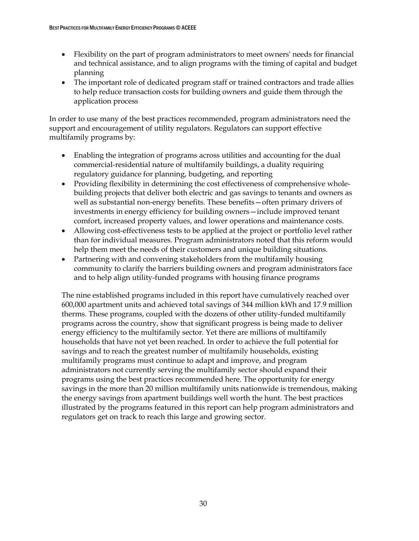- Flexibility on the part of program administrators to meet owners' needs for financial and technical assistance, and to align programs with the timing of capital and budget planning
- The important role of dedicated program staff or trained contractors and trade allies to help reduce transaction costs for building owners and guide them through the application process

In order to use many of the best practices recommended, program administrators need the support and encouragement of utility regulators. Regulators can support effective multifamily programs by:

- Enabling the integration of programs across utilities and accounting for the dual commercial-residential nature of multifamily buildings, a duality requiring regulatory guidance for planning, budgeting, and reporting
- Providing flexibility in determining the cost effectiveness of comprehensive wholebuilding projects that deliver both electric and gas savings to tenants and owners as well as substantial non-energy benefits. These benefits—often primary drivers of investments in energy efficiency for building owners—include improved tenant comfort, increased property values, and lower operations and maintenance costs.
- Allowing cost-effectiveness tests to be applied at the project or portfolio level rather than for individual measures. Program administrators noted that this reform would help them meet the needs of their customers and unique building situations.
- Partnering with and convening stakeholders from the multifamily housing community to clarify the barriers building owners and program administrators face and to help align utility-funded programs with housing finance programs

The nine established programs included in this report have cumulatively reached over 600,000 apartment units and achieved total savings of 344 million kWh and 17.9 million therms. These programs, coupled with the dozens of other utility-funded multifamily programs across the country, show that significant progress is being made to deliver energy efficiency to the multifamily sector. Yet there are millions of multifamily households that have not yet been reached. In order to achieve the full potential for savings and to reach the greatest number of multifamily households, existing multifamily programs must continue to adapt and improve, and program administrators not currently serving the multifamily sector should expand their programs using the best practices recommended here. The opportunity for energy savings in the more than 20 million multifamily units nationwide is tremendous, making the energy savings from apartment buildings well worth the hunt. The best practices illustrated by the programs featured in this report can help program administrators and regulators get on track to reach this large and growing sector.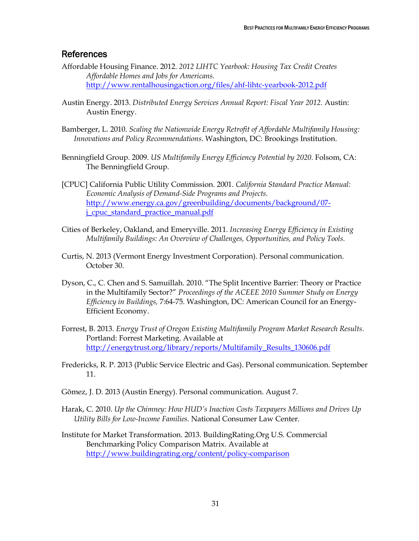### References

- Affordable Housing Finance. 2012. *2012 LIHTC Yearbook: Housing Tax Credit Creates Affordable Homes and Jobs for Americans.*  [http://www.rentalhousingaction.org/files/ahf-lihtc-yearbook-2012.pdf](http://www.rentalhousingaction.org/files/AHF-LIHTC-YEARBOOK-2012.pdf)
- Austin Energy. 2013*. Distributed Energy Services Annual Report: Fiscal Year 2012.* Austin: Austin Energy.
- Bamberger, L. 2010. *Scaling the Nationwide Energy Retrofit of Affordable Multifamily Housing: Innovations and Policy Recommendations*. Washington, DC: Brookings Institution.
- Benningfield Group. 2009. *US Multifamily Energy Efficiency Potential by 2020.* Folsom, CA: The Benningfield Group.
- [CPUC] California Public Utility Commission. 2001. *California Standard Practice Manual: Economic Analysis of Demand-Side Programs and Projects.*  [http://www.energy.ca.gov/greenbuilding/documents/background/07](http://www.energy.ca.gov/greenbuilding/documents/background/07-J_CPUC_STANDARD_PRACTICE_MANUAL.PDF) [j\\_cpuc\\_standard\\_practice\\_manual.pdf](http://www.energy.ca.gov/greenbuilding/documents/background/07-J_CPUC_STANDARD_PRACTICE_MANUAL.PDF)
- Cities of Berkeley, Oakland, and Emeryville. 2011. *Increasing Energy Efficiency in Existing Multifamily Buildings: An Overview of Challenges, Opportunities, and Policy Tools.*
- Curtis, N. 2013 (Vermont Energy Investment Corporation). Personal communication. October 30.
- Dyson, C., C. Chen and S. Samuillah. 2010. "The Split Incentive Barrier: Theory or Practice in the Multifamily Sector?" *Proceedings of the ACEEE 2010 Summer Study on Energy Efficiency in Buildings,* 7:64-75. Washington, DC: American Council for an Energy-Efficient Economy.
- Forrest, B. 2013. *Energy Trust of Oregon Existing Multifamily Program Market Research Results.*  Portland: Forrest Marketing. Available at [http://energytrust.org/library/reports/Multifamily\\_Results\\_130606.pdf](http://energytrust.org/library/reports/Multifamily_Results_130606.pdf)
- Fredericks, R. P. 2013 (Public Service Electric and Gas). Personal communication. September 11.
- Gõmez, J. D. 2013 (Austin Energy). Personal communication. August 7.
- Harak, C. 2010. *Up the Chimney: How HUD's Inaction Costs Taxpayers Millions and Drives Up Utility Bills for Low-Income Families.* National Consumer Law Center.
- Institute for Market Transformation. 2013. BuildingRating.Org U.S. Commercial Benchmarking Policy Comparison Matrix. Available at <http://www.buildingrating.org/content/policy-comparison>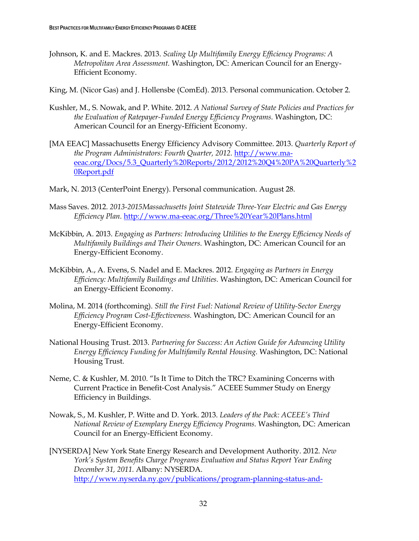Johnson, K. and E. Mackres. 2013. *Scaling Up Multifamily Energy Efficiency Programs: A Metropolitan Area Assessment.* Washington, DC: American Council for an Energy-Efficient Economy.

King, M. (Nicor Gas) and J. Hollensbe (ComEd). 2013. Personal communication. October 2.

- Kushler, M., S. Nowak, and P. White. 2012. *A National Survey of State Policies and Practices for the Evaluation of Ratepayer-Funded Energy Efficiency Programs.* Washington, DC: American Council for an Energy-Efficient Economy.
- [MA EEAC] Massachusetts Energy Efficiency Advisory Committee. 2013. *Quarterly Report of the Program Administrators: Fourth Quarter, 2012.* [http://www.ma](http://www.ma-eeac.org/Docs/5.3_Quarterly%20Reports/2012/2012%20Q4%20PA%20Quarterly%20Report.pdf)[eeac.org/Docs/5.3\\_Quarterly%20Reports/2012/2012%20Q4%20PA%20Quarterly%2](http://www.ma-eeac.org/Docs/5.3_Quarterly%20Reports/2012/2012%20Q4%20PA%20Quarterly%20Report.pdf) [0Report.pdf](http://www.ma-eeac.org/Docs/5.3_Quarterly%20Reports/2012/2012%20Q4%20PA%20Quarterly%20Report.pdf)
- Mark, N. 2013 (CenterPoint Energy). Personal communication. August 28.
- Mass Saves. 2012. *2013-2015Massachusetts Joint Statewide Three-Year Electric and Gas Energy Efficiency Plan.* <http://www.ma-eeac.org/Three%20Year%20Plans.html>
- McKibbin, A. 2013. *Engaging as Partners: Introducing Utilities to the Energy Efficiency Needs of Multifamily Buildings and Their Owners.* Washington, DC: American Council for an Energy-Efficient Economy.
- McKibbin, A., A. Evens, S. Nadel and E. Mackres. 2012. *Engaging as Partners in Energy Efficiency: Multifamily Buildings and Utilities.* Washington, DC: American Council for an Energy-Efficient Economy.
- Molina, M. 2014 (forthcoming). *Still the First Fuel: National Review of Utility-Sector Energy Efficiency Program Cost-Effectiveness.* Washington, DC: American Council for an Energy-Efficient Economy.
- National Housing Trust. 2013. *Partnering for Success: An Action Guide for Advancing Utility Energy Efficiency Funding for Multifamily Rental Housing.* Washington, DC: National Housing Trust.
- Neme, C. & Kushler, M. 2010. "Is It Time to Ditch the TRC? Examining Concerns with Current Practice in Benefit‐Cost Analysis." ACEEE Summer Study on Energy Efficiency in Buildings.
- Nowak, S., M. Kushler, P. Witte and D. York. 2013. *Leaders of the Pack: ACEEE's Third National Review of Exemplary Energy Efficiency Programs.* Washington, DC: American Council for an Energy-Efficient Economy.
- [NYSERDA] New York State Energy Research and Development Authority. 2012. *New York's System Benefits Charge Programs Evaluation and Status Report Year Ending December 31, 2011.* Albany: NYSERDA. [http://www.nyserda.ny.gov/publications/program-planning-status-and-](http://www.nyserda.ny.gov/publications/program-planning-status-and-evaluation-reports/-/media/files/publications/ppser/nyes%20program/2012/2011-nyes-evaluation.ashx)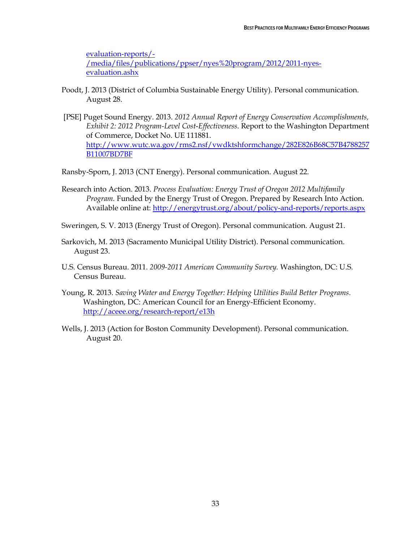[evaluation-reports/-](http://www.nyserda.ny.gov/publications/program-planning-status-and-evaluation-reports/-/media/files/publications/ppser/nyes%20program/2012/2011-nyes-evaluation.ashx) [/media/files/publications/ppser/nyes%20program/2012/2011-nyes](http://www.nyserda.ny.gov/publications/program-planning-status-and-evaluation-reports/-/media/files/publications/ppser/nyes%20program/2012/2011-nyes-evaluation.ashx)[evaluation.ashx](http://www.nyserda.ny.gov/publications/program-planning-status-and-evaluation-reports/-/media/files/publications/ppser/nyes%20program/2012/2011-nyes-evaluation.ashx)

- Poodt, J. 2013 (District of Columbia Sustainable Energy Utility). Personal communication. August 28.
- [PSE] Puget Sound Energy. 2013. *2012 Annual Report of Energy Conservation Accomplishments, Exhibit 2: 2012 Program-Level Cost*-*Effectiveness.* Report to the Washington Department of Commerce, Docket No. UE 111881. [http://www.wutc.wa.gov/rms2.nsf/vwdktshformchange/282E826B68C57B4788257](http://www.wutc.wa.gov/rms2.nsf/vwDktShFormChange/282E826B68C57B4788257B11007BD7BF) [B11007BD7BF](http://www.wutc.wa.gov/rms2.nsf/vwDktShFormChange/282E826B68C57B4788257B11007BD7BF)

Ransby-Sporn, J. 2013 (CNT Energy). Personal communication. August 22.

Research into Action. 2013. *Process Evaluation: Energy Trust of Oregon 2012 Multifamily Program.* Funded by the Energy Trust of Oregon. Prepared by Research Into Action. Available online at: [http://energytrust.org/about/policy-and-reports/reports.aspx](http://energytrust.org/About/policy-and-reports/Reports.aspx)

Sweringen, S. V. 2013 (Energy Trust of Oregon). Personal communication. August 21.

- Sarkovich, M. 2013 (Sacramento Municipal Utility District). Personal communication. August 23.
- U.S. Census Bureau. 2011. *2009-2011 American Community Survey.* Washington, DC: U.S. Census Bureau.
- Young, R. 2013. *Saving Water and Energy Together: Helping Utilities Build Better Programs.*  Washington, DC: American Council for an Energy-Efficient Economy. <http://aceee.org/research-report/e13h>
- Wells, J. 2013 (Action for Boston Community Development). Personal communication. August 20.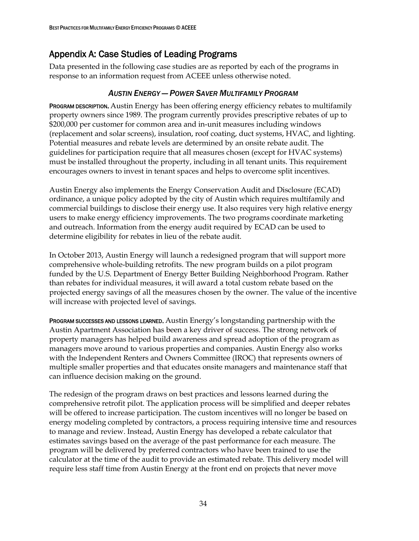# Appendix A: Case Studies of Leading Programs

Data presented in the following case studies are as reported by each of the programs in response to an information request from ACEEE unless otherwise noted.

### *AUSTIN ENERGY — POWER SAVER MULTIFAMILY PROGRAM*

PROGRAM DESCRIPTION. Austin Energy has been offering energy efficiency rebates to multifamily property owners since 1989. The program currently provides prescriptive rebates of up to \$200,000 per customer for common area and in-unit measures including windows (replacement and solar screens), insulation, roof coating, duct systems, HVAC, and lighting. Potential measures and rebate levels are determined by an onsite rebate audit. The guidelines for participation require that all measures chosen (except for HVAC systems) must be installed throughout the property, including in all tenant units. This requirement encourages owners to invest in tenant spaces and helps to overcome split incentives.

Austin Energy also implements the Energy Conservation Audit and Disclosure (ECAD) ordinance, a unique policy adopted by the city of Austin which requires multifamily and commercial buildings to disclose their energy use. It also requires very high relative energy users to make energy efficiency improvements. The two programs coordinate marketing and outreach. Information from the energy audit required by ECAD can be used to determine eligibility for rebates in lieu of the rebate audit.

In October 2013, Austin Energy will launch a redesigned program that will support more comprehensive whole-building retrofits. The new program builds on a pilot program funded by the U.S. Department of Energy Better Building Neighborhood Program. Rather than rebates for individual measures, it will award a total custom rebate based on the projected energy savings of all the measures chosen by the owner. The value of the incentive will increase with projected level of savings.

PROGRAM SUCCESSES AND LESSONS LEARNED. Austin Energy's longstanding partnership with the Austin Apartment Association has been a key driver of success. The strong network of property managers has helped build awareness and spread adoption of the program as managers move around to various properties and companies. Austin Energy also works with the Independent Renters and Owners Committee (IROC) that represents owners of multiple smaller properties and that educates onsite managers and maintenance staff that can influence decision making on the ground.

The redesign of the program draws on best practices and lessons learned during the comprehensive retrofit pilot. The application process will be simplified and deeper rebates will be offered to increase participation. The custom incentives will no longer be based on energy modeling completed by contractors, a process requiring intensive time and resources to manage and review. Instead, Austin Energy has developed a rebate calculator that estimates savings based on the average of the past performance for each measure. The program will be delivered by preferred contractors who have been trained to use the calculator at the time of the audit to provide an estimated rebate. This delivery model will require less staff time from Austin Energy at the front end on projects that never move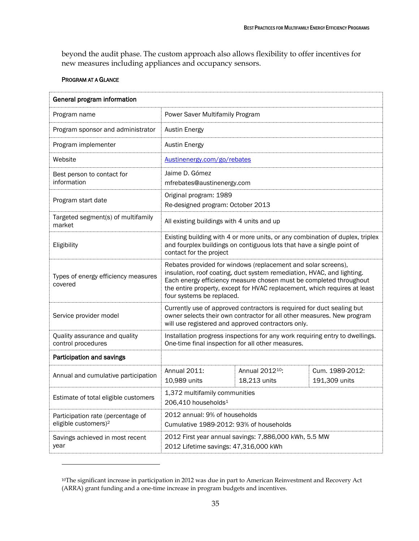beyond the audit phase. The custom approach also allows flexibility to offer incentives for new measures including appliances and occupancy sensors.

#### PROGRAM AT A GLANCE

 $\overline{a}$ 

| General program information                                           |                                                                                                                                                                                                                                                                                                                         |  |  |
|-----------------------------------------------------------------------|-------------------------------------------------------------------------------------------------------------------------------------------------------------------------------------------------------------------------------------------------------------------------------------------------------------------------|--|--|
| Program name                                                          | Power Saver Multifamily Program                                                                                                                                                                                                                                                                                         |  |  |
| Program sponsor and administrator                                     | <b>Austin Energy</b>                                                                                                                                                                                                                                                                                                    |  |  |
| Program implementer                                                   | <b>Austin Energy</b>                                                                                                                                                                                                                                                                                                    |  |  |
| Website                                                               | Austinenergy.com/go/rebates                                                                                                                                                                                                                                                                                             |  |  |
| Best person to contact for<br>information                             | Jaime D. Gómez<br>mfrebates@austinenergy.com                                                                                                                                                                                                                                                                            |  |  |
| Program start date                                                    | Original program: 1989<br>Re-designed program: October 2013                                                                                                                                                                                                                                                             |  |  |
| Targeted segment(s) of multifamily<br>market                          | All existing buildings with 4 units and up                                                                                                                                                                                                                                                                              |  |  |
| Eligibility                                                           | Existing building with 4 or more units, or any combination of duplex, triplex<br>and fourplex buildings on contiguous lots that have a single point of<br>contact for the project                                                                                                                                       |  |  |
| Types of energy efficiency measures<br>covered                        | Rebates provided for windows (replacement and solar screens),<br>insulation, roof coating, duct system remediation, HVAC, and lighting.<br>Each energy efficiency measure chosen must be completed throughout<br>the entire property, except for HVAC replacement, which requires at least<br>four systems be replaced. |  |  |
| Service provider model                                                | Currently use of approved contractors is required for duct sealing but<br>owner selects their own contractor for all other measures. New program<br>will use registered and approved contractors only.                                                                                                                  |  |  |
| Quality assurance and quality<br>control procedures                   | Installation progress inspections for any work requiring entry to dwellings.<br>One-time final inspection for all other measures.                                                                                                                                                                                       |  |  |
| Participation and savings                                             |                                                                                                                                                                                                                                                                                                                         |  |  |
| Annual and cumulative participation                                   | Annual 2011:<br>Annual 2012 <sup>10</sup> :<br>Cum. 1989-2012:<br>18,213 units<br>191,309 units<br>10,989 units                                                                                                                                                                                                         |  |  |
| Estimate of total eligible customers                                  | 1,372 multifamily communities<br>206,410 households <sup>1</sup>                                                                                                                                                                                                                                                        |  |  |
| Participation rate (percentage of<br>eligible customers) <sup>2</sup> | 2012 annual: 9% of households<br>Cumulative 1989-2012: 93% of households                                                                                                                                                                                                                                                |  |  |
| Savings achieved in most recent<br>year                               | 2012 First year annual savings: 7,886,000 kWh, 5.5 MW<br>2012 Lifetime savings: 47,316,000 kWh                                                                                                                                                                                                                          |  |  |

<sup>10</sup>The significant increase in participation in 2012 was due in part to American Reinvestment and Recovery Act (ARRA) grant funding and a one-time increase in program budgets and incentives.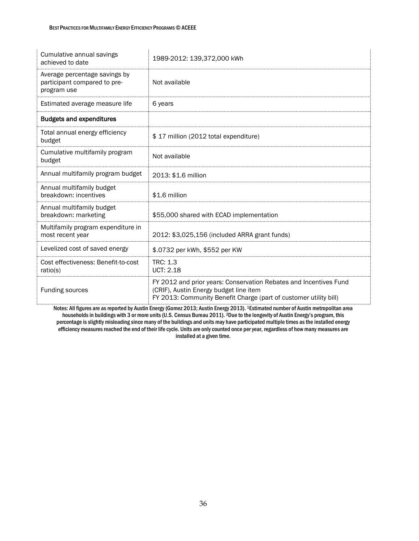| Cumulative annual savings<br>achieved to date                                | 1989-2012: 139,372,000 kWh                                                                                                                                                       |
|------------------------------------------------------------------------------|----------------------------------------------------------------------------------------------------------------------------------------------------------------------------------|
| Average percentage savings by<br>participant compared to pre-<br>program use | Not available                                                                                                                                                                    |
| Estimated average measure life                                               | 6 years                                                                                                                                                                          |
| <b>Budgets and expenditures</b>                                              |                                                                                                                                                                                  |
| Total annual energy efficiency<br>budget                                     | \$17 million (2012 total expenditure)                                                                                                                                            |
| Cumulative multifamily program<br>budget                                     | Not available                                                                                                                                                                    |
| Annual multifamily program budget                                            | 2013: \$1.6 million                                                                                                                                                              |
| Annual multifamily budget<br>breakdown: incentives                           | \$1.6 million                                                                                                                                                                    |
| Annual multifamily budget<br>breakdown: marketing                            | \$55,000 shared with ECAD implementation                                                                                                                                         |
| Multifamily program expenditure in<br>most recent year                       | 2012: \$3,025,156 (included ARRA grant funds)                                                                                                                                    |
| Levelized cost of saved energy                                               | \$.0732 per kWh, \$552 per KW                                                                                                                                                    |
| Cost effectiveness: Benefit-to-cost<br>ratio(s)                              | <b>TRC: 1.3</b><br><b>UCT: 2.18</b>                                                                                                                                              |
| <b>Funding sources</b>                                                       | FY 2012 and prior years: Conservation Rebates and Incentives Fund<br>(CRIF), Austin Energy budget line item<br>FY 2013: Community Benefit Charge (part of customer utility bill) |

Notes: All figures are as reported by Austin Energy (Gomez 2013; Austin Energy 2013). 1Estimated number of Austin metropolitan area households in buildings with 3 or more units (U.S. Census Bureau 2011). <sup>2</sup>Due to the longevity of Austin Energy's program, this percentage is slightly misleading since many of the buildings and units may have participated multiple times as the installed energy efficiency measures reached the end of their life cycle. Units are only counted once per year, regardless of how many measures are installed at a given time.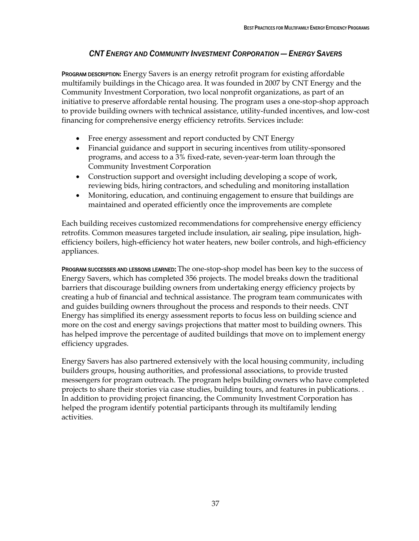### *CNT ENERGY AND COMMUNITY INVESTMENT CORPORATION — ENERGY SAVERS*

PROGRAM DESCRIPTION**:** Energy Savers is an energy retrofit program for existing affordable multifamily buildings in the Chicago area. It was founded in 2007 by CNT Energy and the Community Investment Corporation, two local nonprofit organizations, as part of an initiative to preserve affordable rental housing. The program uses a one-stop-shop approach to provide building owners with technical assistance, utility-funded incentives, and low-cost financing for comprehensive energy efficiency retrofits. Services include:

- Free energy assessment and report conducted by CNT Energy
- Financial guidance and support in securing incentives from utility-sponsored programs, and access to a 3% fixed-rate, seven-year-term loan through the Community Investment Corporation
- Construction support and oversight including developing a scope of work, reviewing bids, hiring contractors, and scheduling and monitoring installation
- Monitoring, education, and continuing engagement to ensure that buildings are maintained and operated efficiently once the improvements are complete

Each building receives customized recommendations for comprehensive energy efficiency retrofits. Common measures targeted include insulation, air sealing, pipe insulation, highefficiency boilers, high-efficiency hot water heaters, new boiler controls, and high-efficiency appliances.

PROGRAM SUCCESSES AND LESSONS LEARNED: The one-stop-shop model has been key to the success of Energy Savers, which has completed 356 projects. The model breaks down the traditional barriers that discourage building owners from undertaking energy efficiency projects by creating a hub of financial and technical assistance. The program team communicates with and guides building owners throughout the process and responds to their needs. CNT Energy has simplified its energy assessment reports to focus less on building science and more on the cost and energy savings projections that matter most to building owners. This has helped improve the percentage of audited buildings that move on to implement energy efficiency upgrades.

Energy Savers has also partnered extensively with the local housing community, including builders groups, housing authorities, and professional associations, to provide trusted messengers for program outreach. The program helps building owners who have completed projects to share their stories via case studies, building tours, and features in publications. . In addition to providing project financing, the Community Investment Corporation has helped the program identify potential participants through its multifamily lending activities.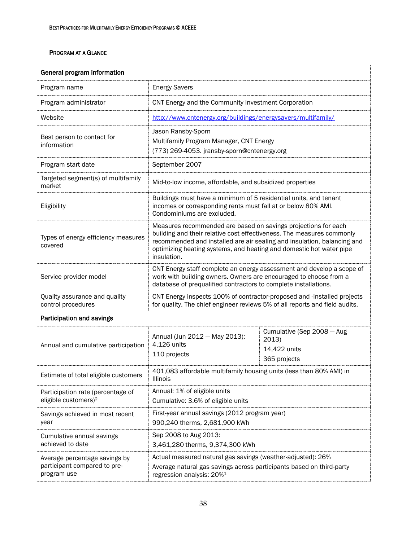| General program information                                                  |                                                                                                                                                                                                                                                                                                          |  |  |
|------------------------------------------------------------------------------|----------------------------------------------------------------------------------------------------------------------------------------------------------------------------------------------------------------------------------------------------------------------------------------------------------|--|--|
| Program name                                                                 | <b>Energy Savers</b>                                                                                                                                                                                                                                                                                     |  |  |
| Program administrator                                                        | CNT Energy and the Community Investment Corporation                                                                                                                                                                                                                                                      |  |  |
| Website                                                                      | http://www.cntenergy.org/buildings/energysavers/multifamily/                                                                                                                                                                                                                                             |  |  |
| Best person to contact for<br>information                                    | Jason Ransby-Sporn<br>Multifamily Program Manager, CNT Energy<br>(773) 269-4053. jransby-sporn@cntenergy.org                                                                                                                                                                                             |  |  |
| Program start date                                                           | September 2007                                                                                                                                                                                                                                                                                           |  |  |
| Targeted segment(s) of multifamily<br>market                                 | Mid-to-low income, affordable, and subsidized properties                                                                                                                                                                                                                                                 |  |  |
| Eligibility                                                                  | Buildings must have a minimum of 5 residential units, and tenant<br>incomes or corresponding rents must fall at or below 80% AMI.<br>Condominiums are excluded.                                                                                                                                          |  |  |
| Types of energy efficiency measures<br>covered                               | Measures recommended are based on savings projections for each<br>building and their relative cost effectiveness. The measures commonly<br>recommended and installed are air sealing and insulation, balancing and<br>optimizing heating systems, and heating and domestic hot water pipe<br>insulation. |  |  |
| Service provider model                                                       | CNT Energy staff complete an energy assessment and develop a scope of<br>work with building owners. Owners are encouraged to choose from a<br>database of prequalified contractors to complete installations.                                                                                            |  |  |
| Quality assurance and quality<br>control procedures                          | CNT Energy inspects 100% of contractor-proposed and -installed projects<br>for quality. The chief engineer reviews 5% of all reports and field audits.                                                                                                                                                   |  |  |
| Participation and savings                                                    |                                                                                                                                                                                                                                                                                                          |  |  |
| Annual and cumulative participation                                          | Cumulative (Sep 2008 - Aug<br>Annual (Jun 2012 - May 2013):<br>2013)<br>4,126 units<br>14,422 units<br>110 projects<br>365 projects                                                                                                                                                                      |  |  |
| Estimate of total eligible customers                                         | 401,083 affordable multifamily housing units (less than 80% AMI) in<br>Illinois                                                                                                                                                                                                                          |  |  |
| Participation rate (percentage of<br>eligible customers) <sup>2</sup>        | Annual: 1% of eligible units<br>Cumulative: 3.6% of eligible units                                                                                                                                                                                                                                       |  |  |
| Savings achieved in most recent<br>year                                      | First-year annual savings (2012 program year)<br>990,240 therms, 2,681,900 kWh                                                                                                                                                                                                                           |  |  |
| Cumulative annual savings<br>achieved to date                                | Sep 2008 to Aug 2013:<br>3,461,280 therms, 9,374,300 kWh                                                                                                                                                                                                                                                 |  |  |
| Average percentage savings by<br>participant compared to pre-<br>program use | Actual measured natural gas savings (weather-adjusted): 26%<br>Average natural gas savings across participants based on third-party<br>regression analysis: 20% <sup>1</sup>                                                                                                                             |  |  |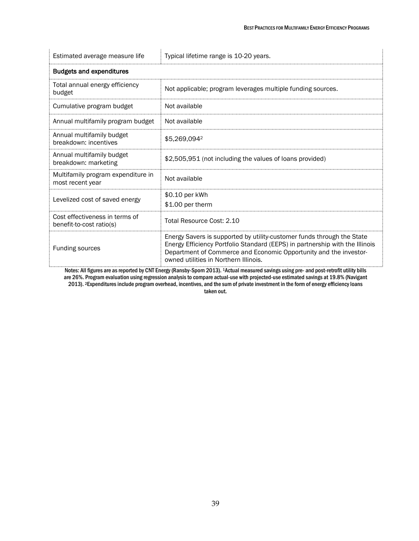| Estimated average measure life                             | Typical lifetime range is 10-20 years.                                                                                                                                                                                                                               |  |  |
|------------------------------------------------------------|----------------------------------------------------------------------------------------------------------------------------------------------------------------------------------------------------------------------------------------------------------------------|--|--|
| <b>Budgets and expenditures</b>                            |                                                                                                                                                                                                                                                                      |  |  |
| Total annual energy efficiency<br>budget                   | Not applicable; program leverages multiple funding sources.                                                                                                                                                                                                          |  |  |
| Cumulative program budget                                  | Not available                                                                                                                                                                                                                                                        |  |  |
| Annual multifamily program budget                          | Not available                                                                                                                                                                                                                                                        |  |  |
| Annual multifamily budget<br>breakdown: incentives         | \$5.269.0942                                                                                                                                                                                                                                                         |  |  |
| Annual multifamily budget<br>breakdown: marketing          | \$2,505,951 (not including the values of loans provided)                                                                                                                                                                                                             |  |  |
| Multifamily program expenditure in<br>most recent year     | Not available                                                                                                                                                                                                                                                        |  |  |
| Levelized cost of saved energy                             | \$0.10 per kWh<br>\$1.00 per therm                                                                                                                                                                                                                                   |  |  |
| Cost effectiveness in terms of<br>benefit-to-cost ratio(s) | Total Resource Cost: 2.10                                                                                                                                                                                                                                            |  |  |
| Funding sources                                            | Energy Savers is supported by utility-customer funds through the State<br>Energy Efficiency Portfolio Standard (EEPS) in partnership with the Illinois<br>Department of Commerce and Economic Opportunity and the investor-<br>owned utilities in Northern Illinois. |  |  |

Notes: All figures are as reported by CNT Energy (Ransby-Sporn 2013). 1Actual measured savings using pre- and post-retrofit utility bills are 26%. Program evaluation using regression analysis to compare actual-use with projected-use estimated savings at 19.8% (Navigant 2013). 2Expenditures include program overhead, incentives, and the sum of private investment in the form of energy efficiency loans taken out.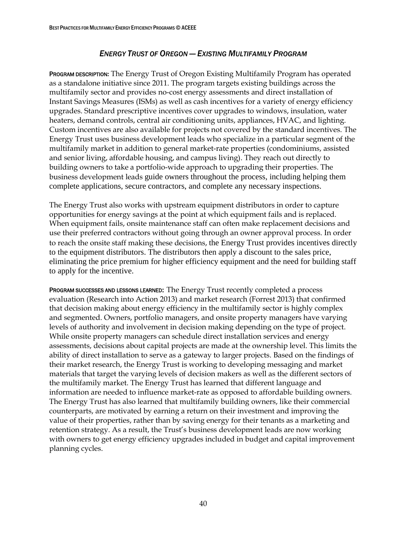### *ENERGY TRUST OF OREGON — EXISTING MULTIFAMILY PROGRAM*

PROGRAM DESCRIPTION**:** The Energy Trust of Oregon Existing Multifamily Program has operated as a standalone initiative since 2011. The program targets existing buildings across the multifamily sector and provides no-cost energy assessments and direct installation of Instant Savings Measures (ISMs) as well as cash incentives for a variety of energy efficiency upgrades. Standard prescriptive incentives cover upgrades to windows, insulation, water heaters, demand controls, central air conditioning units, appliances, HVAC, and lighting. Custom incentives are also available for projects not covered by the standard incentives. The Energy Trust uses business development leads who specialize in a particular segment of the multifamily market in addition to general market-rate properties (condominiums, assisted and senior living, affordable housing, and campus living). They reach out directly to building owners to take a portfolio-wide approach to upgrading their properties. The business development leads guide owners throughout the process, including helping them complete applications, secure contractors, and complete any necessary inspections.

The Energy Trust also works with upstream equipment distributors in order to capture opportunities for energy savings at the point at which equipment fails and is replaced. When equipment fails, onsite maintenance staff can often make replacement decisions and use their preferred contractors without going through an owner approval process. In order to reach the onsite staff making these decisions, the Energy Trust provides incentives directly to the equipment distributors. The distributors then apply a discount to the sales price, eliminating the price premium for higher efficiency equipment and the need for building staff to apply for the incentive.

PROGRAM SUCCESSES AND LESSONS LEARNED: The Energy Trust recently completed a process evaluation (Research into Action 2013) and market research (Forrest 2013) that confirmed that decision making about energy efficiency in the multifamily sector is highly complex and segmented. Owners, portfolio managers, and onsite property managers have varying levels of authority and involvement in decision making depending on the type of project. While onsite property managers can schedule direct installation services and energy assessments, decisions about capital projects are made at the ownership level. This limits the ability of direct installation to serve as a gateway to larger projects. Based on the findings of their market research, the Energy Trust is working to developing messaging and market materials that target the varying levels of decision makers as well as the different sectors of the multifamily market. The Energy Trust has learned that different language and information are needed to influence market-rate as opposed to affordable building owners. The Energy Trust has also learned that multifamily building owners, like their commercial counterparts, are motivated by earning a return on their investment and improving the value of their properties, rather than by saving energy for their tenants as a marketing and retention strategy. As a result, the Trust's business development leads are now working with owners to get energy efficiency upgrades included in budget and capital improvement planning cycles.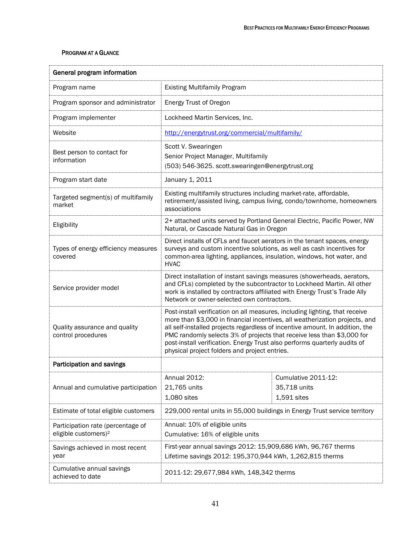| General program information                                           |                                                                                                                                                                                                                                                                                                                                                                                                                                                    |  |  |
|-----------------------------------------------------------------------|----------------------------------------------------------------------------------------------------------------------------------------------------------------------------------------------------------------------------------------------------------------------------------------------------------------------------------------------------------------------------------------------------------------------------------------------------|--|--|
| Program name                                                          | <b>Existing Multifamily Program</b>                                                                                                                                                                                                                                                                                                                                                                                                                |  |  |
| Program sponsor and administrator                                     | Energy Trust of Oregon                                                                                                                                                                                                                                                                                                                                                                                                                             |  |  |
| Program implementer                                                   | Lockheed Martin Services, Inc.                                                                                                                                                                                                                                                                                                                                                                                                                     |  |  |
| Website                                                               | http://energytrust.org/commercial/multifamily/                                                                                                                                                                                                                                                                                                                                                                                                     |  |  |
| Best person to contact for<br>information                             | Scott V. Swearingen<br>Senior Project Manager, Multifamily<br>(503) 546-3625. scott.swearingen@energytrust.org                                                                                                                                                                                                                                                                                                                                     |  |  |
| Program start date                                                    | January 1, 2011                                                                                                                                                                                                                                                                                                                                                                                                                                    |  |  |
| Targeted segment(s) of multifamily<br>market                          | Existing multifamily structures including market-rate, affordable,<br>retirement/assisted living, campus living, condo/townhome, homeowners<br>associations                                                                                                                                                                                                                                                                                        |  |  |
| Eligibility                                                           | 2+ attached units served by Portland General Electric, Pacific Power, NW<br>Natural, or Cascade Natural Gas in Oregon                                                                                                                                                                                                                                                                                                                              |  |  |
| Types of energy efficiency measures<br>covered                        | Direct installs of CFLs and faucet aerators in the tenant spaces, energy<br>surveys and custom incentive solutions, as well as cash incentives for<br>common-area lighting, appliances, insulation, windows, hot water, and<br><b>HVAC</b>                                                                                                                                                                                                         |  |  |
| Service provider model                                                | Direct installation of instant savings measures (showerheads, aerators,<br>and CFLs) completed by the subcontractor to Lockheed Martin. All other<br>work is installed by contractors affiliated with Energy Trust's Trade Ally<br>Network or owner-selected own contractors.                                                                                                                                                                      |  |  |
| Quality assurance and quality<br>control procedures                   | Post-install verification on all measures, including lighting, that receive<br>more than \$3,000 in financial incentives, all weatherization projects, and<br>all self-installed projects regardless of incentive amount. In addition, the<br>PMC randomly selects 3% of projects that receive less than \$3,000 for<br>post-install verification. Energy Trust also performs quarterly audits of<br>physical project folders and project entries. |  |  |
| Participation and savings                                             |                                                                                                                                                                                                                                                                                                                                                                                                                                                    |  |  |
| Annual and cumulative participation                                   | Annual 2012:<br>Cumulative 2011-12:<br>21,765 units<br>35,718 units<br>1,080 sites<br>1,591 sites                                                                                                                                                                                                                                                                                                                                                  |  |  |
| Estimate of total eligible customers                                  | 229,000 rental units in 55,000 buildings in Energy Trust service territory                                                                                                                                                                                                                                                                                                                                                                         |  |  |
| Participation rate (percentage of<br>eligible customers) <sup>2</sup> | Annual: 10% of eligible units<br>Cumulative: 16% of eligible units                                                                                                                                                                                                                                                                                                                                                                                 |  |  |
| Savings achieved in most recent<br>year                               | First-year annual savings 2012: 15,909,686 kWh, 96,767 therms<br>Lifetime savings 2012: 195,370,944 kWh, 1,262,815 therms                                                                                                                                                                                                                                                                                                                          |  |  |
| Cumulative annual savings<br>achieved to date                         | 2011-12: 29,677,984 kWh, 148,342 therms                                                                                                                                                                                                                                                                                                                                                                                                            |  |  |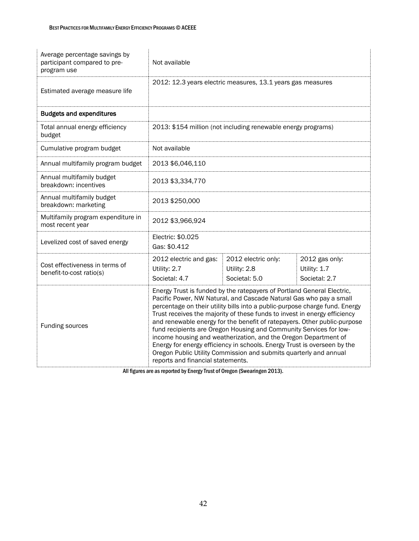| Average percentage savings by<br>participant compared to pre-<br>program use | Not available                                                                                                                                                                                                                                                                                                                                                                                                                                                                                                                                                                                                                                                                                                       |                                                               |                                                 |  |
|------------------------------------------------------------------------------|---------------------------------------------------------------------------------------------------------------------------------------------------------------------------------------------------------------------------------------------------------------------------------------------------------------------------------------------------------------------------------------------------------------------------------------------------------------------------------------------------------------------------------------------------------------------------------------------------------------------------------------------------------------------------------------------------------------------|---------------------------------------------------------------|-------------------------------------------------|--|
| Estimated average measure life                                               | 2012: 12.3 years electric measures, 13.1 years gas measures                                                                                                                                                                                                                                                                                                                                                                                                                                                                                                                                                                                                                                                         |                                                               |                                                 |  |
| <b>Budgets and expenditures</b>                                              |                                                                                                                                                                                                                                                                                                                                                                                                                                                                                                                                                                                                                                                                                                                     |                                                               |                                                 |  |
| Total annual energy efficiency<br>budget                                     |                                                                                                                                                                                                                                                                                                                                                                                                                                                                                                                                                                                                                                                                                                                     | 2013: \$154 million (not including renewable energy programs) |                                                 |  |
| Cumulative program budget                                                    | Not available                                                                                                                                                                                                                                                                                                                                                                                                                                                                                                                                                                                                                                                                                                       |                                                               |                                                 |  |
| Annual multifamily program budget                                            | 2013 \$6,046,110                                                                                                                                                                                                                                                                                                                                                                                                                                                                                                                                                                                                                                                                                                    |                                                               |                                                 |  |
| Annual multifamily budget<br>breakdown: incentives                           | 2013 \$3,334,770                                                                                                                                                                                                                                                                                                                                                                                                                                                                                                                                                                                                                                                                                                    |                                                               |                                                 |  |
| Annual multifamily budget<br>breakdown: marketing                            | 2013 \$250,000                                                                                                                                                                                                                                                                                                                                                                                                                                                                                                                                                                                                                                                                                                      |                                                               |                                                 |  |
| Multifamily program expenditure in<br>most recent year                       | 2012 \$3,966,924                                                                                                                                                                                                                                                                                                                                                                                                                                                                                                                                                                                                                                                                                                    |                                                               |                                                 |  |
| Levelized cost of saved energy                                               | Electric: \$0.025<br>Gas: \$0.412                                                                                                                                                                                                                                                                                                                                                                                                                                                                                                                                                                                                                                                                                   |                                                               |                                                 |  |
| Cost effectiveness in terms of<br>benefit-to-cost ratio(s)                   | 2012 electric and gas:<br>Utility: 2.7<br>Societal: 4.7                                                                                                                                                                                                                                                                                                                                                                                                                                                                                                                                                                                                                                                             | 2012 electric only:<br>Utility: 2.8<br>Societal: 5.0          | 2012 gas only:<br>Utility: 1.7<br>Societal: 2.7 |  |
| Funding sources                                                              | Energy Trust is funded by the ratepayers of Portland General Electric,<br>Pacific Power, NW Natural, and Cascade Natural Gas who pay a small<br>percentage on their utility bills into a public-purpose charge fund. Energy<br>Trust receives the majority of these funds to invest in energy efficiency<br>and renewable energy for the benefit of ratepayers. Other public-purpose<br>fund recipients are Oregon Housing and Community Services for low-<br>income housing and weatherization, and the Oregon Department of<br>Energy for energy efficiency in schools. Energy Trust is overseen by the<br>Oregon Public Utility Commission and submits quarterly and annual<br>reports and financial statements. |                                                               |                                                 |  |

All figures are as reported by Energy Trust of Oregon (Swearingen 2013).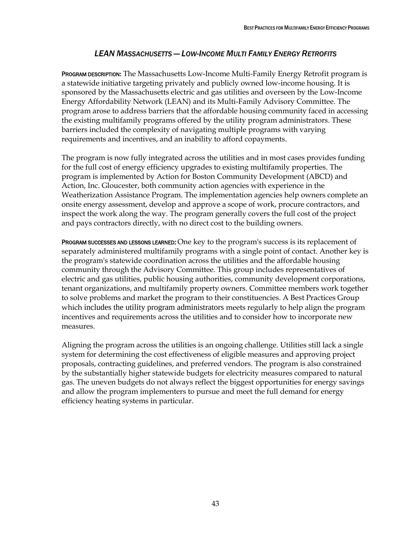### *LEAN MASSACHUSETTS — LOW-INCOME MULTI FAMILY ENERGY RETROFITS*

PROGRAM DESCRIPTION**:** The Massachusetts Low-Income Multi-Family Energy Retrofit program is a statewide initiative targeting privately and publicly owned low-income housing. It is sponsored by the Massachusetts electric and gas utilities and overseen by the Low-Income Energy Affordability Network (LEAN) and its Multi-Family Advisory Committee. The program arose to address barriers that the affordable housing community faced in accessing the existing multifamily programs offered by the utility program administrators. These barriers included the complexity of navigating multiple programs with varying requirements and incentives, and an inability to afford copayments.

The program is now fully integrated across the utilities and in most cases provides funding for the full cost of energy efficiency upgrades to existing multifamily properties. The program is implemented by Action for Boston Community Development (ABCD) and Action, Inc. Gloucester, both community action agencies with experience in the Weatherization Assistance Program. The implementation agencies help owners complete an onsite energy assessment, develop and approve a scope of work, procure contractors, and inspect the work along the way. The program generally covers the full cost of the project and pays contractors directly, with no direct cost to the building owners.

PROGRAM SUCCESSES AND LESSONS LEARNED: One key to the program's success is its replacement of separately administered multifamily programs with a single point of contact. Another key is the program's statewide coordination across the utilities and the affordable housing community through the Advisory Committee. This group includes representatives of electric and gas utilities, public housing authorities, community development corporations, tenant organizations, and multifamily property owners. Committee members work together to solve problems and market the program to their constituencies. A Best Practices Group which includes the utility program administrators meets regularly to help align the program incentives and requirements across the utilities and to consider how to incorporate new measures.

Aligning the program across the utilities is an ongoing challenge. Utilities still lack a single system for determining the cost effectiveness of eligible measures and approving project proposals, contracting guidelines, and preferred vendors. The program is also constrained by the substantially higher statewide budgets for electricity measures compared to natural gas. The uneven budgets do not always reflect the biggest opportunities for energy savings and allow the program implementers to pursue and meet the full demand for energy efficiency heating systems in particular.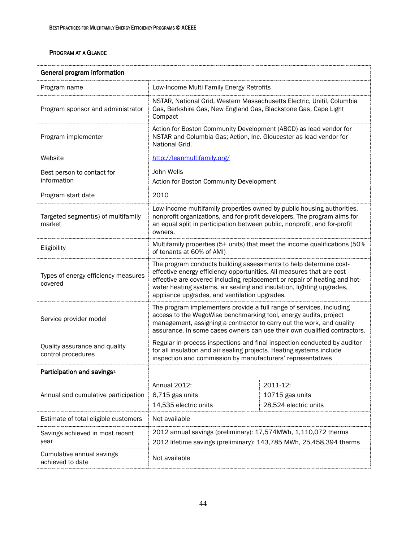| General program information                         |                                                                                                                                                                                                                                                                                                                                                   |                                                      |  |
|-----------------------------------------------------|---------------------------------------------------------------------------------------------------------------------------------------------------------------------------------------------------------------------------------------------------------------------------------------------------------------------------------------------------|------------------------------------------------------|--|
| Program name                                        | Low-Income Multi Family Energy Retrofits                                                                                                                                                                                                                                                                                                          |                                                      |  |
| Program sponsor and administrator                   | NSTAR, National Grid, Western Massachusetts Electric, Unitil, Columbia<br>Gas, Berkshire Gas, New England Gas, Blackstone Gas, Cape Light<br>Compact                                                                                                                                                                                              |                                                      |  |
| Program implementer                                 | Action for Boston Community Development (ABCD) as lead vendor for<br>NSTAR and Columbia Gas; Action, Inc. Gloucester as lead vendor for<br>National Grid.                                                                                                                                                                                         |                                                      |  |
| Website                                             | http://leanmultifamily.org/                                                                                                                                                                                                                                                                                                                       |                                                      |  |
| Best person to contact for<br>information           | John Wells<br>Action for Boston Community Development                                                                                                                                                                                                                                                                                             |                                                      |  |
| Program start date                                  | 2010                                                                                                                                                                                                                                                                                                                                              |                                                      |  |
| Targeted segment(s) of multifamily<br>market        | Low-income multifamily properties owned by public housing authorities,<br>nonprofit organizations, and for-profit developers. The program aims for<br>an equal split in participation between public, nonprofit, and for-profit<br>owners.                                                                                                        |                                                      |  |
| Eligibility                                         | Multifamily properties (5+ units) that meet the income qualifications (50%<br>of tenants at 60% of AMI)                                                                                                                                                                                                                                           |                                                      |  |
| Types of energy efficiency measures<br>covered      | The program conducts building assessments to help determine cost-<br>effective energy efficiency opportunities. All measures that are cost<br>effective are covered including replacement or repair of heating and hot-<br>water heating systems, air sealing and insulation, lighting upgrades,<br>appliance upgrades, and ventilation upgrades. |                                                      |  |
| Service provider model                              | The program implementers provide a full range of services, including<br>access to the WegoWise benchmarking tool, energy audits, project<br>management, assigning a contractor to carry out the work, and quality<br>assurance. In some cases owners can use their own qualified contractors.                                                     |                                                      |  |
| Quality assurance and quality<br>control procedures | Regular in-process inspections and final inspection conducted by auditor<br>for all insulation and air sealing projects. Heating systems include<br>inspection and commission by manufacturers' representatives                                                                                                                                   |                                                      |  |
| Participation and savings <sup>1</sup>              |                                                                                                                                                                                                                                                                                                                                                   |                                                      |  |
| Annual and cumulative participation                 | Annual 2012:<br>6,715 gas units<br>14,535 electric units                                                                                                                                                                                                                                                                                          | 2011-12:<br>10715 gas units<br>28,524 electric units |  |
| Estimate of total eligible customers                | Not available                                                                                                                                                                                                                                                                                                                                     |                                                      |  |
| Savings achieved in most recent<br>year             | 2012 annual savings (preliminary): 17,574MWh, 1,110,072 therms<br>2012 lifetime savings (preliminary): 143,785 MWh, 25,458,394 therms                                                                                                                                                                                                             |                                                      |  |
| Cumulative annual savings<br>achieved to date       | Not available                                                                                                                                                                                                                                                                                                                                     |                                                      |  |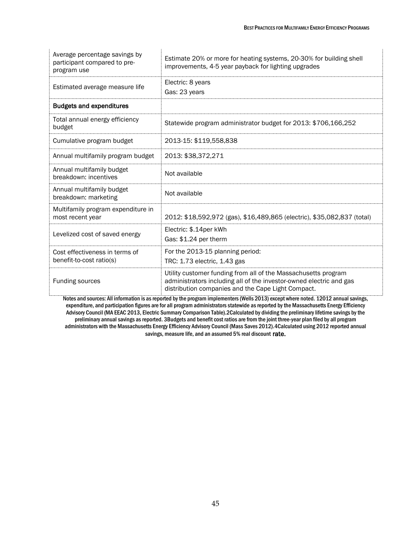| Average percentage savings by<br>participant compared to pre-<br>program use | Estimate 20% or more for heating systems, 20-30% for building shell<br>improvements, 4-5 year payback for lighting upgrades                                                                 |
|------------------------------------------------------------------------------|---------------------------------------------------------------------------------------------------------------------------------------------------------------------------------------------|
| Estimated average measure life                                               | Electric: 8 years<br>Gas: 23 years                                                                                                                                                          |
| <b>Budgets and expenditures</b>                                              |                                                                                                                                                                                             |
| Total annual energy efficiency<br>budget                                     | Statewide program administrator budget for 2013: \$706,166,252                                                                                                                              |
| Cumulative program budget                                                    | 2013-15: \$119,558,838                                                                                                                                                                      |
| Annual multifamily program budget                                            | 2013: \$38,372,271                                                                                                                                                                          |
| Annual multifamily budget<br>breakdown: incentives                           | Not available                                                                                                                                                                               |
| Annual multifamily budget<br>breakdown: marketing                            | Not available                                                                                                                                                                               |
| Multifamily program expenditure in<br>most recent year                       | 2012: \$18,592,972 (gas), \$16,489,865 (electric), \$35,082,837 (total)                                                                                                                     |
| Levelized cost of saved energy                                               | Electric: \$.14per kWh<br>Gas: \$1.24 per therm                                                                                                                                             |
| Cost effectiveness in terms of<br>benefit-to-cost ratio(s)                   | For the 2013-15 planning period:<br>TRC: 1.73 electric, 1.43 gas                                                                                                                            |
| Funding sources                                                              | Utility customer funding from all of the Massachusetts program<br>administrators including all of the investor-owned electric and gas<br>distribution companies and the Cape Light Compact. |

Notes and sources: All information is as reported by the program implementers(Wells 2013) except where noted. 12012 annual savings, expenditure, and participation figures are for all program administrators statewide as reported by the Massachusetts Energy Efficiency Advisory Council (MA EEAC 2013, Electric Summary Comparison Table).2Calculated by dividing the preliminary lifetime savings by the preliminary annual savings as reported. 3Budgets and benefit cost ratios are from the joint three-year plan filed by all program administrators with the Massachusetts Energy Efficiency Advisory Council (Mass Saves 2012).4Calculated using 2012 reported annual savings, measure life, and an assumed 5% real discount rate.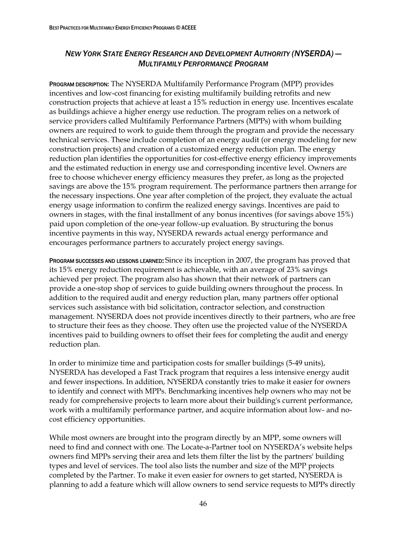### *NEW YORK STATE ENERGY RESEARCH AND DEVELOPMENT AUTHORITY (NYSERDA) — MULTIFAMILY PERFORMANCE PROGRAM*

PROGRAM DESCRIPTION**:** The NYSERDA Multifamily Performance Program (MPP) provides incentives and low-cost financing for existing multifamily building retrofits and new construction projects that achieve at least a 15% reduction in energy use. Incentives escalate as buildings achieve a higher energy use reduction. The program relies on a network of service providers called Multifamily Performance Partners (MPPs) with whom building owners are required to work to guide them through the program and provide the necessary technical services. These include completion of an energy audit (or energy modeling for new construction projects) and creation of a customized energy reduction plan. The energy reduction plan identifies the opportunities for cost-effective energy efficiency improvements and the estimated reduction in energy use and corresponding incentive level. Owners are free to choose whichever energy efficiency measures they prefer, as long as the projected savings are above the 15% program requirement. The performance partners then arrange for the necessary inspections. One year after completion of the project, they evaluate the actual energy usage information to confirm the realized energy savings. Incentives are paid to owners in stages, with the final installment of any bonus incentives (for savings above 15%) paid upon completion of the one-year follow-up evaluation. By structuring the bonus incentive payments in this way, NYSERDA rewards actual energy performance and encourages performance partners to accurately project energy savings.

PROGRAM SUCCESSES AND LESSONS LEARNED: Since its inception in 2007, the program has proved that its 15% energy reduction requirement is achievable, with an average of 23% savings achieved per project. The program also has shown that their network of partners can provide a one-stop shop of services to guide building owners throughout the process. In addition to the required audit and energy reduction plan, many partners offer optional services such assistance with bid solicitation, contractor selection, and construction management. NYSERDA does not provide incentives directly to their partners, who are free to structure their fees as they choose. They often use the projected value of the NYSERDA incentives paid to building owners to offset their fees for completing the audit and energy reduction plan.

In order to minimize time and participation costs for smaller buildings (5-49 units), NYSERDA has developed a Fast Track program that requires a less intensive energy audit and fewer inspections. In addition, NYSERDA constantly tries to make it easier for owners to identify and connect with MPPs. Benchmarking incentives help owners who may not be ready for comprehensive projects to learn more about their building's current performance, work with a multifamily performance partner, and acquire information about low- and nocost efficiency opportunities.

While most owners are brought into the program directly by an MPP, some owners will need to find and connect with one. The Locate-a-Partner tool on NYSERDA's website helps owners find MPPs serving their area and lets them filter the list by the partners' building types and level of services. The tool also lists the number and size of the MPP projects completed by the Partner. To make it even easier for owners to get started, NYSERDA is planning to add a feature which will allow owners to send service requests to MPPs directly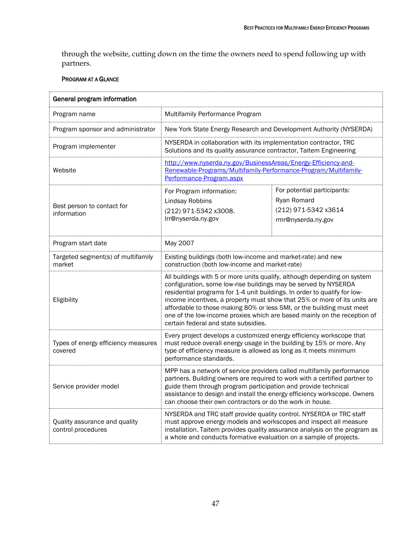through the website, cutting down on the time the owners need to spend following up with partners.

| General program information                         |                                                                                                                                                                                                                                                                                                                                                                                                                                                                                                    |                                                                                                                                        |  |  |
|-----------------------------------------------------|----------------------------------------------------------------------------------------------------------------------------------------------------------------------------------------------------------------------------------------------------------------------------------------------------------------------------------------------------------------------------------------------------------------------------------------------------------------------------------------------------|----------------------------------------------------------------------------------------------------------------------------------------|--|--|
| Program name                                        | Multifamily Performance Program                                                                                                                                                                                                                                                                                                                                                                                                                                                                    |                                                                                                                                        |  |  |
| Program sponsor and administrator                   | New York State Energy Research and Development Authority (NYSERDA)                                                                                                                                                                                                                                                                                                                                                                                                                                 |                                                                                                                                        |  |  |
| Program implementer                                 |                                                                                                                                                                                                                                                                                                                                                                                                                                                                                                    | NYSERDA in collaboration with its implementation contractor, TRC<br>Solutions and its quality assurance contractor, Taitem Engineering |  |  |
| Website                                             | http://www.nyserda.ny.gov/BusinessAreas/Energy-Efficiency-and-<br>Renewable-Programs/Multifamily-Performance-Program/Multifamily-<br>Performance-Program.aspx                                                                                                                                                                                                                                                                                                                                      |                                                                                                                                        |  |  |
| Best person to contact for<br>information           | For Program information:<br><b>Lindsay Robbins</b><br>(212) 971-5342 x3008.<br>Irr@nyserda.ny.gov                                                                                                                                                                                                                                                                                                                                                                                                  | For potential participants:<br>Ryan Romard<br>(212) 971-5342 x3614<br>rmr@nyserda.ny.gov                                               |  |  |
| Program start date                                  | May 2007                                                                                                                                                                                                                                                                                                                                                                                                                                                                                           |                                                                                                                                        |  |  |
| Targeted segment(s) of multifamily<br>market        | Existing buildings (both low-income and market-rate) and new<br>construction (both low-income and market-rate)                                                                                                                                                                                                                                                                                                                                                                                     |                                                                                                                                        |  |  |
| Eligibility                                         | All buildings with 5 or more units qualify, although depending on system<br>configuration, some low-rise buildings may be served by NYSERDA<br>residential programs for 1-4 unit buildings. In order to qualify for low-<br>income incentives, a property must show that 25% or more of its units are<br>affordable to those making 80% or less SMI, or the building must meet<br>one of the low-income proxies which are based mainly on the reception of<br>certain federal and state subsidies. |                                                                                                                                        |  |  |
| Types of energy efficiency measures<br>covered      | Every project develops a customized energy efficiency workscope that<br>must reduce overall energy usage in the building by 15% or more. Any<br>type of efficiency measure is allowed as long as it meets minimum<br>performance standards.                                                                                                                                                                                                                                                        |                                                                                                                                        |  |  |
| Service provider model                              | MPP has a network of service providers called multifamily performance<br>partners. Building owners are required to work with a certified partner to<br>guide them through program participation and provide technical<br>assistance to design and install the energy efficiency workscope. Owners<br>can choose their own contractors or do the work in house.                                                                                                                                     |                                                                                                                                        |  |  |
| Quality assurance and quality<br>control procedures | NYSERDA and TRC staff provide quality control. NYSERDA or TRC staff<br>must approve energy models and workscopes and inspect all measure<br>installation. Taitem provides quality assurance analysis on the program as<br>a whole and conducts formative evaluation on a sample of projects.                                                                                                                                                                                                       |                                                                                                                                        |  |  |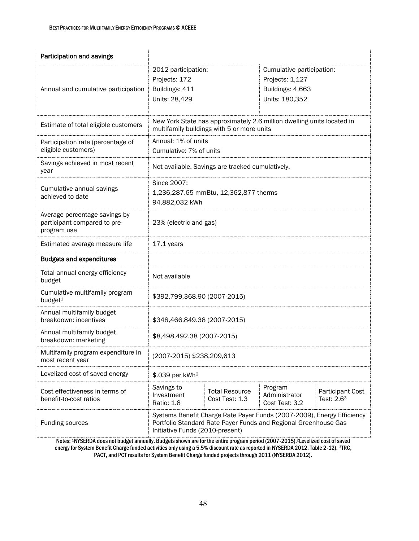| Participation and savings                                                    |                                                                                                                                                                              |                                         |                                                                                    |                                       |
|------------------------------------------------------------------------------|------------------------------------------------------------------------------------------------------------------------------------------------------------------------------|-----------------------------------------|------------------------------------------------------------------------------------|---------------------------------------|
| Annual and cumulative participation                                          | 2012 participation:<br>Projects: 172<br>Buildings: 411<br>Units: 28,429                                                                                                      |                                         | Cumulative participation:<br>Projects: 1,127<br>Buildings: 4,663<br>Units: 180,352 |                                       |
| Estimate of total eligible customers                                         | New York State has approximately 2.6 million dwelling units located in<br>multifamily buildings with 5 or more units                                                         |                                         |                                                                                    |                                       |
| Participation rate (percentage of<br>eligible customers)                     | Annual: 1% of units<br>Cumulative: 7% of units                                                                                                                               |                                         |                                                                                    |                                       |
| Savings achieved in most recent<br>year                                      | Not available. Savings are tracked cumulatively.                                                                                                                             |                                         |                                                                                    |                                       |
| Cumulative annual savings<br>achieved to date                                | Since 2007:<br>1,236,287.65 mmBtu, 12,362,877 therms<br>94,882,032 kWh                                                                                                       |                                         |                                                                                    |                                       |
| Average percentage savings by<br>participant compared to pre-<br>program use | 23% (electric and gas)                                                                                                                                                       |                                         |                                                                                    |                                       |
| Estimated average measure life                                               | 17.1 years                                                                                                                                                                   |                                         |                                                                                    |                                       |
| <b>Budgets and expenditures</b>                                              |                                                                                                                                                                              |                                         |                                                                                    |                                       |
| Total annual energy efficiency<br>budget                                     | Not available                                                                                                                                                                |                                         |                                                                                    |                                       |
| Cumulative multifamily program<br>budget <sup>1</sup>                        | \$392,799,368.90 (2007-2015)                                                                                                                                                 |                                         |                                                                                    |                                       |
| Annual multifamily budget<br>breakdown: incentives                           | \$348,466,849.38 (2007-2015)                                                                                                                                                 |                                         |                                                                                    |                                       |
| Annual multifamily budget<br>breakdown: marketing                            | \$8,498,492.38 (2007-2015)                                                                                                                                                   |                                         |                                                                                    |                                       |
| Multifamily program expenditure in<br>most recent year                       | (2007-2015) \$238,209,613                                                                                                                                                    |                                         |                                                                                    |                                       |
| Levelized cost of saved energy                                               | \$.039 per kWh <sup>2</sup>                                                                                                                                                  |                                         |                                                                                    |                                       |
| Cost effectiveness in terms of<br>benefit-to-cost ratios                     | Savings to<br>Investment<br>Ratio: 1.8                                                                                                                                       | <b>Total Resource</b><br>Cost Test: 1.3 | Program<br>Administrator<br>Cost Test: 3.2                                         | <b>Participant Cost</b><br>Test: 2.63 |
| Funding sources                                                              | Systems Benefit Charge Rate Payer Funds (2007-2009), Energy Efficiency<br>Portfolio Standard Rate Payer Funds and Regional Greenhouse Gas<br>Initiative Funds (2010-present) |                                         |                                                                                    |                                       |

Notes: 1NYSERDA does not budget annually. Budgets shown are for the entire program period (2007-2015).<sup>2</sup>Levelized cost of saved energy for System Benefit Charge funded activities only using a 5.5% discount rate as reported in NYSERDA 2012, Table 2-12). 3TRC, PACT, and PCT results for System Benefit Charge funded projects through 2011 (NYSERDA 2012).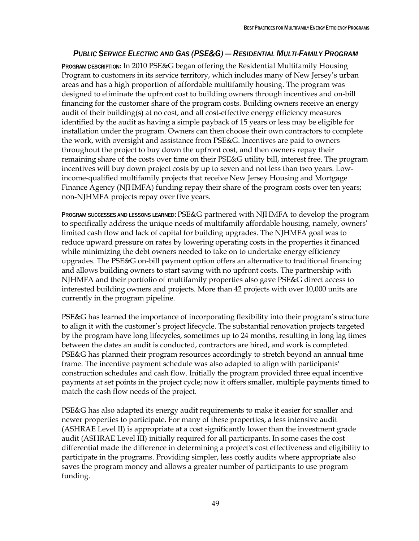### *PUBLIC SERVICE ELECTRIC AND GAS (PSE&G) — RESIDENTIAL MULTI-FAMILY PROGRAM*

PROGRAM DESCRIPTION**:** In 2010 PSE&G began offering the Residential Multifamily Housing Program to customers in its service territory, which includes many of New Jersey's urban areas and has a high proportion of affordable multifamily housing. The program was designed to eliminate the upfront cost to building owners through incentives and on-bill financing for the customer share of the program costs. Building owners receive an energy audit of their building(s) at no cost, and all cost-effective energy efficiency measures identified by the audit as having a simple payback of 15 years or less may be eligible for installation under the program. Owners can then choose their own contractors to complete the work, with oversight and assistance from PSE&G. Incentives are paid to owners throughout the project to buy down the upfront cost, and then owners repay their remaining share of the costs over time on their PSE&G utility bill, interest free. The program incentives will buy down project costs by up to seven and not less than two years. Lowincome-qualified multifamily projects that receive New Jersey Housing and Mortgage Finance Agency (NJHMFA) funding repay their share of the program costs over ten years; non-NJHMFA projects repay over five years.

PROGRAM SUCCESSES AND LESSONS LEARNED: PSE&G partnered with NJHMFA to develop the program to specifically address the unique needs of multifamily affordable housing, namely, owners' limited cash flow and lack of capital for building upgrades. The NJHMFA goal was to reduce upward pressure on rates by lowering operating costs in the properties it financed while minimizing the debt owners needed to take on to undertake energy efficiency upgrades. The PSE&G on-bill payment option offers an alternative to traditional financing and allows building owners to start saving with no upfront costs. The partnership with NJHMFA and their portfolio of multifamily properties also gave PSE&G direct access to interested building owners and projects. More than 42 projects with over 10,000 units are currently in the program pipeline.

PSE&G has learned the importance of incorporating flexibility into their program's structure to align it with the customer's project lifecycle. The substantial renovation projects targeted by the program have long lifecycles, sometimes up to 24 months, resulting in long lag times between the dates an audit is conducted, contractors are hired, and work is completed. PSE&G has planned their program resources accordingly to stretch beyond an annual time frame. The incentive payment schedule was also adapted to align with participants' construction schedules and cash flow. Initially the program provided three equal incentive payments at set points in the project cycle; now it offers smaller, multiple payments timed to match the cash flow needs of the project.

PSE&G has also adapted its energy audit requirements to make it easier for smaller and newer properties to participate. For many of these properties, a less intensive audit (ASHRAE Level II) is appropriate at a cost significantly lower than the investment grade audit (ASHRAE Level III) initially required for all participants. In some cases the cost differential made the difference in determining a project's cost effectiveness and eligibility to participate in the programs. Providing simpler, less costly audits where appropriate also saves the program money and allows a greater number of participants to use program funding.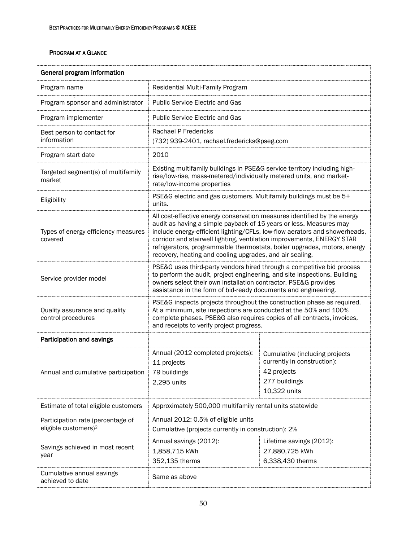| General program information                                           |                                                                                                                                                                                                                                                                                                                                                                                                                                                |                                                                                                               |  |
|-----------------------------------------------------------------------|------------------------------------------------------------------------------------------------------------------------------------------------------------------------------------------------------------------------------------------------------------------------------------------------------------------------------------------------------------------------------------------------------------------------------------------------|---------------------------------------------------------------------------------------------------------------|--|
| Program name                                                          | Residential Multi-Family Program                                                                                                                                                                                                                                                                                                                                                                                                               |                                                                                                               |  |
| Program sponsor and administrator                                     | <b>Public Service Electric and Gas</b>                                                                                                                                                                                                                                                                                                                                                                                                         |                                                                                                               |  |
| Program implementer                                                   | <b>Public Service Electric and Gas</b>                                                                                                                                                                                                                                                                                                                                                                                                         |                                                                                                               |  |
| Best person to contact for<br>information                             | Rachael P Fredericks<br>(732) 939-2401, rachael.fredericks@pseg.com                                                                                                                                                                                                                                                                                                                                                                            |                                                                                                               |  |
| Program start date                                                    | 2010                                                                                                                                                                                                                                                                                                                                                                                                                                           |                                                                                                               |  |
| Targeted segment(s) of multifamily<br>market                          | Existing multifamily buildings in PSE&G service territory including high-<br>rise/low-rise, mass-metered/individually metered units, and market-<br>rate/low-income properties                                                                                                                                                                                                                                                                 |                                                                                                               |  |
| Eligibility                                                           | units.                                                                                                                                                                                                                                                                                                                                                                                                                                         | PSE&G electric and gas customers. Multifamily buildings must be 5+                                            |  |
| Types of energy efficiency measures<br>covered                        | All cost-effective energy conservation measures identified by the energy<br>audit as having a simple payback of 15 years or less. Measures may<br>include energy-efficient lighting/CFLs, low-flow aerators and showerheads,<br>corridor and stairwell lighting, ventilation improvements, ENERGY STAR<br>refrigerators, programmable thermostats, boiler upgrades, motors, energy<br>recovery, heating and cooling upgrades, and air sealing. |                                                                                                               |  |
| Service provider model                                                | PSE&G uses third-party vendors hired through a competitive bid process<br>to perform the audit, project engineering, and site inspections. Building<br>owners select their own installation contractor. PSE&G provides<br>assistance in the form of bid-ready documents and engineering.                                                                                                                                                       |                                                                                                               |  |
| Quality assurance and quality<br>control procedures                   | PSE&G inspects projects throughout the construction phase as required.<br>At a minimum, site inspections are conducted at the 50% and 100%<br>complete phases. PSE&G also requires copies of all contracts, invoices,<br>and receipts to verify project progress.                                                                                                                                                                              |                                                                                                               |  |
| Participation and savings                                             |                                                                                                                                                                                                                                                                                                                                                                                                                                                |                                                                                                               |  |
| Annual and cumulative participation                                   | Annual (2012 completed projects):<br>11 projects<br>79 buildings<br>2,295 units                                                                                                                                                                                                                                                                                                                                                                | Cumulative (including projects<br>currently in construction):<br>42 projects<br>277 buildings<br>10,322 units |  |
| Estimate of total eligible customers                                  | Approximately 500,000 multifamily rental units statewide                                                                                                                                                                                                                                                                                                                                                                                       |                                                                                                               |  |
| Participation rate (percentage of<br>eligible customers) <sup>2</sup> | Annual 2012: 0.5% of eligible units<br>Cumulative (projects currently in construction): 2%                                                                                                                                                                                                                                                                                                                                                     |                                                                                                               |  |
| Savings achieved in most recent<br>year                               | Annual savings (2012):<br>1,858,715 kWh<br>352,135 therms                                                                                                                                                                                                                                                                                                                                                                                      | Lifetime savings (2012):<br>27,880,725 kWh<br>6,338,430 therms                                                |  |
| Cumulative annual savings<br>achieved to date                         | Same as above                                                                                                                                                                                                                                                                                                                                                                                                                                  |                                                                                                               |  |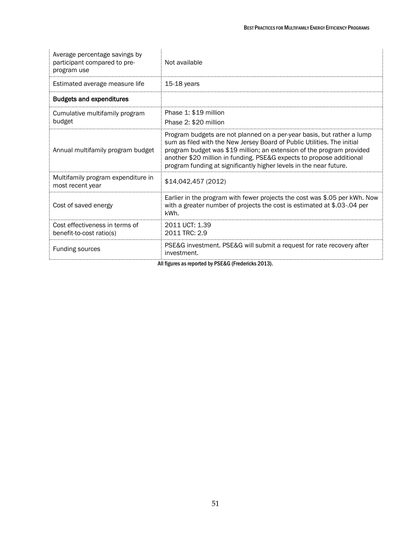| Average percentage savings by<br>participant compared to pre-<br>program use | Not available                                                                                                                                                                                                                                                                                                                                                            |
|------------------------------------------------------------------------------|--------------------------------------------------------------------------------------------------------------------------------------------------------------------------------------------------------------------------------------------------------------------------------------------------------------------------------------------------------------------------|
| Estimated average measure life                                               | 15-18 years                                                                                                                                                                                                                                                                                                                                                              |
| <b>Budgets and expenditures</b>                                              |                                                                                                                                                                                                                                                                                                                                                                          |
| Cumulative multifamily program<br>budget                                     | Phase 1: \$19 million<br>Phase 2: \$20 million                                                                                                                                                                                                                                                                                                                           |
| Annual multifamily program budget                                            | Program budgets are not planned on a per-year basis, but rather a lump<br>sum as filed with the New Jersey Board of Public Utilities. The initial<br>program budget was \$19 million; an extension of the program provided<br>another \$20 million in funding. PSE&G expects to propose additional<br>program funding at significantly higher levels in the near future. |
| Multifamily program expenditure in<br>most recent year                       | \$14,042,457 (2012)                                                                                                                                                                                                                                                                                                                                                      |
| Cost of saved energy                                                         | Earlier in the program with fewer projects the cost was \$.05 per kWh. Now<br>with a greater number of projects the cost is estimated at \$.03-.04 per<br>kWh.                                                                                                                                                                                                           |
| Cost effectiveness in terms of<br>benefit-to-cost ratio(s)                   | 2011 UCT: 1.39<br>2011 TRC: 2.9                                                                                                                                                                                                                                                                                                                                          |
| Funding sources                                                              | PSE&G investment. PSE&G will submit a request for rate recovery after<br>investment.                                                                                                                                                                                                                                                                                     |
| All figures as reported by PSE&G (Fredericks 2013).                          |                                                                                                                                                                                                                                                                                                                                                                          |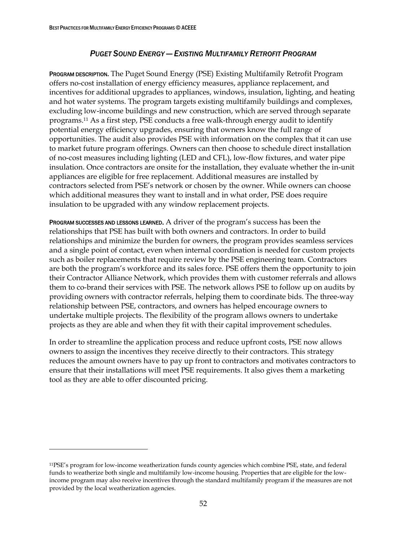### *PUGET SOUND ENERGY — EXISTING MULTIFAMILY RETROFIT PROGRAM*

PROGRAM DESCRIPTION**.** The Puget Sound Energy (PSE) Existing Multifamily Retrofit Program offers no-cost installation of energy efficiency measures, appliance replacement, and incentives for additional upgrades to appliances, windows, insulation, lighting, and heating and hot water systems. The program targets existing multifamily buildings and complexes, excluding low-income buildings and new construction, which are served through separate programs.<sup>11</sup> As a first step, PSE conducts a free walk-through energy audit to identify potential energy efficiency upgrades, ensuring that owners know the full range of opportunities. The audit also provides PSE with information on the complex that it can use to market future program offerings. Owners can then choose to schedule direct installation of no-cost measures including lighting (LED and CFL), low-flow fixtures, and water pipe insulation. Once contractors are onsite for the installation, they evaluate whether the in-unit appliances are eligible for free replacement. Additional measures are installed by contractors selected from PSE's network or chosen by the owner. While owners can choose which additional measures they want to install and in what order, PSE does require insulation to be upgraded with any window replacement projects.

PROGRAM SUCCESSES AND LESSONS LEARNED. A driver of the program's success has been the relationships that PSE has built with both owners and contractors. In order to build relationships and minimize the burden for owners, the program provides seamless services and a single point of contact, even when internal coordination is needed for custom projects such as boiler replacements that require review by the PSE engineering team. Contractors are both the program's workforce and its sales force. PSE offers them the opportunity to join their Contractor Alliance Network, which provides them with customer referrals and allows them to co-brand their services with PSE. The network allows PSE to follow up on audits by providing owners with contractor referrals, helping them to coordinate bids. The three-way relationship between PSE, contractors, and owners has helped encourage owners to undertake multiple projects. The flexibility of the program allows owners to undertake projects as they are able and when they fit with their capital improvement schedules.

In order to streamline the application process and reduce upfront costs, PSE now allows owners to assign the incentives they receive directly to their contractors. This strategy reduces the amount owners have to pay up front to contractors and motivates contractors to ensure that their installations will meet PSE requirements. It also gives them a marketing tool as they are able to offer discounted pricing.

 $\ddot{\phantom{a}}$ 

<sup>11</sup>PSE's program for low-income weatherization funds county agencies which combine PSE, state, and federal funds to weatherize both single and multifamily low-income housing. Properties that are eligible for the lowincome program may also receive incentives through the standard multifamily program if the measures are not provided by the local weatherization agencies.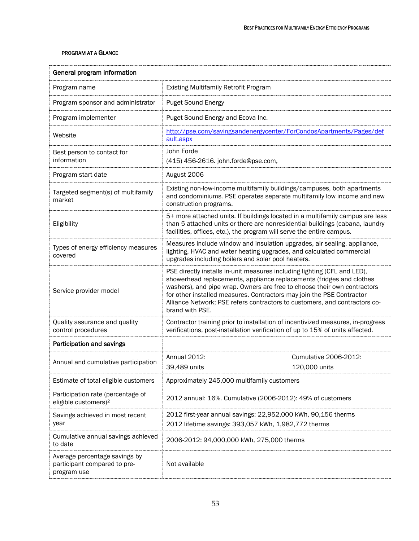| General program information                                                  |                                                                                                                                                                                                                                                                                                                                                                                                        |                                        |  |
|------------------------------------------------------------------------------|--------------------------------------------------------------------------------------------------------------------------------------------------------------------------------------------------------------------------------------------------------------------------------------------------------------------------------------------------------------------------------------------------------|----------------------------------------|--|
| Program name                                                                 | <b>Existing Multifamily Retrofit Program</b>                                                                                                                                                                                                                                                                                                                                                           |                                        |  |
| Program sponsor and administrator                                            | <b>Puget Sound Energy</b>                                                                                                                                                                                                                                                                                                                                                                              |                                        |  |
| Program implementer                                                          | Puget Sound Energy and Ecova Inc.                                                                                                                                                                                                                                                                                                                                                                      |                                        |  |
| Website                                                                      | http://pse.com/savingsandenergycenter/ForCondosApartments/Pages/def<br>ault.aspx                                                                                                                                                                                                                                                                                                                       |                                        |  |
| Best person to contact for<br>information                                    | John Forde<br>(415) 456-2616. john.forde@pse.com,                                                                                                                                                                                                                                                                                                                                                      |                                        |  |
| Program start date                                                           | August 2006                                                                                                                                                                                                                                                                                                                                                                                            |                                        |  |
| Targeted segment(s) of multifamily<br>market                                 | Existing non-low-income multifamily buildings/campuses, both apartments<br>and condominiums. PSE operates separate multifamily low income and new<br>construction programs.                                                                                                                                                                                                                            |                                        |  |
| Eligibility                                                                  | 5+ more attached units. If buildings located in a multifamily campus are less<br>than 5 attached units or there are nonresidential buildings (cabana, laundry<br>facilities, offices, etc.), the program will serve the entire campus.                                                                                                                                                                 |                                        |  |
| Types of energy efficiency measures<br>covered                               | Measures include window and insulation upgrades, air sealing, appliance,<br>lighting, HVAC and water heating upgrades, and calculated commercial<br>upgrades including boilers and solar pool heaters.                                                                                                                                                                                                 |                                        |  |
| Service provider model                                                       | PSE directly installs in-unit measures including lighting (CFL and LED),<br>showerhead replacements, appliance replacements (fridges and clothes<br>washers), and pipe wrap. Owners are free to choose their own contractors<br>for other installed measures. Contractors may join the PSE Contractor<br>Alliance Network; PSE refers contractors to customers, and contractors co-<br>brand with PSE. |                                        |  |
| Quality assurance and quality<br>control procedures                          | Contractor training prior to installation of incentivized measures, in-progress<br>verifications, post-installation verification of up to 15% of units affected.                                                                                                                                                                                                                                       |                                        |  |
| Participation and savings                                                    |                                                                                                                                                                                                                                                                                                                                                                                                        |                                        |  |
| Annual and cumulative participation                                          | Annual 2012:<br>39,489 units                                                                                                                                                                                                                                                                                                                                                                           | Cumulative 2006-2012:<br>120,000 units |  |
| Estimate of total eligible customers                                         | Approximately 245,000 multifamily customers                                                                                                                                                                                                                                                                                                                                                            |                                        |  |
| Participation rate (percentage of<br>eligible customers) <sup>2</sup>        | 2012 annual: 16%. Cumulative (2006-2012): 49% of customers                                                                                                                                                                                                                                                                                                                                             |                                        |  |
| Savings achieved in most recent<br>year                                      | 2012 first-year annual savings: 22,952,000 kWh, 90,156 therms<br>2012 lifetime savings: 393,057 kWh, 1,982,772 therms                                                                                                                                                                                                                                                                                  |                                        |  |
| Cumulative annual savings achieved<br>to date                                | 2006-2012: 94,000,000 kWh, 275,000 therms                                                                                                                                                                                                                                                                                                                                                              |                                        |  |
| Average percentage savings by<br>participant compared to pre-<br>program use | Not available                                                                                                                                                                                                                                                                                                                                                                                          |                                        |  |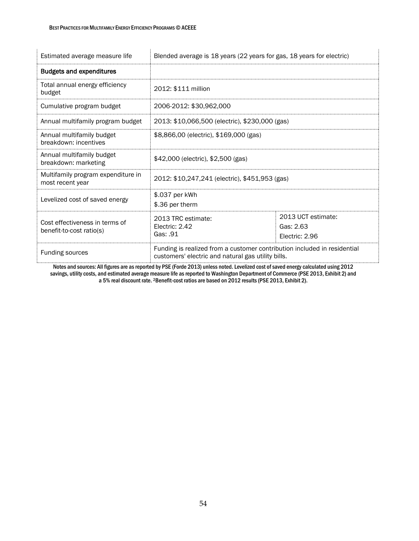| Estimated average measure life                             | Blended average is 18 years (22 years for gas, 18 years for electric)                                                          |                                                   |
|------------------------------------------------------------|--------------------------------------------------------------------------------------------------------------------------------|---------------------------------------------------|
| <b>Budgets and expenditures</b>                            |                                                                                                                                |                                                   |
| Total annual energy efficiency<br>budget                   | 2012: \$111 million                                                                                                            |                                                   |
| Cumulative program budget                                  | 2006-2012: \$30,962,000                                                                                                        |                                                   |
| Annual multifamily program budget                          | 2013: \$10,066,500 (electric), \$230,000 (gas)                                                                                 |                                                   |
| Annual multifamily budget<br>breakdown: incentives         | \$8,866,00 (electric), \$169,000 (gas)                                                                                         |                                                   |
| Annual multifamily budget<br>breakdown: marketing          | \$42,000 (electric), \$2,500 (gas)                                                                                             |                                                   |
| Multifamily program expenditure in<br>most recent year     | 2012: \$10,247,241 (electric), \$451,953 (gas)                                                                                 |                                                   |
| Levelized cost of saved energy                             | \$.037 per kWh<br>\$.36 per therm                                                                                              |                                                   |
| Cost effectiveness in terms of<br>benefit-to-cost ratio(s) | 2013 TRC estimate:<br>Electric: 2.42<br>Gas: .91                                                                               | 2013 UCT estimate:<br>Gas: 2.63<br>Electric: 2.96 |
| <b>Funding sources</b>                                     | Funding is realized from a customer contribution included in residential<br>customers' electric and natural gas utility bills. |                                                   |

Notes and sources: All figures are as reported by PSE (Forde 2013) unless noted. Levelized cost of saved energy calculated using 2012 savings, utility costs, and estimated average measure life as reported to Washington Department of Commerce (PSE 2013, Exhibit 2) and a 5% real discount rate. 2Benefit-cost ratios are based on 2012 results (PSE 2013, Exhibit 2).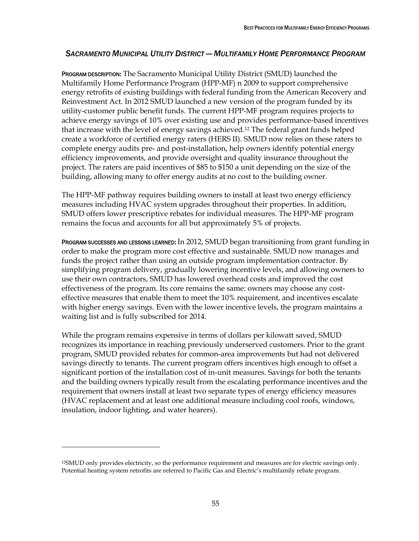### *SACRAMENTO MUNICIPAL UTILITY DISTRICT — MULTIFAMILY HOME PERFORMANCE PROGRAM*

PROGRAM DESCRIPTION**:** The Sacramento Municipal Utility District (SMUD) launched the Multifamily Home Performance Program (HPP-MF) n 2009 to support comprehensive energy retrofits of existing buildings with federal funding from the American Recovery and Reinvestment Act. In 2012 SMUD launched a new version of the program funded by its utility-customer public benefit funds. The current HPP-MF program requires projects to achieve energy savings of 10% over existing use and provides performance-based incentives that increase with the level of energy savings achieved.<sup>12</sup> The federal grant funds helped create a workforce of certified energy raters (HERS II). SMUD now relies on these raters to complete energy audits pre- and post-installation, help owners identify potential energy efficiency improvements, and provide oversight and quality insurance throughout the project. The raters are paid incentives of \$85 to \$150 a unit depending on the size of the building, allowing many to offer energy audits at no cost to the building owner.

The HPP-MF pathway requires building owners to install at least two energy efficiency measures including HVAC system upgrades throughout their properties. In addition, SMUD offers lower prescriptive rebates for individual measures. The HPP-MF program remains the focus and accounts for all but approximately 5% of projects.

PROGRAM SUCCESSES AND LESSONS LEARNED: In 2012, SMUD began transitioning from grant funding in order to make the program more cost effective and sustainable. SMUD now manages and funds the project rather than using an outside program implementation contractor. By simplifying program delivery, gradually lowering incentive levels, and allowing owners to use their own contractors, SMUD has lowered overhead costs and improved the cost effectiveness of the program. Its core remains the same: owners may choose any costeffective measures that enable them to meet the 10% requirement, and incentives escalate with higher energy savings. Even with the lower incentive levels, the program maintains a waiting list and is fully subscribed for 2014.

While the program remains expensive in terms of dollars per kilowatt saved, SMUD recognizes its importance in reaching previously underserved customers. Prior to the grant program, SMUD provided rebates for common-area improvements but had not delivered savings directly to tenants. The current program offers incentives high enough to offset a significant portion of the installation cost of in-unit measures. Savings for both the tenants and the building owners typically result from the escalating performance incentives and the requirement that owners install at least two separate types of energy efficiency measures (HVAC replacement and at least one additional measure including cool roofs, windows, insulation, indoor lighting, and water hearers).

 $\overline{a}$ 

<sup>12</sup>SMUD only provides electricity, so the performance requirement and measures are for electric savings only. Potential heating system retrofits are referred to Pacific Gas and Electric's multifamily rebate program.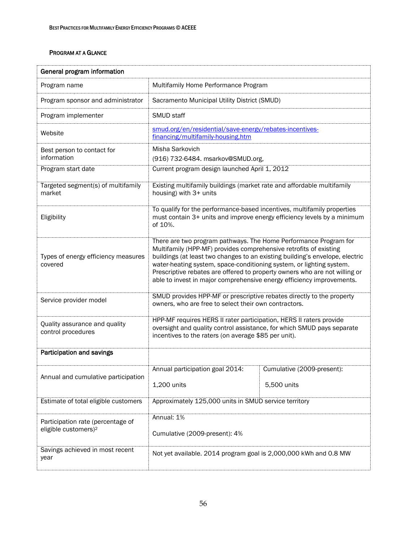| General program information                                           |                                                                                                                                                                                                                                                                                                                                                                                                                                                      |                                           |
|-----------------------------------------------------------------------|------------------------------------------------------------------------------------------------------------------------------------------------------------------------------------------------------------------------------------------------------------------------------------------------------------------------------------------------------------------------------------------------------------------------------------------------------|-------------------------------------------|
| Program name                                                          | Multifamily Home Performance Program                                                                                                                                                                                                                                                                                                                                                                                                                 |                                           |
| Program sponsor and administrator                                     | Sacramento Municipal Utility District (SMUD)                                                                                                                                                                                                                                                                                                                                                                                                         |                                           |
| Program implementer                                                   | SMUD staff                                                                                                                                                                                                                                                                                                                                                                                                                                           |                                           |
| Website                                                               | smud.org/en/residential/save-energy/rebates-incentives-<br>financing/multifamily-housing.htm                                                                                                                                                                                                                                                                                                                                                         |                                           |
| Best person to contact for<br>information                             | Misha Sarkovich<br>(916) 732-6484. msarkov@SMUD.org,                                                                                                                                                                                                                                                                                                                                                                                                 |                                           |
| Program start date                                                    | Current program design launched April 1, 2012                                                                                                                                                                                                                                                                                                                                                                                                        |                                           |
| Targeted segment(s) of multifamily<br>market                          | Existing multifamily buildings (market rate and affordable multifamily<br>housing) with 3+ units                                                                                                                                                                                                                                                                                                                                                     |                                           |
| Eligibility                                                           | To qualify for the performance-based incentives, multifamily properties<br>must contain 3+ units and improve energy efficiency levels by a minimum<br>of 10%.                                                                                                                                                                                                                                                                                        |                                           |
| Types of energy efficiency measures<br>covered                        | There are two program pathways. The Home Performance Program for<br>Multifamily (HPP-MF) provides comprehensive retrofits of existing<br>buildings (at least two changes to an existing building's envelope, electric<br>water-heating system, space-conditioning system, or lighting system.<br>Prescriptive rebates are offered to property owners who are not willing or<br>able to invest in major comprehensive energy efficiency improvements. |                                           |
| Service provider model                                                | SMUD provides HPP-MF or prescriptive rebates directly to the property<br>owners, who are free to select their own contractors.                                                                                                                                                                                                                                                                                                                       |                                           |
| Quality assurance and quality<br>control procedures                   | HPP-MF requires HERS II rater participation, HERS II raters provide<br>oversight and quality control assistance, for which SMUD pays separate<br>incentives to the raters (on average \$85 per unit).                                                                                                                                                                                                                                                |                                           |
| Participation and savings                                             |                                                                                                                                                                                                                                                                                                                                                                                                                                                      |                                           |
| Annual and cumulative participation                                   | Annual participation goal 2014:<br>1,200 units                                                                                                                                                                                                                                                                                                                                                                                                       | Cumulative (2009-present):<br>5,500 units |
| Estimate of total eligible customers                                  | Approximately 125,000 units in SMUD service territory                                                                                                                                                                                                                                                                                                                                                                                                |                                           |
| Participation rate (percentage of<br>eligible customers) <sup>2</sup> | Annual: 1%<br>Cumulative (2009-present): 4%                                                                                                                                                                                                                                                                                                                                                                                                          |                                           |
| Savings achieved in most recent<br>year                               | Not yet available. 2014 program goal is 2,000,000 kWh and 0.8 MW                                                                                                                                                                                                                                                                                                                                                                                     |                                           |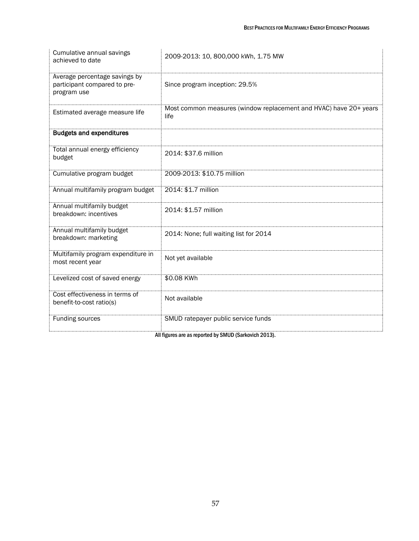| Cumulative annual savings<br>achieved to date                                | 2009-2013: 10, 800,000 kWh, 1.75 MW                                       |
|------------------------------------------------------------------------------|---------------------------------------------------------------------------|
| Average percentage savings by<br>participant compared to pre-<br>program use | Since program inception: 29.5%                                            |
| Estimated average measure life                                               | Most common measures (window replacement and HVAC) have 20+ years<br>life |
| <b>Budgets and expenditures</b>                                              |                                                                           |
| Total annual energy efficiency<br>budget                                     | 2014: \$37.6 million                                                      |
| Cumulative program budget                                                    | 2009-2013: \$10.75 million                                                |
| Annual multifamily program budget                                            | 2014: \$1.7 million                                                       |
| Annual multifamily budget<br>breakdown: incentives                           | 2014: \$1.57 million                                                      |
| Annual multifamily budget<br>breakdown: marketing                            | 2014: None; full waiting list for 2014                                    |
| Multifamily program expenditure in<br>most recent year                       | Not yet available                                                         |
| Levelized cost of saved energy                                               | \$0.08 KWh                                                                |
| Cost effectiveness in terms of<br>benefit-to-cost ratio(s)                   | Not available                                                             |
| Funding sources                                                              | SMUD ratepayer public service funds                                       |

All figures are as reported by SMUD (Sarkovich 2013).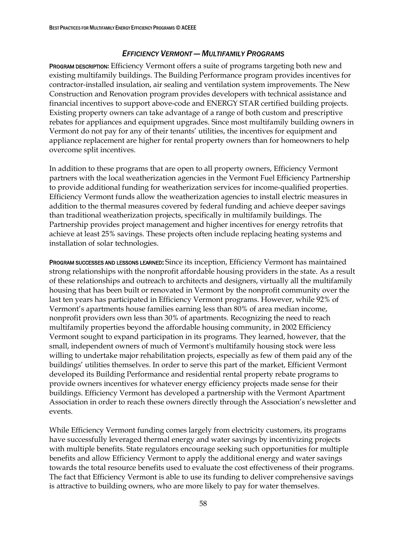### *EFFICIENCY VERMONT — MULTIFAMILY PROGRAMS*

PROGRAM DESCRIPTION**:** Efficiency Vermont offers a suite of programs targeting both new and existing multifamily buildings. The Building Performance program provides incentives for contractor-installed insulation, air sealing and ventilation system improvements. The New Construction and Renovation program provides developers with technical assistance and financial incentives to support above-code and ENERGY STAR certified building projects. Existing property owners can take advantage of a range of both custom and prescriptive rebates for appliances and equipment upgrades. Since most multifamily building owners in Vermont do not pay for any of their tenants' utilities, the incentives for equipment and appliance replacement are higher for rental property owners than for homeowners to help overcome split incentives.

In addition to these programs that are open to all property owners, Efficiency Vermont partners with the local weatherization agencies in the Vermont Fuel Efficiency Partnership to provide additional funding for weatherization services for income-qualified properties. Efficiency Vermont funds allow the weatherization agencies to install electric measures in addition to the thermal measures covered by federal funding and achieve deeper savings than traditional weatherization projects, specifically in multifamily buildings. The Partnership provides project management and higher incentives for energy retrofits that achieve at least 25% savings. These projects often include replacing heating systems and installation of solar technologies.

PROGRAM SUCCESSES AND LESSONS LEARNED: Since its inception, Efficiency Vermont has maintained strong relationships with the nonprofit affordable housing providers in the state. As a result of these relationships and outreach to architects and designers, virtually all the multifamily housing that has been built or renovated in Vermont by the nonprofit community over the last ten years has participated in Efficiency Vermont programs. However, while 92% of Vermont's apartments house families earning less than 80% of area median income, nonprofit providers own less than 30% of apartments. Recognizing the need to reach multifamily properties beyond the affordable housing community, in 2002 Efficiency Vermont sought to expand participation in its programs. They learned, however, that the small, independent owners of much of Vermont's multifamily housing stock were less willing to undertake major rehabilitation projects, especially as few of them paid any of the buildings' utilities themselves. In order to serve this part of the market, Efficient Vermont developed its Building Performance and residential rental property rebate programs to provide owners incentives for whatever energy efficiency projects made sense for their buildings. Efficiency Vermont has developed a partnership with the Vermont Apartment Association in order to reach these owners directly through the Association's newsletter and events.

While Efficiency Vermont funding comes largely from electricity customers, its programs have successfully leveraged thermal energy and water savings by incentivizing projects with multiple benefits. State regulators encourage seeking such opportunities for multiple benefits and allow Efficiency Vermont to apply the additional energy and water savings towards the total resource benefits used to evaluate the cost effectiveness of their programs. The fact that Efficiency Vermont is able to use its funding to deliver comprehensive savings is attractive to building owners, who are more likely to pay for water themselves.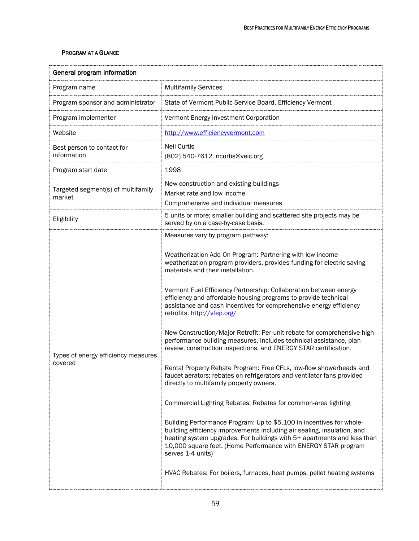| General program information                    |                                                                                                                                                                                                                                                                                                                                                                                                                                                                                                                                                                                                                                                                                                                                                                                                                                                                                                                                                                                                                                                                                                                                                                                                                                                                                                                                                |  |
|------------------------------------------------|------------------------------------------------------------------------------------------------------------------------------------------------------------------------------------------------------------------------------------------------------------------------------------------------------------------------------------------------------------------------------------------------------------------------------------------------------------------------------------------------------------------------------------------------------------------------------------------------------------------------------------------------------------------------------------------------------------------------------------------------------------------------------------------------------------------------------------------------------------------------------------------------------------------------------------------------------------------------------------------------------------------------------------------------------------------------------------------------------------------------------------------------------------------------------------------------------------------------------------------------------------------------------------------------------------------------------------------------|--|
| Program name                                   | <b>Multifamily Services</b>                                                                                                                                                                                                                                                                                                                                                                                                                                                                                                                                                                                                                                                                                                                                                                                                                                                                                                                                                                                                                                                                                                                                                                                                                                                                                                                    |  |
| Program sponsor and administrator              | State of Vermont Public Service Board, Efficiency Vermont                                                                                                                                                                                                                                                                                                                                                                                                                                                                                                                                                                                                                                                                                                                                                                                                                                                                                                                                                                                                                                                                                                                                                                                                                                                                                      |  |
| Program implementer                            | Vermont Energy Investment Corporation                                                                                                                                                                                                                                                                                                                                                                                                                                                                                                                                                                                                                                                                                                                                                                                                                                                                                                                                                                                                                                                                                                                                                                                                                                                                                                          |  |
| Website                                        | http://www.efficiencyvermont.com                                                                                                                                                                                                                                                                                                                                                                                                                                                                                                                                                                                                                                                                                                                                                                                                                                                                                                                                                                                                                                                                                                                                                                                                                                                                                                               |  |
| Best person to contact for<br>information      | <b>Neil Curtis</b><br>(802) 540-7612. ncurtis@veic.org                                                                                                                                                                                                                                                                                                                                                                                                                                                                                                                                                                                                                                                                                                                                                                                                                                                                                                                                                                                                                                                                                                                                                                                                                                                                                         |  |
| Program start date                             | 1998                                                                                                                                                                                                                                                                                                                                                                                                                                                                                                                                                                                                                                                                                                                                                                                                                                                                                                                                                                                                                                                                                                                                                                                                                                                                                                                                           |  |
| Targeted segment(s) of multifamily<br>market   | New construction and existing buildings<br>Market rate and low income<br>Comprehensive and individual measures                                                                                                                                                                                                                                                                                                                                                                                                                                                                                                                                                                                                                                                                                                                                                                                                                                                                                                                                                                                                                                                                                                                                                                                                                                 |  |
| Eligibility                                    | 5 units or more; smaller building and scattered site projects may be<br>served by on a case-by-case basis.                                                                                                                                                                                                                                                                                                                                                                                                                                                                                                                                                                                                                                                                                                                                                                                                                                                                                                                                                                                                                                                                                                                                                                                                                                     |  |
| Types of energy efficiency measures<br>covered | Measures vary by program pathway:<br>Weatherization Add-On Program: Partnering with low income<br>weatherization program providers, provides funding for electric saving<br>materials and their installation.<br>Vermont Fuel Efficiency Partnership: Collaboration between energy<br>efficiency and affordable housing programs to provide technical<br>assistance and cash incentives for comprehensive energy efficiency<br>retrofits. http://vfep.org/<br>New Construction/Major Retrofit: Per-unit rebate for comprehensive high-<br>performance building measures. Includes technical assistance, plan<br>review, construction inspections, and ENERGY STAR certification.<br>Rental Property Rebate Program: Free CFLs, low-flow showerheads and<br>faucet aerators; rebates on refrigerators and ventilator fans provided<br>directly to multifamily property owners.<br>Commercial Lighting Rebates: Rebates for common-area lighting<br>Building Performance Program: Up to \$5,100 in incentives for whole-<br>building efficiency improvements including air sealing, insulation, and<br>heating system upgrades. For buildings with 5+ apartments and less than<br>10,000 square feet. (Home Performance with ENERGY STAR program<br>serves 1-4 units)<br>HVAC Rebates: For boilers, furnaces, heat pumps, pellet heating systems |  |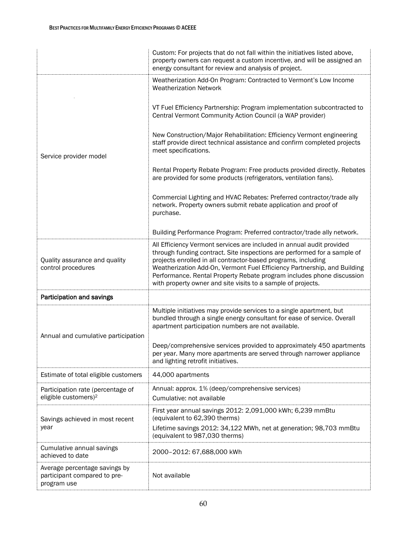|                                                                              | Custom: For projects that do not fall within the initiatives listed above,<br>property owners can request a custom incentive, and will be assigned an<br>energy consultant for review and analysis of project.                                                                                                                                                                                                                          |
|------------------------------------------------------------------------------|-----------------------------------------------------------------------------------------------------------------------------------------------------------------------------------------------------------------------------------------------------------------------------------------------------------------------------------------------------------------------------------------------------------------------------------------|
|                                                                              | Weatherization Add-On Program: Contracted to Vermont's Low Income<br><b>Weatherization Network</b>                                                                                                                                                                                                                                                                                                                                      |
| Service provider model                                                       | VT Fuel Efficiency Partnership: Program implementation subcontracted to<br>Central Vermont Community Action Council (a WAP provider)                                                                                                                                                                                                                                                                                                    |
|                                                                              | New Construction/Major Rehabilitation: Efficiency Vermont engineering<br>staff provide direct technical assistance and confirm completed projects<br>meet specifications.                                                                                                                                                                                                                                                               |
|                                                                              | Rental Property Rebate Program: Free products provided directly. Rebates<br>are provided for some products (refrigerators, ventilation fans).                                                                                                                                                                                                                                                                                           |
|                                                                              | Commercial Lighting and HVAC Rebates: Preferred contractor/trade ally<br>network. Property owners submit rebate application and proof of<br>purchase.                                                                                                                                                                                                                                                                                   |
|                                                                              | Building Performance Program: Preferred contractor/trade ally network.                                                                                                                                                                                                                                                                                                                                                                  |
| Quality assurance and quality<br>control procedures                          | All Efficiency Vermont services are included in annual audit provided<br>through funding contract. Site inspections are performed for a sample of<br>projects enrolled in all contractor-based programs, including<br>Weatherization Add-On, Vermont Fuel Efficiency Partnership, and Building<br>Performance. Rental Property Rebate program includes phone discussion<br>with property owner and site visits to a sample of projects. |
| Participation and savings                                                    |                                                                                                                                                                                                                                                                                                                                                                                                                                         |
| Annual and cumulative participation                                          | Multiple initiatives may provide services to a single apartment, but<br>bundled through a single energy consultant for ease of service. Overall<br>apartment participation numbers are not available.                                                                                                                                                                                                                                   |
|                                                                              | Deep/comprehensive services provided to approximately 450 apartments<br>per year. Many more apartments are served through narrower appliance<br>and lighting retrofit initiatives.                                                                                                                                                                                                                                                      |
| Estimate of total eligible customers                                         | 44,000 apartments                                                                                                                                                                                                                                                                                                                                                                                                                       |
| Participation rate (percentage of<br>eligible customers) <sup>2</sup>        | Annual: approx. 1% (deep/comprehensive services)<br>Cumulative: not available                                                                                                                                                                                                                                                                                                                                                           |
| Savings achieved in most recent<br>year                                      | First year annual savings 2012: 2,091,000 kWh; 6,239 mmBtu<br>(equivalent to 62,390 therms)                                                                                                                                                                                                                                                                                                                                             |
|                                                                              | Lifetime savings 2012: 34,122 MWh, net at generation; 98,703 mmBtu<br>(equivalent to 987,030 therms)                                                                                                                                                                                                                                                                                                                                    |
| Cumulative annual savings<br>achieved to date                                | 2000-2012: 67,688,000 kWh                                                                                                                                                                                                                                                                                                                                                                                                               |
| Average percentage savings by<br>participant compared to pre-<br>program use | Not available                                                                                                                                                                                                                                                                                                                                                                                                                           |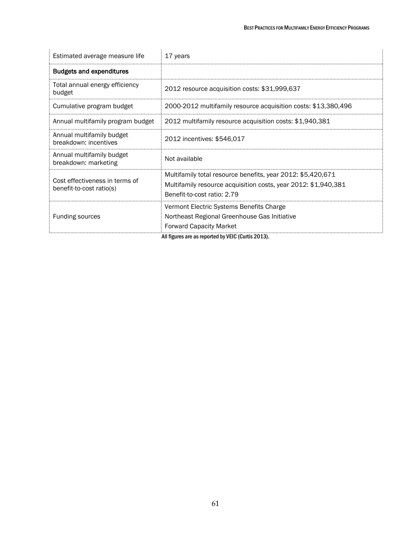| Estimated average measure life                             | 17 years                                                                                                                                                     |
|------------------------------------------------------------|--------------------------------------------------------------------------------------------------------------------------------------------------------------|
| <b>Budgets and expenditures</b>                            |                                                                                                                                                              |
| Total annual energy efficiency<br>budget                   | 2012 resource acquisition costs: \$31,999,637                                                                                                                |
| Cumulative program budget                                  | 2000-2012 multifamily resource acquisition costs: \$13,380,496                                                                                               |
| Annual multifamily program budget                          | 2012 multifamily resource acquisition costs: \$1,940,381                                                                                                     |
| Annual multifamily budget<br>breakdown: incentives         | 2012 incentives: \$546,017                                                                                                                                   |
| Annual multifamily budget<br>breakdown: marketing          | Not available                                                                                                                                                |
| Cost effectiveness in terms of<br>benefit-to-cost ratio(s) | Multifamily total resource benefits, year 2012: \$5,420,671<br>Multifamily resource acquisition costs, year 2012: \$1,940,381<br>Benefit-to-cost ratio: 2.79 |
| <b>Funding sources</b>                                     | Vermont Electric Systems Benefits Charge<br>Northeast Regional Greenhouse Gas Initiative<br><b>Forward Capacity Market</b>                                   |

All figures are as reported by VEIC (Curtis 2013).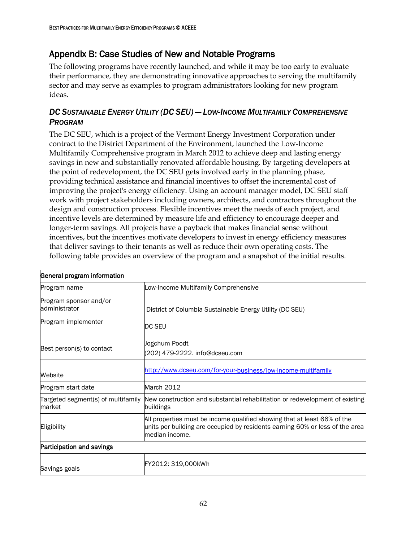# Appendix B: Case Studies of New and Notable Programs

The following programs have recently launched, and while it may be too early to evaluate their performance, they are demonstrating innovative approaches to serving the multifamily sector and may serve as examples to program administrators looking for new program ideas.

### *DC SUSTAINABLE ENERGY UTILITY (DC SEU) — LOW-INCOME MULTIFAMILY COMPREHENSIVE PROGRAM*

The DC SEU, which is a project of the Vermont Energy Investment Corporation under contract to the District Department of the Environment, launched the Low-Income Multifamily Comprehensive program in March 2012 to achieve deep and lasting energy savings in new and substantially renovated affordable housing. By targeting developers at the point of redevelopment, the DC SEU gets involved early in the planning phase, providing technical assistance and financial incentives to offset the incremental cost of improving the project's energy efficiency. Using an account manager model, DC SEU staff work with project stakeholders including owners, architects, and contractors throughout the design and construction process. Flexible incentives meet the needs of each project, and incentive levels are determined by measure life and efficiency to encourage deeper and longer-term savings. All projects have a payback that makes financial sense without incentives, but the incentives motivate developers to invest in energy efficiency measures that deliver savings to their tenants as well as reduce their own operating costs. The following table provides an overview of the program and a snapshot of the initial results.

| General program information                  |                                                                                                                                                                            |
|----------------------------------------------|----------------------------------------------------------------------------------------------------------------------------------------------------------------------------|
| Program name                                 | Low-Income Multifamily Comprehensive                                                                                                                                       |
| Program sponsor and/or<br>administrator      | District of Columbia Sustainable Energy Utility (DC SEU)                                                                                                                   |
| Program implementer                          | DC SEU                                                                                                                                                                     |
| Best person(s) to contact                    | Jogchum Poodt<br>(202) 479-2222. info@dcseu.com                                                                                                                            |
| Website                                      | http://www.dcseu.com/for-your-business/low-income-multifamily                                                                                                              |
| Program start date                           | <b>March 2012</b>                                                                                                                                                          |
| Targeted segment(s) of multifamily<br>market | New construction and substantial rehabilitation or redevelopment of existing<br>buildings                                                                                  |
| Eligibility                                  | All properties must be income qualified showing that at least 66% of the<br>units per building are occupied by residents earning 60% or less of the area<br>median income. |
| Participation and savings                    |                                                                                                                                                                            |
| Savings goals                                | FY2012: 319.000kWh                                                                                                                                                         |

### General program information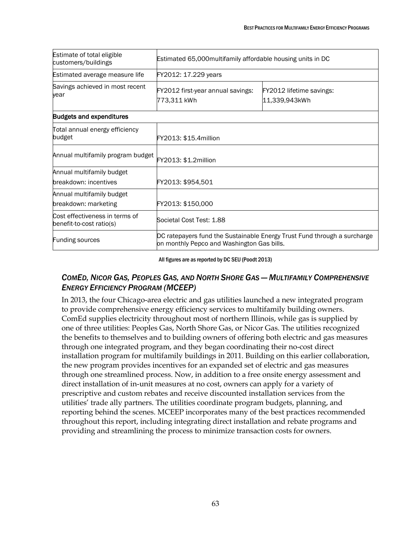| Estimate of total eligible<br>customers/buildings          | Estimated 65,000 multifamily affordable housing units in DC                                                            |                                           |  |
|------------------------------------------------------------|------------------------------------------------------------------------------------------------------------------------|-------------------------------------------|--|
| Estimated average measure life                             | FY2012: 17.229 years                                                                                                   |                                           |  |
| Savings achieved in most recent<br>year                    | FY2012 first-year annual savings:<br>773,311 kWh                                                                       | FY2012 lifetime savings:<br>11,339,943kWh |  |
| <b>Budgets and expenditures</b>                            |                                                                                                                        |                                           |  |
| Total annual energy efficiency<br>budget                   | FY2013: \$15.4million                                                                                                  |                                           |  |
| Annual multifamily program budget                          | FY2013: \$1.2million                                                                                                   |                                           |  |
| Annual multifamily budget<br>breakdown: incentives         | FY2013: \$954,501                                                                                                      |                                           |  |
| Annual multifamily budget<br>breakdown: marketing          | FY2013: \$150,000                                                                                                      |                                           |  |
| Cost effectiveness in terms of<br>benefit-to-cost ratio(s) | Societal Cost Test: 1.88                                                                                               |                                           |  |
| <b>Funding sources</b>                                     | DC ratepayers fund the Sustainable Energy Trust Fund through a surcharge<br>on monthly Pepco and Washington Gas bills. |                                           |  |

## All figures are as reported by DC SEU (Poodt 2013)

Ï

## COMED, NICOR GAS, PEOPLES GAS, AND NORTH SHORE GAS - MULTIFAMILY COMPREHENSIVE *ENERGY EFFICIENCY PROGRAM (MCEEP)*

In 2013, the four Chicago-area electric and gas utilities launched a new integrated program to provide comprehensive energy efficiency services to multifamily building owners. ComEd supplies electricity throughout most of northern Illinois, while gas is supplied by one of three utilities: Peoples Gas, North Shore Gas, or Nicor Gas. The utilities recognized the benefits to themselves and to building owners of offering both electric and gas measures through one integrated program, and they began coordinating their no-cost direct installation program for multifamily buildings in 2011. Building on this earlier collaboration, the new program provides incentives for an expanded set of electric and gas measures through one streamlined process. Now, in addition to a free onsite energy assessment and direct installation of in-unit measures at no cost, owners can apply for a variety of prescriptive and custom rebates and receive discounted installation services from the utilities' trade ally partners. The utilities coordinate program budgets, planning, and reporting behind the scenes. MCEEP incorporates many of the best practices recommended throughout this report, including integrating direct installation and rebate programs and providing and streamlining the process to minimize transaction costs for owners.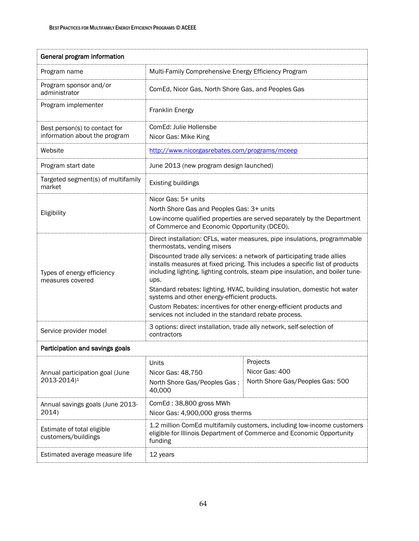| General program information                                    |                                                                                                                                                                                                                                                                                                                                                                                                                                                                                                                                                                                                                            |                                                                |
|----------------------------------------------------------------|----------------------------------------------------------------------------------------------------------------------------------------------------------------------------------------------------------------------------------------------------------------------------------------------------------------------------------------------------------------------------------------------------------------------------------------------------------------------------------------------------------------------------------------------------------------------------------------------------------------------------|----------------------------------------------------------------|
| Program name                                                   | Multi-Family Comprehensive Energy Efficiency Program                                                                                                                                                                                                                                                                                                                                                                                                                                                                                                                                                                       |                                                                |
| Program sponsor and/or<br>administrator                        | ComEd, Nicor Gas, North Shore Gas, and Peoples Gas                                                                                                                                                                                                                                                                                                                                                                                                                                                                                                                                                                         |                                                                |
| Program implementer                                            | <b>Franklin Energy</b>                                                                                                                                                                                                                                                                                                                                                                                                                                                                                                                                                                                                     |                                                                |
| Best person(s) to contact for<br>information about the program | ComEd: Julie Hollensbe<br>Nicor Gas: Mike King                                                                                                                                                                                                                                                                                                                                                                                                                                                                                                                                                                             |                                                                |
| Website                                                        | http://www.nicorgasrebates.com/programs/mceep                                                                                                                                                                                                                                                                                                                                                                                                                                                                                                                                                                              |                                                                |
| Program start date                                             | June 2013 (new program design launched)                                                                                                                                                                                                                                                                                                                                                                                                                                                                                                                                                                                    |                                                                |
| Targeted segment(s) of multifamily<br>market                   | <b>Existing buildings</b>                                                                                                                                                                                                                                                                                                                                                                                                                                                                                                                                                                                                  |                                                                |
| Eligibility                                                    | Nicor Gas: 5+ units<br>North Shore Gas and Peoples Gas: 3+ units<br>Low-income qualified properties are served separately by the Department<br>of Commerce and Economic Opportunity (DCEO).                                                                                                                                                                                                                                                                                                                                                                                                                                |                                                                |
| Types of energy efficiency<br>measures covered                 | Direct installation: CFLs, water measures, pipe insulations, programmable<br>thermostats, vending misers<br>Discounted trade ally services: a network of participating trade allies<br>installs measures at fixed pricing. This includes a specific list of products<br>including lighting, lighting controls, steam pipe insulation, and boiler tune-<br>ups.<br>Standard rebates: lighting, HVAC, building insulation, domestic hot water<br>systems and other energy-efficient products.<br>Custom Rebates: incentives for other energy-efficient products and<br>services not included in the standard rebate process. |                                                                |
| Service provider model                                         | 3 options: direct installation, trade ally network, self-selection of<br>contractors                                                                                                                                                                                                                                                                                                                                                                                                                                                                                                                                       |                                                                |
| Participation and savings goals                                |                                                                                                                                                                                                                                                                                                                                                                                                                                                                                                                                                                                                                            |                                                                |
| Annual participation goal (June<br>2013-2014) <sup>1</sup>     | Units<br>Nicor Gas: 48,750<br>North Shore Gas/Peoples Gas:<br>40,000                                                                                                                                                                                                                                                                                                                                                                                                                                                                                                                                                       | Projects<br>Nicor Gas: 400<br>North Shore Gas/Peoples Gas: 500 |
| Annual savings goals (June 2013-<br>2014)                      | ComEd: 38,800 gross MWh<br>Nicor Gas: 4,900,000 gross therms                                                                                                                                                                                                                                                                                                                                                                                                                                                                                                                                                               |                                                                |
| Estimate of total eligible<br>customers/buildings              | 1.2 million ComEd multifamily customers, including low-income customers<br>eligible for Illinois Department of Commerce and Economic Opportunity<br>funding                                                                                                                                                                                                                                                                                                                                                                                                                                                                |                                                                |
| Estimated average measure life                                 | 12 years                                                                                                                                                                                                                                                                                                                                                                                                                                                                                                                                                                                                                   |                                                                |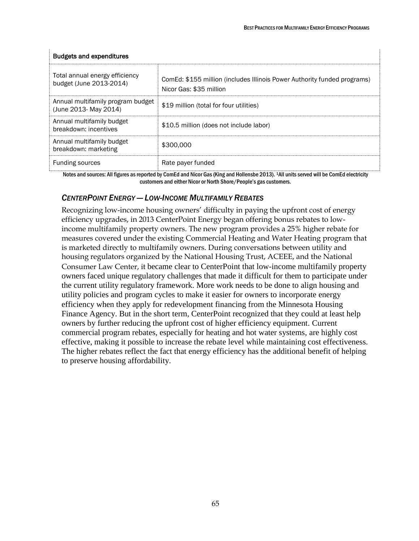÷

| <b>Budgets and expenditures</b>                            |                                                                                                     |  |
|------------------------------------------------------------|-----------------------------------------------------------------------------------------------------|--|
| Total annual energy efficiency<br>budget (June 2013-2014)  | ComEd: \$155 million (includes Illinois Power Authority funded programs)<br>Nicor Gas: \$35 million |  |
| Annual multifamily program budget<br>(June 2013- May 2014) | \$19 million (total for four utilities)                                                             |  |
| Annual multifamily budget<br>breakdown: incentives         | \$10.5 million (does not include labor)                                                             |  |
| Annual multifamily budget<br>breakdown: marketing          | \$300,000                                                                                           |  |
| <b>Funding sources</b>                                     | Rate payer funded                                                                                   |  |

## Budgets and expenditures

÷

Notes and sources: All figures as reported by ComEd and Nicor Gas (King and Hollensbe 2013). 1All units served will be ComEd electricity customers and either Nicor or North Shore/People's gas customers.

## *CENTERPOINT ENERGY — LOW-INCOME MULTIFAMILY REBATES*

Recognizing low-income housing owners' difficulty in paying the upfront cost of energy efficiency upgrades, in 2013 CenterPoint Energy began offering bonus rebates to lowincome multifamily property owners. The new program provides a 25% higher rebate for measures covered under the existing Commercial Heating and Water Heating program that is marketed directly to multifamily owners. During conversations between utility and housing regulators organized by the National Housing Trust, ACEEE, and the National Consumer Law Center, it became clear to CenterPoint that low-income multifamily property owners faced unique regulatory challenges that made it difficult for them to participate under the current utility regulatory framework. More work needs to be done to align housing and utility policies and program cycles to make it easier for owners to incorporate energy efficiency when they apply for redevelopment financing from the Minnesota Housing Finance Agency. But in the short term, CenterPoint recognized that they could at least help owners by further reducing the upfront cost of higher efficiency equipment. Current commercial program rebates, especially for heating and hot water systems, are highly cost effective, making it possible to increase the rebate level while maintaining cost effectiveness. The higher rebates reflect the fact that energy efficiency has the additional benefit of helping to preserve housing affordability.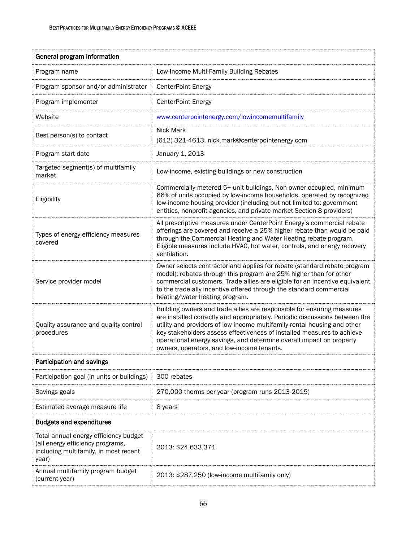| General program information                                                                                                 |                                                                                                                                                                                                                                                                                                                                                                                                                                   |  |
|-----------------------------------------------------------------------------------------------------------------------------|-----------------------------------------------------------------------------------------------------------------------------------------------------------------------------------------------------------------------------------------------------------------------------------------------------------------------------------------------------------------------------------------------------------------------------------|--|
| Program name                                                                                                                | Low-Income Multi-Family Building Rebates                                                                                                                                                                                                                                                                                                                                                                                          |  |
| Program sponsor and/or administrator                                                                                        | <b>CenterPoint Energy</b>                                                                                                                                                                                                                                                                                                                                                                                                         |  |
| Program implementer                                                                                                         | <b>CenterPoint Energy</b>                                                                                                                                                                                                                                                                                                                                                                                                         |  |
| Website                                                                                                                     | www.centerpointenergy.com/lowincomemultifamily                                                                                                                                                                                                                                                                                                                                                                                    |  |
| Best person(s) to contact                                                                                                   | <b>Nick Mark</b><br>(612) 321-4613. nick.mark@centerpointenergy.com                                                                                                                                                                                                                                                                                                                                                               |  |
| Program start date                                                                                                          | January 1, 2013                                                                                                                                                                                                                                                                                                                                                                                                                   |  |
| Targeted segment(s) of multifamily<br>market                                                                                | Low-income, existing buildings or new construction                                                                                                                                                                                                                                                                                                                                                                                |  |
| Eligibility                                                                                                                 | Commercially-metered 5+-unit buildings, Non-owner-occupied, minimum<br>66% of units occupied by low-income households, operated by recognized<br>low-income housing provider (including but not limited to: government<br>entities, nonprofit agencies, and private-market Section 8 providers)                                                                                                                                   |  |
| Types of energy efficiency measures<br>covered                                                                              | All prescriptive measures under CenterPoint Energy's commercial rebate<br>offerings are covered and receive a 25% higher rebate than would be paid<br>through the Commercial Heating and Water Heating rebate program.<br>Eligible measures include HVAC, hot water, controls, and energy recovery<br>ventilation.                                                                                                                |  |
| Service provider model                                                                                                      | Owner selects contractor and applies for rebate (standard rebate program<br>model); rebates through this program are 25% higher than for other<br>commercial customers. Trade allies are eligible for an incentive equivalent<br>to the trade ally incentive offered through the standard commercial<br>heating/water heating program.                                                                                            |  |
| Quality assurance and quality control<br>procedures                                                                         | Building owners and trade allies are responsible for ensuring measures<br>are installed correctly and appropriately. Periodic discussions between the<br>utility and providers of low-income multifamily rental housing and other<br>key stakeholders assess effectiveness of installed measures to achieve<br>operational energy savings, and determine overall impact on property<br>owners, operators, and low-income tenants. |  |
| Participation and savings                                                                                                   |                                                                                                                                                                                                                                                                                                                                                                                                                                   |  |
| Participation goal (in units or buildings)                                                                                  | 300 rebates                                                                                                                                                                                                                                                                                                                                                                                                                       |  |
| Savings goals                                                                                                               | 270,000 therms per year (program runs 2013-2015)                                                                                                                                                                                                                                                                                                                                                                                  |  |
| Estimated average measure life                                                                                              | 8 years                                                                                                                                                                                                                                                                                                                                                                                                                           |  |
| <b>Budgets and expenditures</b>                                                                                             |                                                                                                                                                                                                                                                                                                                                                                                                                                   |  |
| Total annual energy efficiency budget<br>(all energy efficiency programs,<br>including multifamily, in most recent<br>year) | 2013: \$24,633,371                                                                                                                                                                                                                                                                                                                                                                                                                |  |

2013: \$287,250 (low-income multifamily only)

Annual multifamily program budget